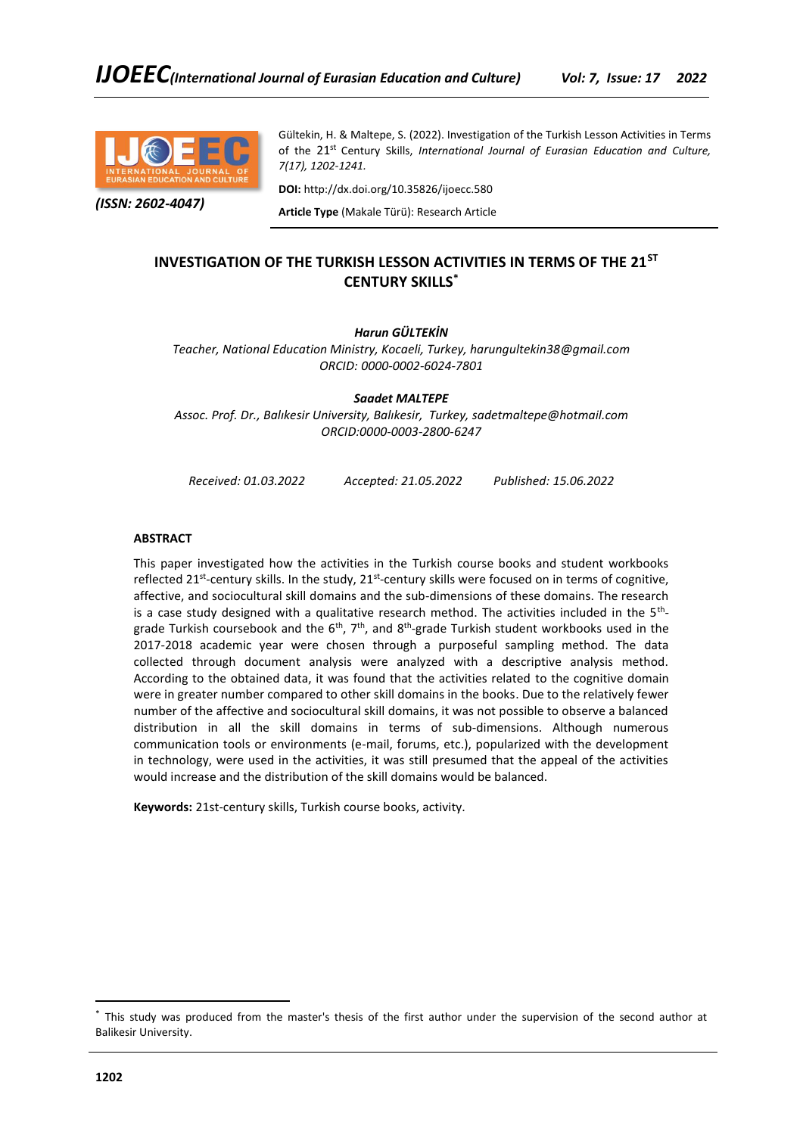

*(ISSN: 2602-4047)*

Gültekin, H. & Maltepe, S. (2022). Investigation of the Turkish Lesson Activities in Terms of the 21<sup>st</sup> Century Skills, *International Journal of Eurasian Education and Culture*, *7(17), 1202-1241.*

**DOI:** http://dx.doi.org/10.35826/ijoecc.580

**Article Type** (Makale Türü): Research Article

# **INVESTIGATION OF THE TURKISH LESSON ACTIVITIES IN TERMS OF THE 21ST CENTURY SKILLS\***

# *Harun GÜLTEKİN*

*Teacher, National Education Ministry, Kocaeli, Turkey, harungultekin38@gmail.com ORCID: 0000-0002-6024-7801*

*Saadet MALTEPE Assoc. Prof. Dr., Balıkesir University, Balıkesir, Turkey, sadetmaltepe@hotmail.com ORCID:0000-0003-2800-6247*

*Received: 01.03.2022 Accepted: 21.05.2022 Published: 15.06.2022*

## **ABSTRACT**

This paper investigated how the activities in the Turkish course books and student workbooks reflected 21<sup>st</sup>-century skills. In the study, 21<sup>st</sup>-century skills were focused on in terms of cognitive, affective, and sociocultural skill domains and the sub-dimensions of these domains. The research is a case study designed with a qualitative research method. The activities included in the  $5<sup>th</sup>$ grade Turkish coursebook and the 6<sup>th</sup>, 7<sup>th</sup>, and 8<sup>th</sup>-grade Turkish student workbooks used in the 2017-2018 academic year were chosen through a purposeful sampling method. The data collected through document analysis were analyzed with a descriptive analysis method. According to the obtained data, it was found that the activities related to the cognitive domain were in greater number compared to other skill domains in the books. Due to the relatively fewer number of the affective and sociocultural skill domains, it was not possible to observe a balanced distribution in all the skill domains in terms of sub-dimensions. Although numerous communication tools or environments (e-mail, forums, etc.), popularized with the development in technology, were used in the activities, it was still presumed that the appeal of the activities would increase and the distribution of the skill domains would be balanced.

**Keywords:** 21st-century skills, Turkish course books, activity.

<sup>\*</sup> This study was produced from the master's thesis of the first author under the supervision of the second author at Balikesir University.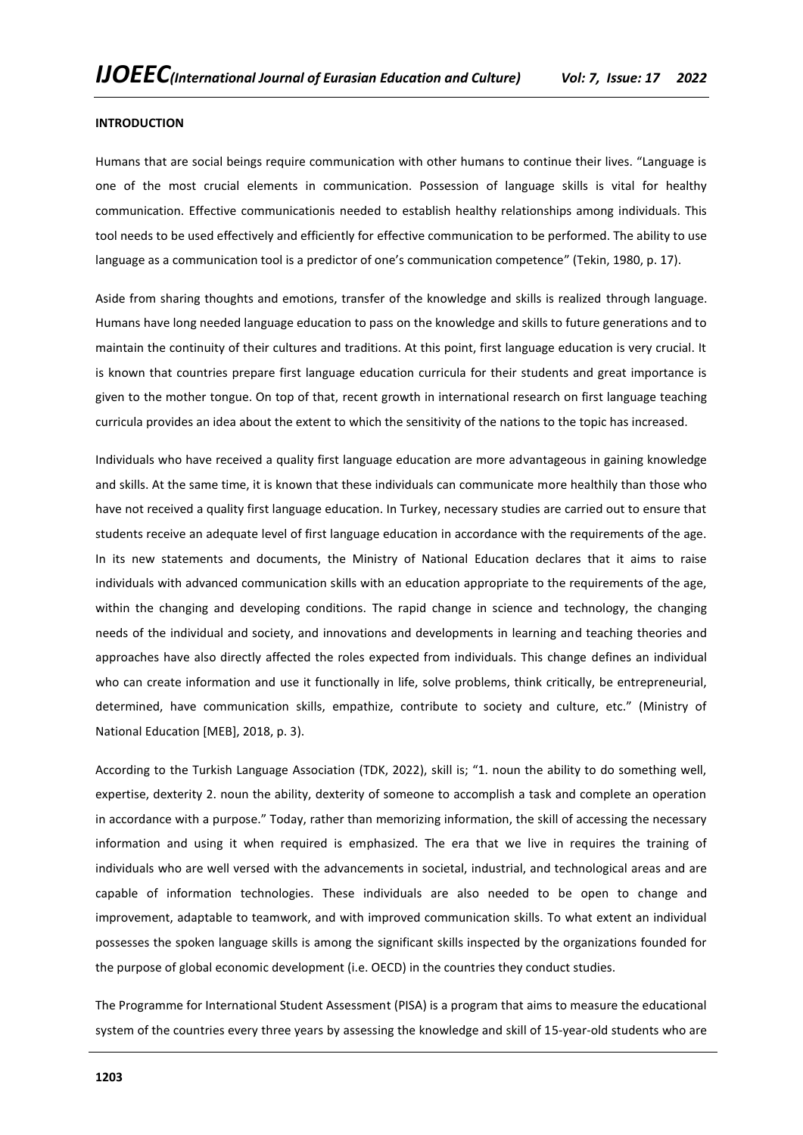### **INTRODUCTION**

Humans that are social beings require communication with other humans to continue their lives. "Language is one of the most crucial elements in communication. Possession of language skills is vital for healthy communication. Effective communicationis needed to establish healthy relationships among individuals. This tool needs to be used effectively and efficiently for effective communication to be performed. The ability to use language as a communication tool is a predictor of one's communication competence" (Tekin, 1980, p. 17).

Aside from sharing thoughts and emotions, transfer of the knowledge and skills is realized through language. Humans have long needed language education to pass on the knowledge and skills to future generations and to maintain the continuity of their cultures and traditions. At this point, first language education is very crucial. It is known that countries prepare first language education curricula for their students and great importance is given to the mother tongue. On top of that, recent growth in international research on first language teaching curricula provides an idea about the extent to which the sensitivity of the nations to the topic has increased.

Individuals who have received a quality first language education are more advantageous in gaining knowledge and skills. At the same time, it is known that these individuals can communicate more healthily than those who have not received a quality first language education. In Turkey, necessary studies are carried out to ensure that students receive an adequate level of first language education in accordance with the requirements of the age. In its new statements and documents, the Ministry of National Education declares that it aims to raise individuals with advanced communication skills with an education appropriate to the requirements of the age, within the changing and developing conditions. The rapid change in science and technology, the changing needs of the individual and society, and innovations and developments in learning and teaching theories and approaches have also directly affected the roles expected from individuals. This change defines an individual who can create information and use it functionally in life, solve problems, think critically, be entrepreneurial, determined, have communication skills, empathize, contribute to society and culture, etc." (Ministry of National Education [MEB], 2018, p. 3).

According to the Turkish Language Association (TDK, 2022), skill is; "1. noun the ability to do something well, expertise, dexterity 2. noun the ability, dexterity of someone to accomplish a task and complete an operation in accordance with a purpose." Today, rather than memorizing information, the skill of accessing the necessary information and using it when required is emphasized. The era that we live in requires the training of individuals who are well versed with the advancements in societal, industrial, and technological areas and are capable of information technologies. These individuals are also needed to be open to change and improvement, adaptable to teamwork, and with improved communication skills. To what extent an individual possesses the spoken language skills is among the significant skills inspected by the organizations founded for the purpose of global economic development (i.e. OECD) in the countries they conduct studies.

The Programme for International Student Assessment (PISA) is a program that aims to measure the educational system of the countries every three years by assessing the knowledge and skill of 15-year-old students who are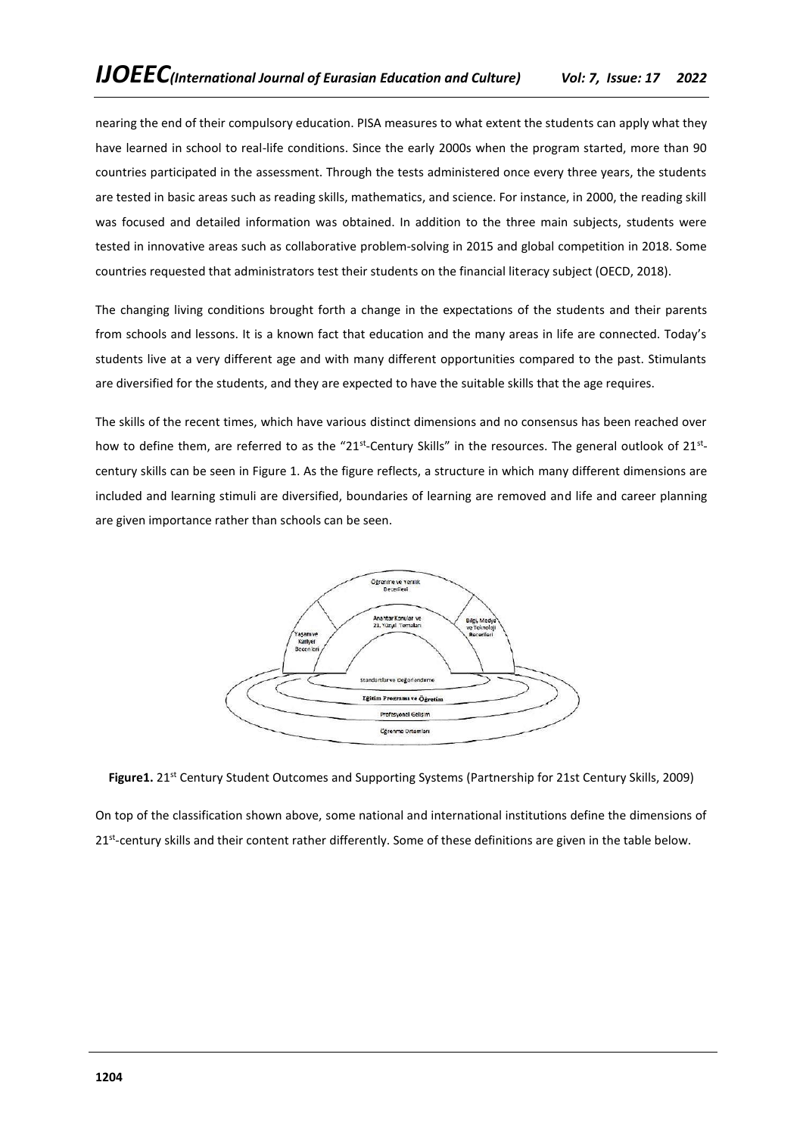nearing the end of their compulsory education. PISA measures to what extent the students can apply what they have learned in school to real-life conditions. Since the early 2000s when the program started, more than 90 countries participated in the assessment. Through the tests administered once every three years, the students are tested in basic areas such as reading skills, mathematics, and science. For instance, in 2000, the reading skill was focused and detailed information was obtained. In addition to the three main subjects, students were tested in innovative areas such as collaborative problem-solving in 2015 and global competition in 2018. Some countries requested that administrators test their students on the financial literacy subject (OECD, 2018).

The changing living conditions brought forth a change in the expectations of the students and their parents from schools and lessons. It is a known fact that education and the many areas in life are connected. Today's students live at a very different age and with many different opportunities compared to the past. Stimulants are diversified for the students, and they are expected to have the suitable skills that the age requires.

The skills of the recent times, which have various distinct dimensions and no consensus has been reached over how to define them, are referred to as the "21<sup>st</sup>-Century Skills" in the resources. The general outlook of 21<sup>st</sup>century skills can be seen in Figure 1. As the figure reflects, a structure in which many different dimensions are included and learning stimuli are diversified, boundaries of learning are removed and life and career planning are given importance rather than schools can be seen.



Figure1. 21<sup>st</sup> Century Student Outcomes and Supporting Systems (Partnership for 21st Century Skills, 2009)

On top of the classification shown above, some national and international institutions define the dimensions of 21<sup>st</sup>-century skills and their content rather differently. Some of these definitions are given in the table below.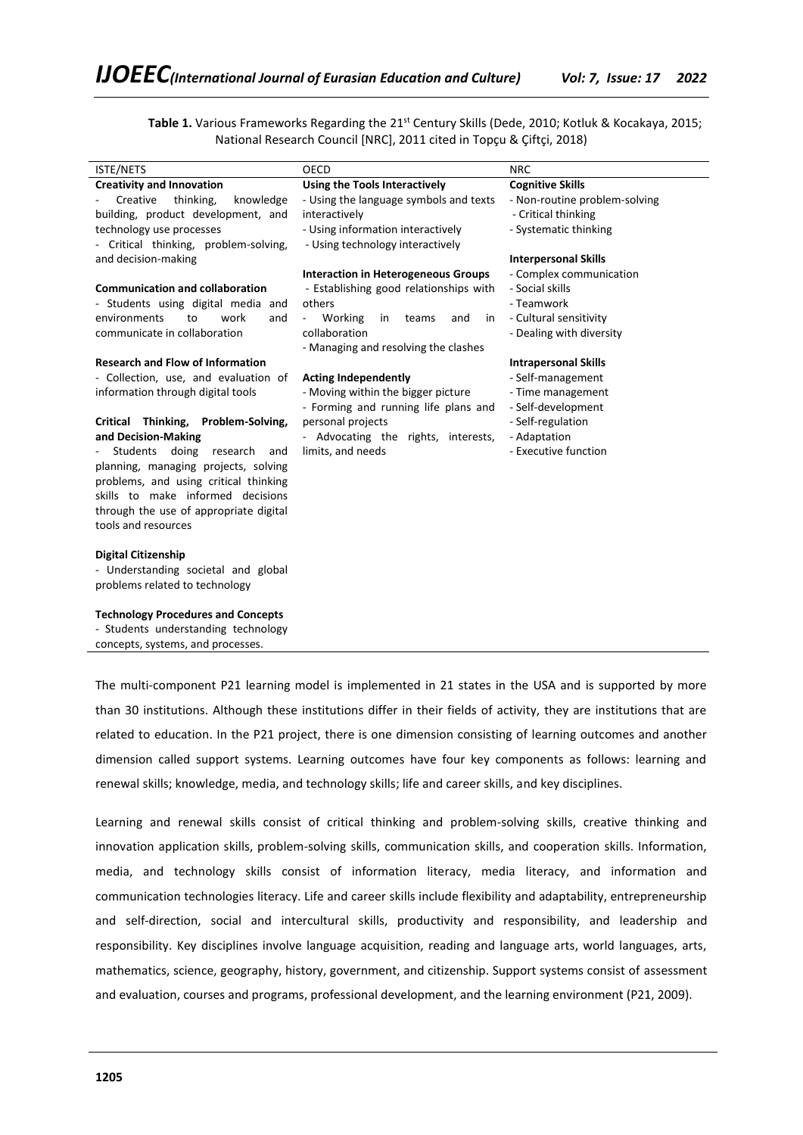Table 1. Various Frameworks Regarding the 21<sup>st</sup> Century Skills (Dede, 2010; Kotluk & Kocakaya, 2015; National Research Council [NRC], 2011 cited in Topçu & Çiftçi, 2018)

| <b>ISTE/NETS</b>                          | OECD                                                  | <b>NRC</b>                    |
|-------------------------------------------|-------------------------------------------------------|-------------------------------|
| <b>Creativity and Innovation</b>          | Using the Tools Interactively                         | <b>Cognitive Skills</b>       |
| Creative<br>thinking,<br>knowledge        | - Using the language symbols and texts                | - Non-routine problem-solving |
| building, product development, and        | interactively                                         | - Critical thinking           |
| technology use processes                  | - Using information interactively                     | - Systematic thinking         |
| - Critical thinking, problem-solving,     | - Using technology interactively                      |                               |
| and decision-making                       |                                                       | <b>Interpersonal Skills</b>   |
|                                           | <b>Interaction in Heterogeneous Groups</b>            | - Complex communication       |
| <b>Communication and collaboration</b>    | - Establishing good relationships with                | - Social skills               |
| - Students using digital media and        | others                                                | - Teamwork                    |
| environments<br>to<br>work<br>and         | Working<br>in<br>teams<br>and<br>in<br>$\blacksquare$ | - Cultural sensitivity        |
| communicate in collaboration              | collaboration                                         | - Dealing with diversity      |
|                                           | - Managing and resolving the clashes                  |                               |
| <b>Research and Flow of Information</b>   |                                                       | <b>Intrapersonal Skills</b>   |
| - Collection, use, and evaluation of      | <b>Acting Independently</b>                           | - Self-management             |
| information through digital tools         | - Moving within the bigger picture                    | - Time management             |
|                                           | - Forming and running life plans and                  | - Self-development            |
| Critical Thinking,<br>Problem-Solving,    | personal projects                                     | - Self-regulation             |
| and Decision-Making                       | - Advocating the rights, interests,                   | - Adaptation                  |
| doing<br>Students<br>research<br>and      | limits, and needs                                     | - Executive function          |
| planning, managing projects, solving      |                                                       |                               |
| problems, and using critical thinking     |                                                       |                               |
| skills to make informed decisions         |                                                       |                               |
| through the use of appropriate digital    |                                                       |                               |
| tools and resources                       |                                                       |                               |
|                                           |                                                       |                               |
| <b>Digital Citizenship</b>                |                                                       |                               |
| - Understanding societal and global       |                                                       |                               |
| problems related to technology            |                                                       |                               |
| <b>Technology Procedures and Concepts</b> |                                                       |                               |
| - Students understanding technology       |                                                       |                               |

concepts, systems, and processes.

The multi-component P21 learning model is implemented in 21 states in the USA and is supported by more than 30 institutions. Although these institutions differ in their fields of activity, they are institutions that are related to education. In the P21 project, there is one dimension consisting of learning outcomes and another dimension called support systems. Learning outcomes have four key components as follows: learning and renewal skills; knowledge, media, and technology skills; life and career skills, and key disciplines.

Learning and renewal skills consist of critical thinking and problem-solving skills, creative thinking and innovation application skills, problem-solving skills, communication skills, and cooperation skills. Information, media, and technology skills consist of information literacy, media literacy, and information and communication technologies literacy. Life and career skills include flexibility and adaptability, entrepreneurship and self-direction, social and intercultural skills, productivity and responsibility, and leadership and responsibility. Key disciplines involve language acquisition, reading and language arts, world languages, arts, mathematics, science, geography, history, government, and citizenship. Support systems consist of assessment and evaluation, courses and programs, professional development, and the learning environment (P21, 2009).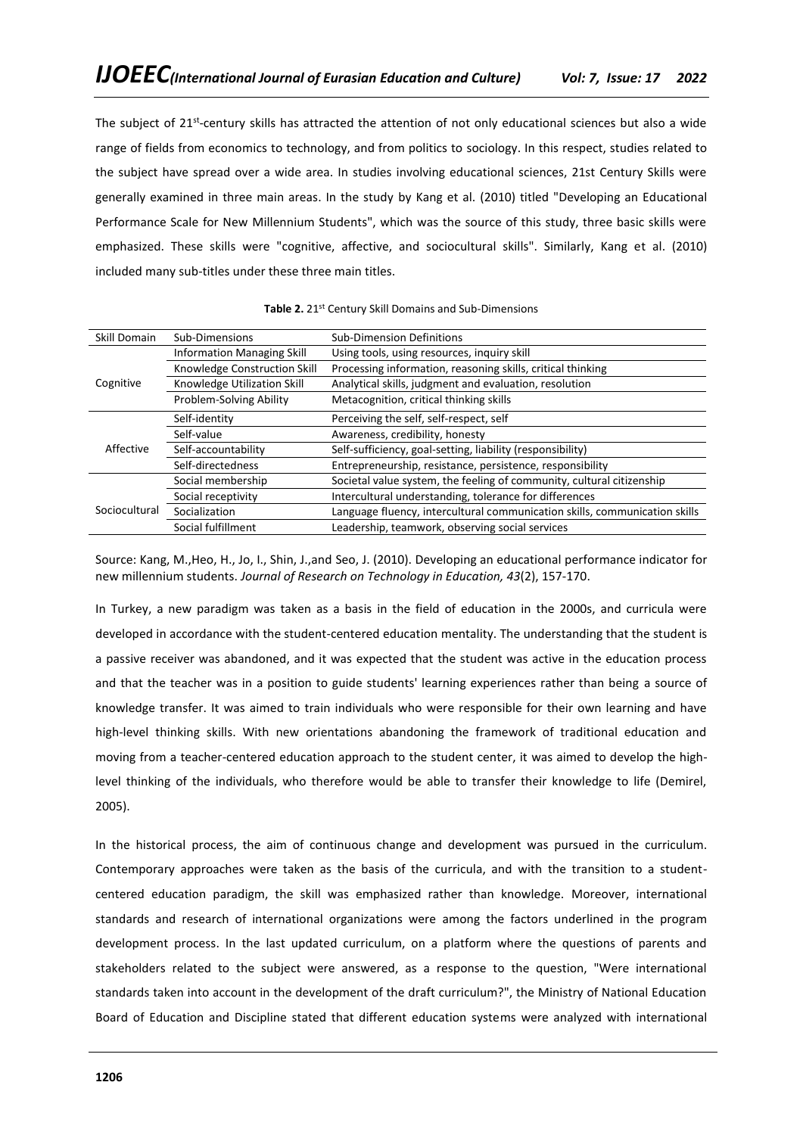The subject of 21<sup>st</sup>-century skills has attracted the attention of not only educational sciences but also a wide range of fields from economics to technology, and from politics to sociology. In this respect, studies related to the subject have spread over a wide area. In studies involving educational sciences, 21st Century Skills were generally examined in three main areas. In the study by Kang et al. (2010) titled "Developing an Educational Performance Scale for New Millennium Students", which was the source of this study, three basic skills were emphasized. These skills were "cognitive, affective, and sociocultural skills". Similarly, Kang et al. (2010) included many sub-titles under these three main titles.

| Skill Domain  | Sub-Dimensions                    | <b>Sub-Dimension Definitions</b>                                           |
|---------------|-----------------------------------|----------------------------------------------------------------------------|
|               | <b>Information Managing Skill</b> | Using tools, using resources, inquiry skill                                |
|               | Knowledge Construction Skill      | Processing information, reasoning skills, critical thinking                |
| Cognitive     | Knowledge Utilization Skill       | Analytical skills, judgment and evaluation, resolution                     |
|               | Problem-Solving Ability           | Metacognition, critical thinking skills                                    |
|               | Self-identity                     | Perceiving the self, self-respect, self                                    |
|               | Self-value                        | Awareness, credibility, honesty                                            |
| Affective     | Self-accountability               | Self-sufficiency, goal-setting, liability (responsibility)                 |
|               | Self-directedness                 | Entrepreneurship, resistance, persistence, responsibility                  |
|               | Social membership                 | Societal value system, the feeling of community, cultural citizenship      |
|               | Social receptivity                | Intercultural understanding, tolerance for differences                     |
| Sociocultural | Socialization                     | Language fluency, intercultural communication skills, communication skills |
|               | Social fulfillment                | Leadership, teamwork, observing social services                            |

Source: Kang, M.,Heo, H., Jo, I., Shin, J.,and Seo, J. (2010). Developing an educational performance indicator for new millennium students. *Journal of Research on Technology in Education, 43*(2), 157-170.

In Turkey, a new paradigm was taken as a basis in the field of education in the 2000s, and curricula were developed in accordance with the student-centered education mentality. The understanding that the student is a passive receiver was abandoned, and it was expected that the student was active in the education process and that the teacher was in a position to guide students' learning experiences rather than being a source of knowledge transfer. It was aimed to train individuals who were responsible for their own learning and have high-level thinking skills. With new orientations abandoning the framework of traditional education and moving from a teacher-centered education approach to the student center, it was aimed to develop the highlevel thinking of the individuals, who therefore would be able to transfer their knowledge to life (Demirel, 2005).

In the historical process, the aim of continuous change and development was pursued in the curriculum. Contemporary approaches were taken as the basis of the curricula, and with the transition to a studentcentered education paradigm, the skill was emphasized rather than knowledge. Moreover, international standards and research of international organizations were among the factors underlined in the program development process. In the last updated curriculum, on a platform where the questions of parents and stakeholders related to the subject were answered, as a response to the question, "Were international standards taken into account in the development of the draft curriculum?", the Ministry of National Education Board of Education and Discipline stated that different education systems were analyzed with international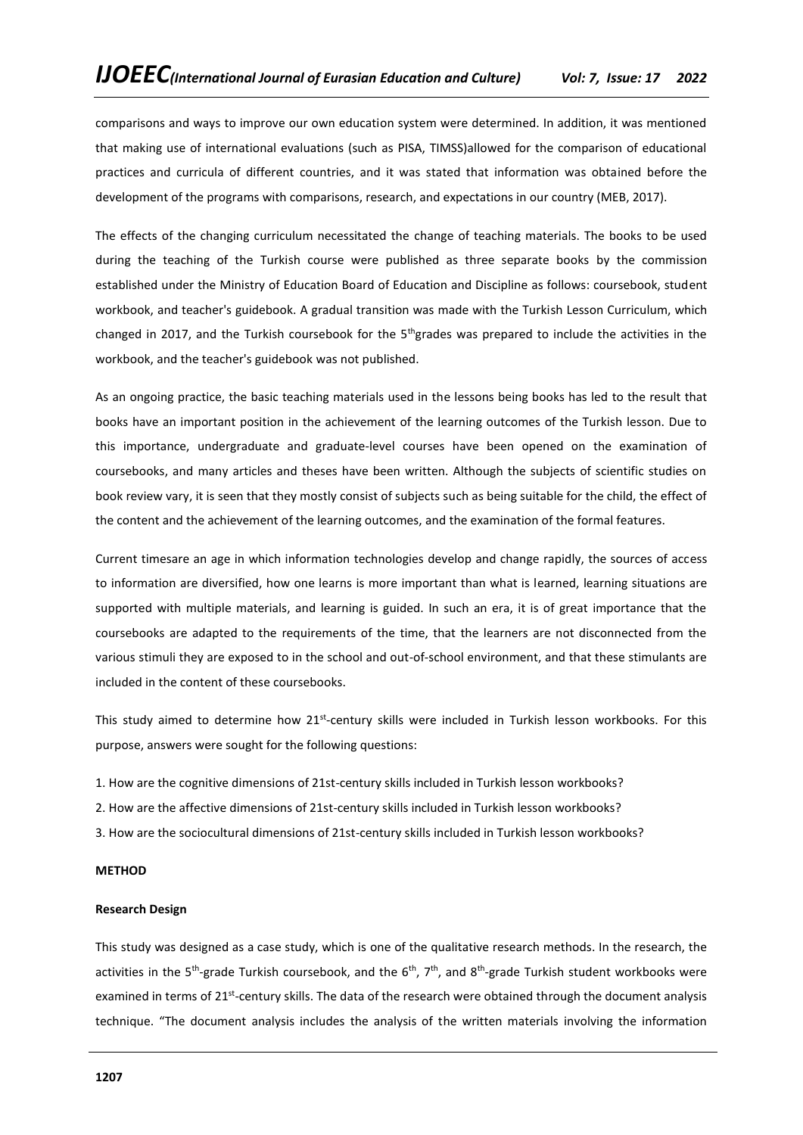comparisons and ways to improve our own education system were determined. In addition, it was mentioned that making use of international evaluations (such as PISA, TIMSS)allowed for the comparison of educational practices and curricula of different countries, and it was stated that information was obtained before the development of the programs with comparisons, research, and expectations in our country (MEB, 2017).

The effects of the changing curriculum necessitated the change of teaching materials. The books to be used during the teaching of the Turkish course were published as three separate books by the commission established under the Ministry of Education Board of Education and Discipline as follows: coursebook, student workbook, and teacher's guidebook. A gradual transition was made with the Turkish Lesson Curriculum, which changed in 2017, and the Turkish coursebook for the 5<sup>th</sup>grades was prepared to include the activities in the workbook, and the teacher's guidebook was not published.

As an ongoing practice, the basic teaching materials used in the lessons being books has led to the result that books have an important position in the achievement of the learning outcomes of the Turkish lesson. Due to this importance, undergraduate and graduate-level courses have been opened on the examination of coursebooks, and many articles and theses have been written. Although the subjects of scientific studies on book review vary, it is seen that they mostly consist of subjects such as being suitable for the child, the effect of the content and the achievement of the learning outcomes, and the examination of the formal features.

Current timesare an age in which information technologies develop and change rapidly, the sources of access to information are diversified, how one learns is more important than what is learned, learning situations are supported with multiple materials, and learning is guided. In such an era, it is of great importance that the coursebooks are adapted to the requirements of the time, that the learners are not disconnected from the various stimuli they are exposed to in the school and out-of-school environment, and that these stimulants are included in the content of these coursebooks.

This study aimed to determine how 21<sup>st</sup>-century skills were included in Turkish lesson workbooks. For this purpose, answers were sought for the following questions:

- 1. How are the cognitive dimensions of 21st-century skills included in Turkish lesson workbooks?
- 2. How are the affective dimensions of 21st-century skills included in Turkish lesson workbooks?
- 3. How are the sociocultural dimensions of 21st-century skills included in Turkish lesson workbooks?

### **METHOD**

### **Research Design**

This study was designed as a case study, which is one of the qualitative research methods. In the research, the activities in the 5<sup>th</sup>-grade Turkish coursebook, and the 6<sup>th</sup>, 7<sup>th</sup>, and 8<sup>th</sup>-grade Turkish student workbooks were examined in terms of 21<sup>st</sup>-century skills. The data of the research were obtained through the document analysis technique. "The document analysis includes the analysis of the written materials involving the information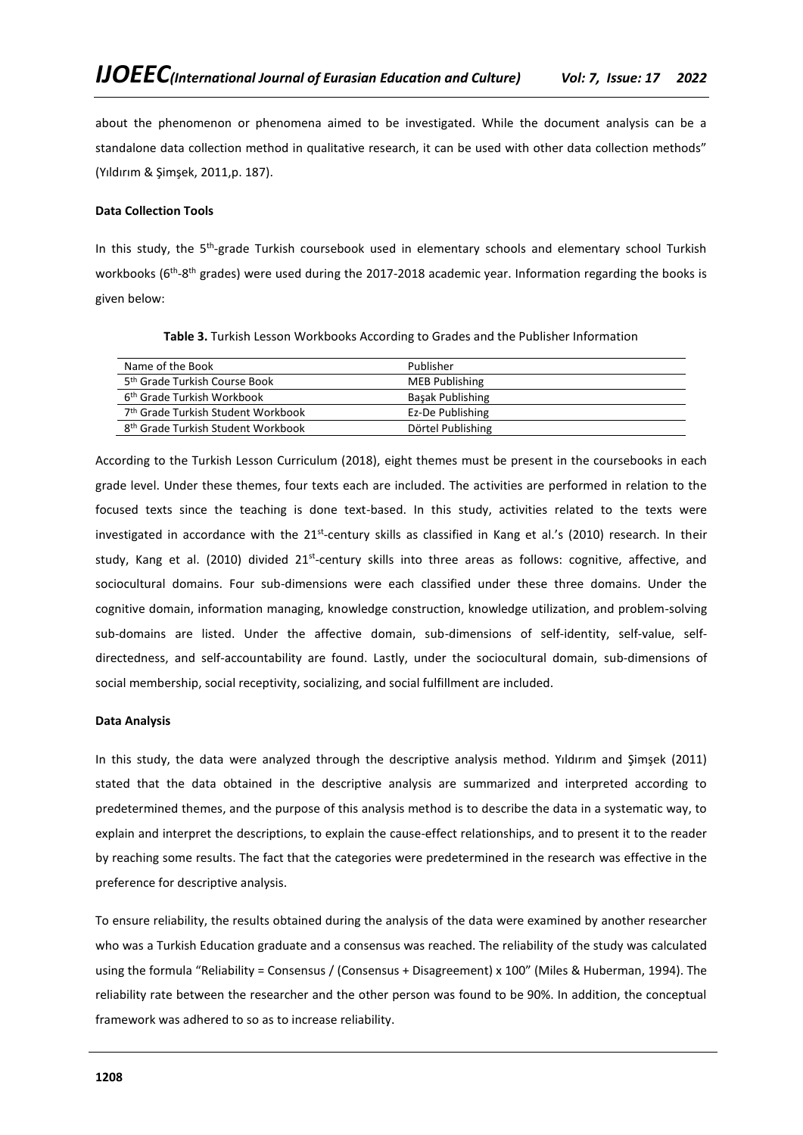about the phenomenon or phenomena aimed to be investigated. While the document analysis can be a standalone data collection method in qualitative research, it can be used with other data collection methods" (Yıldırım & Şimşek, 2011,p. 187).

# **Data Collection Tools**

In this study, the 5<sup>th</sup>-grade Turkish coursebook used in elementary schools and elementary school Turkish workbooks (6<sup>th</sup>-8<sup>th</sup> grades) were used during the 2017-2018 academic year. Information regarding the books is given below:

| Name of the Book                               | Publisher               |
|------------------------------------------------|-------------------------|
| 5 <sup>th</sup> Grade Turkish Course Book      | <b>MEB Publishing</b>   |
| 6 <sup>th</sup> Grade Turkish Workbook         | <b>Basak Publishing</b> |
| 7 <sup>th</sup> Grade Turkish Student Workbook | Ez-De Publishing        |
| 8 <sup>th</sup> Grade Turkish Student Workbook | Dörtel Publishing       |

**Table 3.** Turkish Lesson Workbooks According to Grades and the Publisher Information

According to the Turkish Lesson Curriculum (2018), eight themes must be present in the coursebooks in each grade level. Under these themes, four texts each are included. The activities are performed in relation to the focused texts since the teaching is done text-based. In this study, activities related to the texts were investigated in accordance with the 21<sup>st</sup>-century skills as classified in Kang et al.'s (2010) research. In their study, Kang et al. (2010) divided 21<sup>st</sup>-century skills into three areas as follows: cognitive, affective, and sociocultural domains. Four sub-dimensions were each classified under these three domains. Under the cognitive domain, information managing, knowledge construction, knowledge utilization, and problem-solving sub-domains are listed. Under the affective domain, sub-dimensions of self-identity, self-value, selfdirectedness, and self-accountability are found. Lastly, under the sociocultural domain, sub-dimensions of social membership, social receptivity, socializing, and social fulfillment are included.

### **Data Analysis**

In this study, the data were analyzed through the descriptive analysis method. Yıldırım and Şimşek (2011) stated that the data obtained in the descriptive analysis are summarized and interpreted according to predetermined themes, and the purpose of this analysis method is to describe the data in a systematic way, to explain and interpret the descriptions, to explain the cause-effect relationships, and to present it to the reader by reaching some results. The fact that the categories were predetermined in the research was effective in the preference for descriptive analysis.

To ensure reliability, the results obtained during the analysis of the data were examined by another researcher who was a Turkish Education graduate and a consensus was reached. The reliability of the study was calculated using the formula "Reliability = Consensus / (Consensus + Disagreement) x 100" (Miles & Huberman, 1994). The reliability rate between the researcher and the other person was found to be 90%. In addition, the conceptual framework was adhered to so as to increase reliability.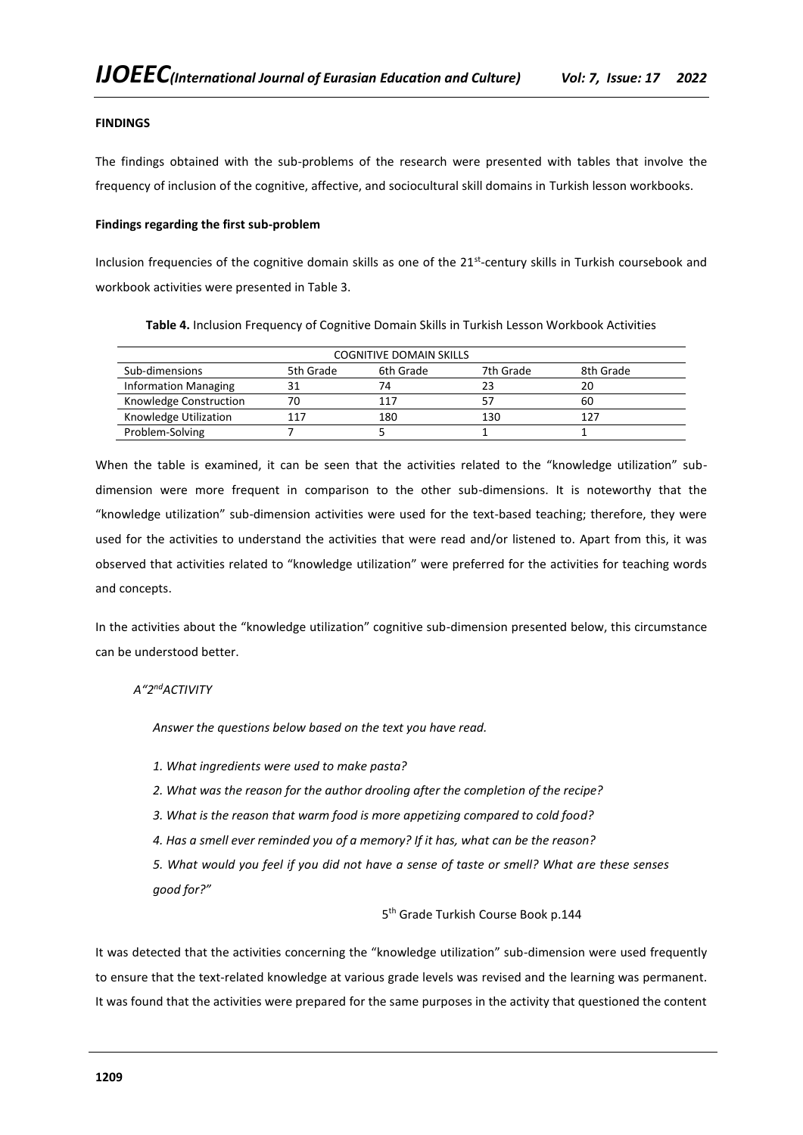## **FINDINGS**

The findings obtained with the sub-problems of the research were presented with tables that involve the frequency of inclusion of the cognitive, affective, and sociocultural skill domains in Turkish lesson workbooks.

### **Findings regarding the first sub-problem**

Inclusion frequencies of the cognitive domain skills as one of the 21<sup>st</sup>-century skills in Turkish coursebook and workbook activities were presented in Table 3.

| <b>COGNITIVE DOMAIN SKILLS</b> |           |           |           |           |
|--------------------------------|-----------|-----------|-----------|-----------|
| Sub-dimensions                 | 5th Grade | 6th Grade | 7th Grade | 8th Grade |
| <b>Information Managing</b>    |           | 74        | 23        | 20        |
| Knowledge Construction         | 70        | 117       |           | 60        |
| Knowledge Utilization          | 117       | 180       | 130       | 127       |
| Problem-Solving                |           |           |           |           |

**Table 4.** Inclusion Frequency of Cognitive Domain Skills in Turkish Lesson Workbook Activities

When the table is examined, it can be seen that the activities related to the "knowledge utilization" subdimension were more frequent in comparison to the other sub-dimensions. It is noteworthy that the "knowledge utilization" sub-dimension activities were used for the text-based teaching; therefore, they were used for the activities to understand the activities that were read and/or listened to. Apart from this, it was observed that activities related to "knowledge utilization" were preferred for the activities for teaching words and concepts.

In the activities about the "knowledge utilization" cognitive sub-dimension presented below, this circumstance can be understood better.

# *A"2ndACTIVITY*

*Answer the questions below based on the text you have read.*

*1. What ingredients were used to make pasta?*

- *2. What was the reason for the author drooling after the completion of the recipe?*
- *3. What is the reason that warm food is more appetizing compared to cold food?*
- *4. Has a smell ever reminded you of a memory? If it has, what can be the reason?*

*5. What would you feel if you did not have a sense of taste or smell? What are these senses good for?"*

### 5 th Grade Turkish Course Book p.144

It was detected that the activities concerning the "knowledge utilization" sub-dimension were used frequently to ensure that the text-related knowledge at various grade levels was revised and the learning was permanent. It was found that the activities were prepared for the same purposes in the activity that questioned the content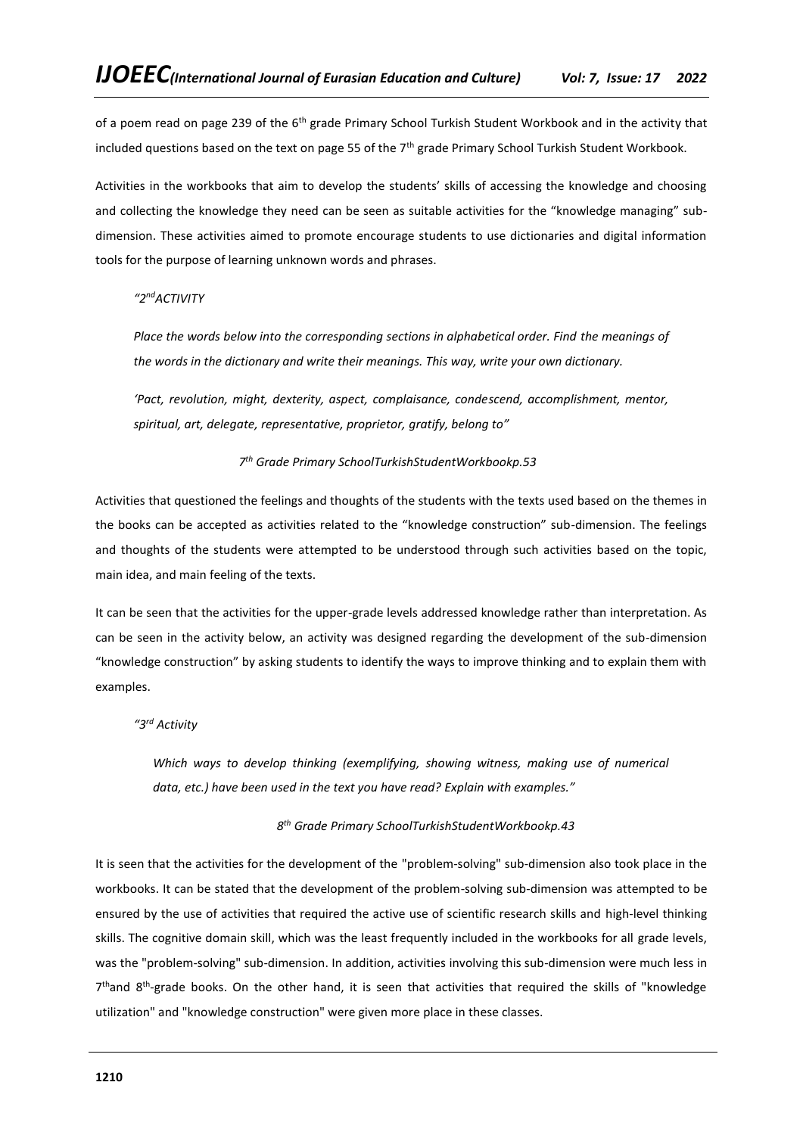of a poem read on page 239 of the  $6<sup>th</sup>$  grade Primary School Turkish Student Workbook and in the activity that included questions based on the text on page 55 of the  $7<sup>th</sup>$  grade Primary School Turkish Student Workbook.

Activities in the workbooks that aim to develop the students' skills of accessing the knowledge and choosing and collecting the knowledge they need can be seen as suitable activities for the "knowledge managing" subdimension. These activities aimed to promote encourage students to use dictionaries and digital information tools for the purpose of learning unknown words and phrases.

# *"2ndACTIVITY*

Place the words below into the corresponding sections in alphabetical order. Find the meanings of *the words in the dictionary and write their meanings. This way, write your own dictionary.*

*'Pact, revolution, might, dexterity, aspect, complaisance, condescend, accomplishment, mentor, spiritual, art, delegate, representative, proprietor, gratify, belong to"*

### *7 th Grade Primary SchoolTurkishStudentWorkbookp.53*

Activities that questioned the feelings and thoughts of the students with the texts used based on the themes in the books can be accepted as activities related to the "knowledge construction" sub-dimension. The feelings and thoughts of the students were attempted to be understood through such activities based on the topic, main idea, and main feeling of the texts.

It can be seen that the activities for the upper-grade levels addressed knowledge rather than interpretation. As can be seen in the activity below, an activity was designed regarding the development of the sub-dimension "knowledge construction" by asking students to identify the ways to improve thinking and to explain them with examples.

# *"3rd Activity*

*Which ways to develop thinking (exemplifying, showing witness, making use of numerical data, etc.) have been used in the text you have read? Explain with examples."*

## *8 th Grade Primary SchoolTurkishStudentWorkbookp.43*

It is seen that the activities for the development of the "problem-solving" sub-dimension also took place in the workbooks. It can be stated that the development of the problem-solving sub-dimension was attempted to be ensured by the use of activities that required the active use of scientific research skills and high-level thinking skills. The cognitive domain skill, which was the least frequently included in the workbooks for all grade levels, was the "problem-solving" sub-dimension. In addition, activities involving this sub-dimension were much less in 7<sup>th</sup>and 8<sup>th</sup>-grade books. On the other hand, it is seen that activities that required the skills of "knowledge utilization" and "knowledge construction" were given more place in these classes.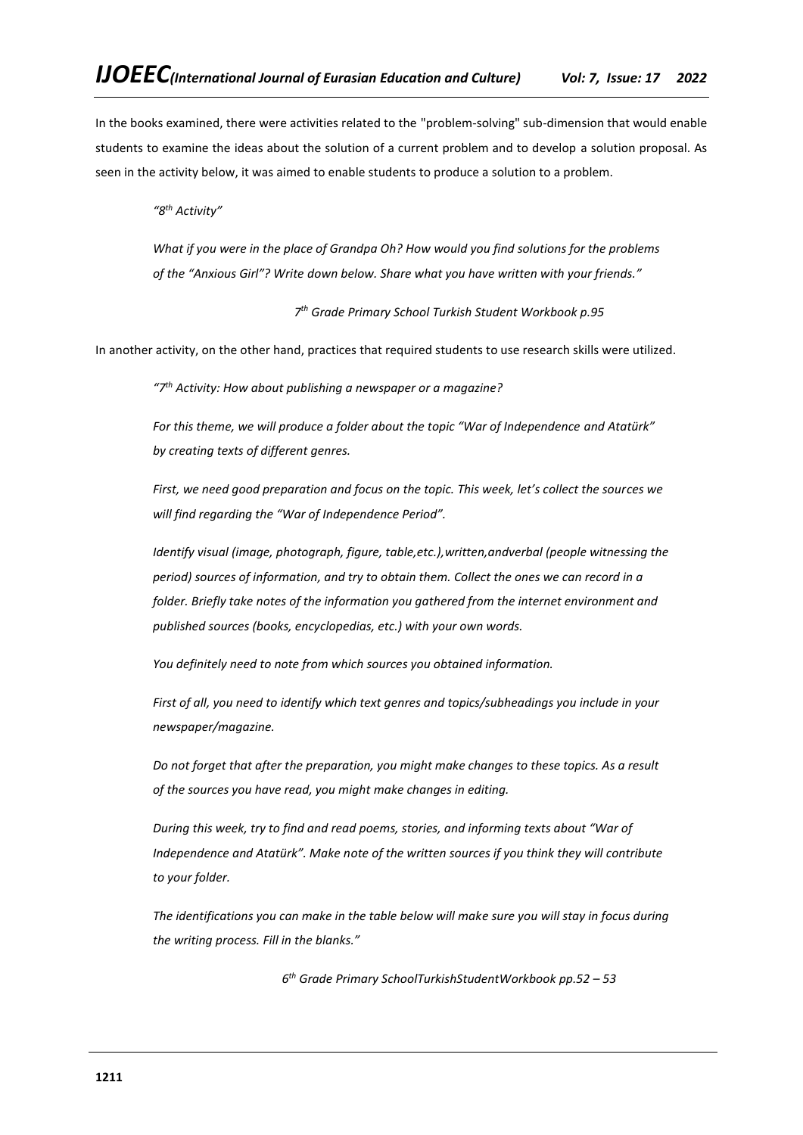In the books examined, there were activities related to the "problem-solving" sub-dimension that would enable students to examine the ideas about the solution of a current problem and to develop a solution proposal. As seen in the activity below, it was aimed to enable students to produce a solution to a problem.

*"8th Activity"*

*What if you were in the place of Grandpa Oh? How would you find solutions for the problems of the "Anxious Girl"? Write down below. Share what you have written with your friends."*

*7 th Grade Primary School Turkish Student Workbook p.95*

In another activity, on the other hand, practices that required students to use research skills were utilized.

*"7th Activity: How about publishing a newspaper or a magazine?*

*For this theme, we will produce a folder about the topic "War of Independence and Atatürk" by creating texts of different genres.*

*First, we need good preparation and focus on the topic. This week, let's collect the sources we will find regarding the "War of Independence Period".*

*Identify visual (image, photograph, figure, table,etc.),written,andverbal (people witnessing the period) sources of information, and try to obtain them. Collect the ones we can record in a folder. Briefly take notes of the information you gathered from the internet environment and published sources (books, encyclopedias, etc.) with your own words.*

*You definitely need to note from which sources you obtained information.*

*First of all, you need to identify which text genres and topics/subheadings you include in your newspaper/magazine.*

*Do not forget that after the preparation, you might make changes to these topics. As a result of the sources you have read, you might make changes in editing.*

*During this week, try to find and read poems, stories, and informing texts about "War of Independence and Atatürk". Make note of the written sources if you think they will contribute to your folder.*

*The identifications you can make in the table below will make sure you will stay in focus during the writing process. Fill in the blanks."*

*6 th Grade Primary SchoolTurkishStudentWorkbook pp.52 – 53*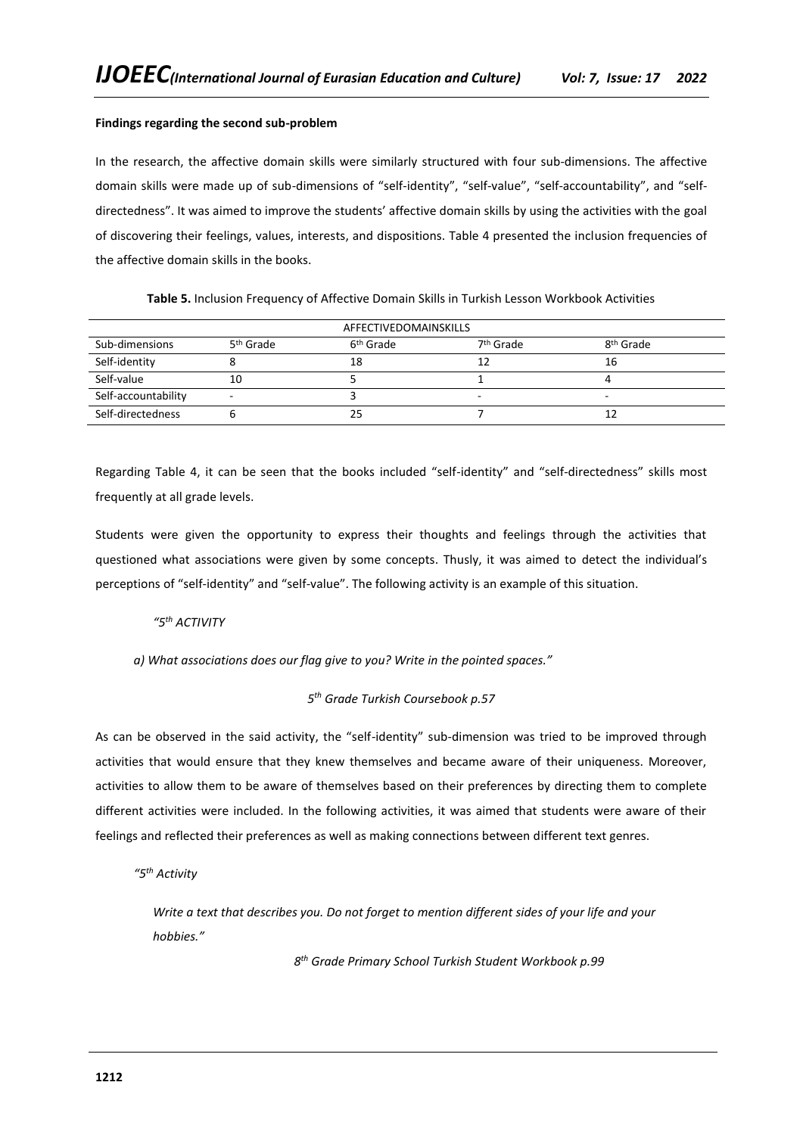### **Findings regarding the second sub-problem**

In the research, the affective domain skills were similarly structured with four sub-dimensions. The affective domain skills were made up of sub-dimensions of "self-identity", "self-value", "self-accountability", and "selfdirectedness". It was aimed to improve the students' affective domain skills by using the activities with the goal of discovering their feelings, values, interests, and dispositions. Table 4 presented the inclusion frequencies of the affective domain skills in the books.

**Table 5.** Inclusion Frequency of Affective Domain Skills in Turkish Lesson Workbook Activities

| AFFECTIVEDOMAINSKILLS |                          |                       |                          |                       |
|-----------------------|--------------------------|-----------------------|--------------------------|-----------------------|
| Sub-dimensions        | 5 <sup>th</sup> Grade    | 6 <sup>th</sup> Grade | 7 <sup>th</sup> Grade    | 8 <sup>th</sup> Grade |
| Self-identity         |                          | 18                    | 12                       | 16                    |
| Self-value            | 10                       |                       |                          |                       |
| Self-accountability   | $\overline{\phantom{a}}$ |                       | $\overline{\phantom{0}}$ | -                     |
| Self-directedness     |                          | 25                    |                          |                       |

Regarding Table 4, it can be seen that the books included "self-identity" and "self-directedness" skills most frequently at all grade levels.

Students were given the opportunity to express their thoughts and feelings through the activities that questioned what associations were given by some concepts. Thusly, it was aimed to detect the individual's perceptions of "self-identity" and "self-value". The following activity is an example of this situation.

# *"5th ACTIVITY*

*a) What associations does our flag give to you? Write in the pointed spaces."*

# *5 th Grade Turkish Coursebook p.57*

As can be observed in the said activity, the "self-identity" sub-dimension was tried to be improved through activities that would ensure that they knew themselves and became aware of their uniqueness. Moreover, activities to allow them to be aware of themselves based on their preferences by directing them to complete different activities were included. In the following activities, it was aimed that students were aware of their feelings and reflected their preferences as well as making connections between different text genres.

*"5th Activity*

Write a text that describes you. Do not forget to mention different sides of your life and your *hobbies."*

*8 th Grade Primary School Turkish Student Workbook p.99*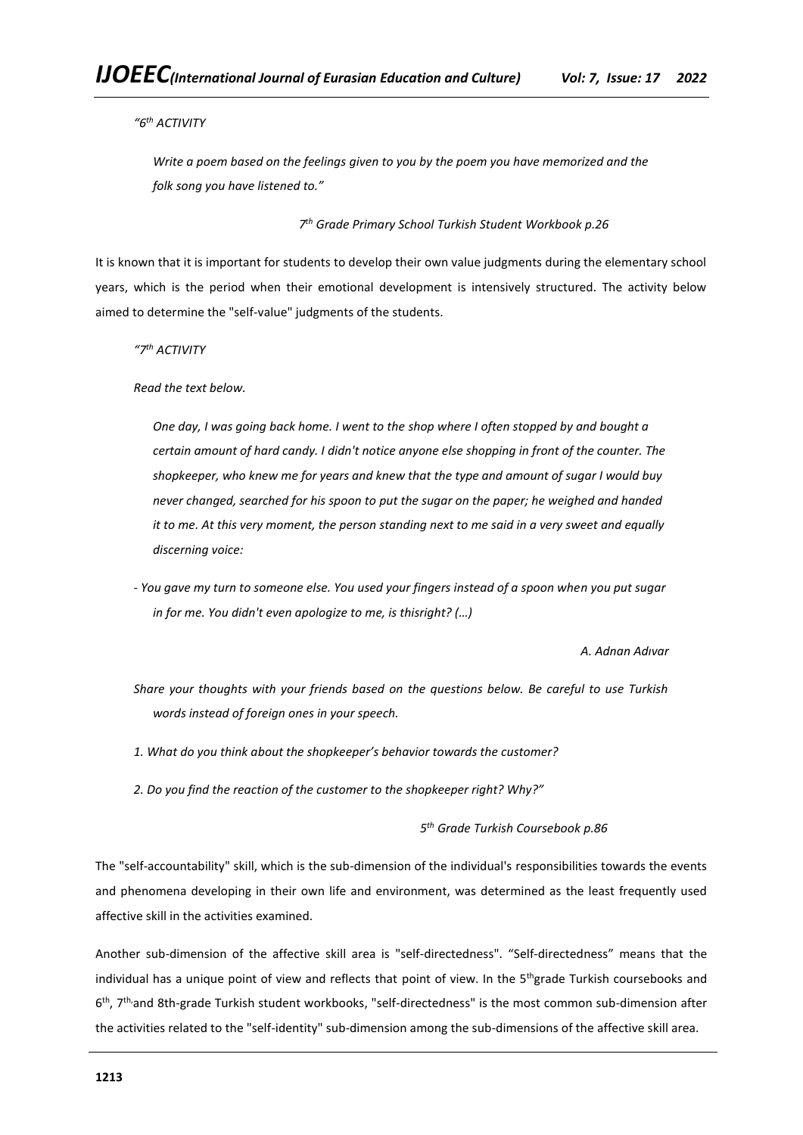*"6th ACTIVITY*

*Write a poem based on the feelings given to you by the poem you have memorized and the folk song you have listened to."*

*7 th Grade Primary School Turkish Student Workbook p.26*

It is known that it is important for students to develop their own value judgments during the elementary school years, which is the period when their emotional development is intensively structured. The activity below aimed to determine the "self-value" judgments of the students.

*"7th ACTIVITY*

*Read the text below.*

*One day, I was going back home. I went to the shop where I often stopped by and bought a certain amount of hard candy. I didn't notice anyone else shopping in front of the counter. The shopkeeper, who knew me for years and knew that the type and amount of sugar I would buy never changed, searched for his spoon to put the sugar on the paper; he weighed and handed it to me. At this very moment, the person standing next to me said in a very sweet and equally discerning voice:*

*- You gave my turn to someone else. You used your fingers instead of a spoon when you put sugar in for me. You didn't even apologize to me, is thisright? (…)*

*A. Adnan Adıvar*

*Share your thoughts with your friends based on the questions below. Be careful to use Turkish words instead of foreign ones in your speech.*

*1. What do you think about the shopkeeper's behavior towards the customer?*

*2. Do you find the reaction of the customer to the shopkeeper right? Why?"*

*5 th Grade Turkish Coursebook p.86*

The "self-accountability" skill, which is the sub-dimension of the individual's responsibilities towards the events and phenomena developing in their own life and environment, was determined as the least frequently used affective skill in the activities examined.

Another sub-dimension of the affective skill area is "self-directedness". "Self-directedness" means that the individual has a unique point of view and reflects that point of view. In the 5<sup>th</sup>grade Turkish coursebooks and 6 th, 7th,and 8th-grade Turkish student workbooks, "self-directedness" is the most common sub-dimension after the activities related to the "self-identity" sub-dimension among the sub-dimensions of the affective skill area.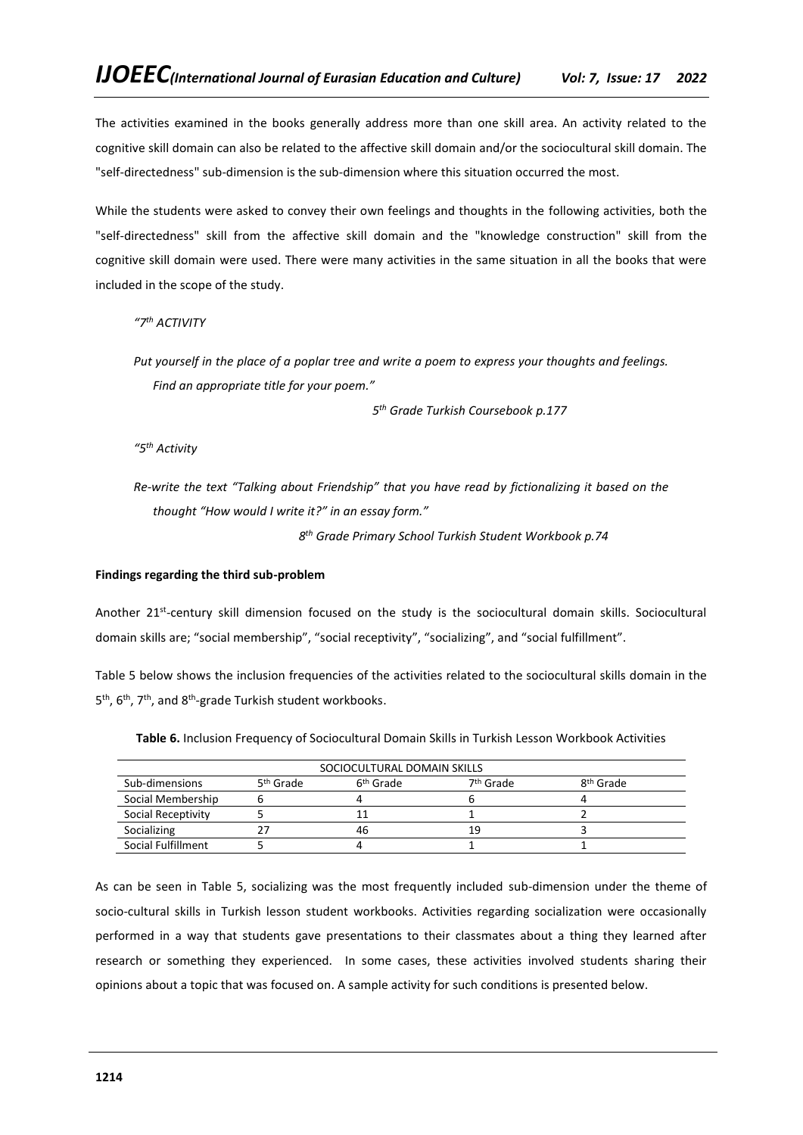The activities examined in the books generally address more than one skill area. An activity related to the cognitive skill domain can also be related to the affective skill domain and/or the sociocultural skill domain. The "self-directedness" sub-dimension is the sub-dimension where this situation occurred the most.

While the students were asked to convey their own feelings and thoughts in the following activities, both the "self-directedness" skill from the affective skill domain and the "knowledge construction" skill from the cognitive skill domain were used. There were many activities in the same situation in all the books that were included in the scope of the study.

*"7th ACTIVITY*

*Put yourself in the place of a poplar tree and write a poem to express your thoughts and feelings. Find an appropriate title for your poem."*

*5 th Grade Turkish Coursebook p.177*

*"5th Activity*

*Re-write the text "Talking about Friendship" that you have read by fictionalizing it based on the thought "How would I write it?" in an essay form."*

*8 th Grade Primary School Turkish Student Workbook p.74*

### **Findings regarding the third sub-problem**

Another 21<sup>st</sup>-century skill dimension focused on the study is the sociocultural domain skills. Sociocultural domain skills are; "social membership", "social receptivity", "socializing", and "social fulfillment".

Table 5 below shows the inclusion frequencies of the activities related to the sociocultural skills domain in the 5<sup>th</sup>, 6<sup>th</sup>, 7<sup>th</sup>, and 8<sup>th</sup>-grade Turkish student workbooks.

**Table 6.** Inclusion Frequency of Sociocultural Domain Skills in Turkish Lesson Workbook Activities

| SOCIOCULTURAL DOMAIN SKILLS |                       |                       |                       |                       |
|-----------------------------|-----------------------|-----------------------|-----------------------|-----------------------|
| Sub-dimensions              | 5 <sup>th</sup> Grade | 6 <sup>th</sup> Grade | 7 <sup>th</sup> Grade | 8 <sup>th</sup> Grade |
| Social Membership           |                       |                       |                       |                       |
| Social Receptivity          |                       |                       |                       |                       |
| Socializing                 |                       | 46                    | 19                    |                       |
| Social Fulfillment          |                       |                       |                       |                       |

As can be seen in Table 5, socializing was the most frequently included sub-dimension under the theme of socio-cultural skills in Turkish lesson student workbooks. Activities regarding socialization were occasionally performed in a way that students gave presentations to their classmates about a thing they learned after research or something they experienced. In some cases, these activities involved students sharing their opinions about a topic that was focused on. A sample activity for such conditions is presented below.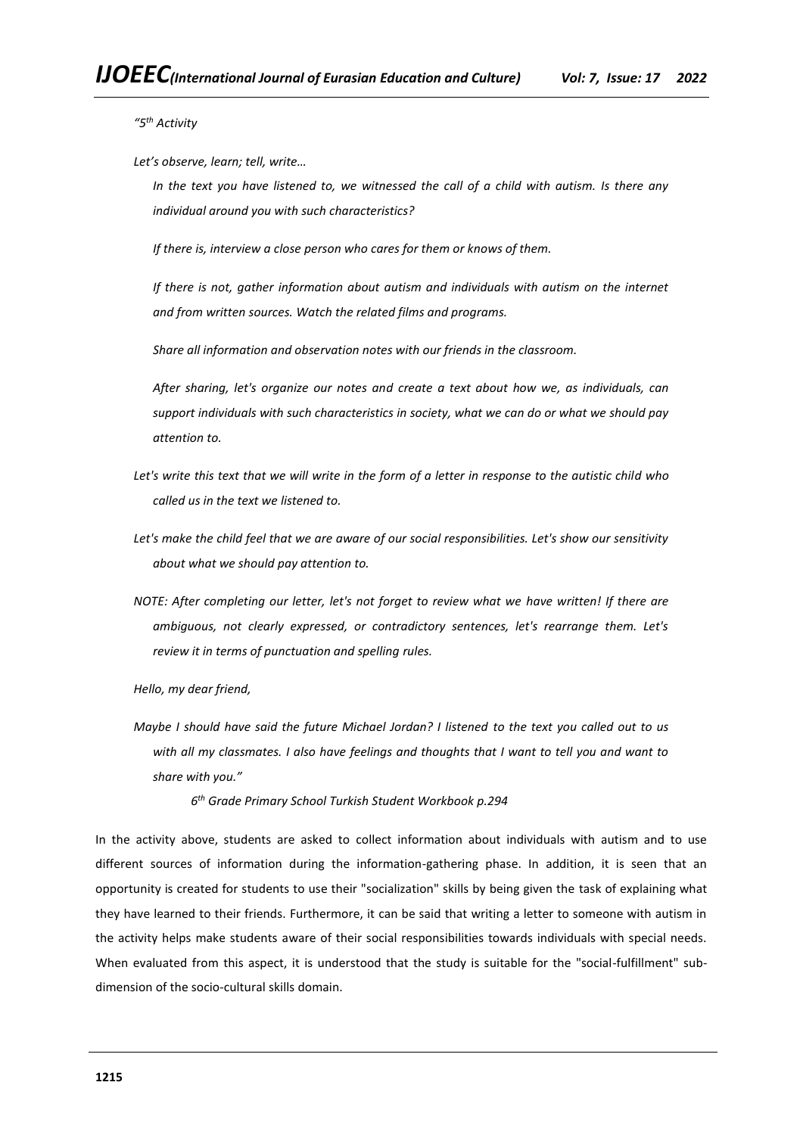*"5th Activity*

*Let's observe, learn; tell, write…*

In the text you have listened to, we witnessed the call of a child with autism. Is there any *individual around you with such characteristics?*

*If there is, interview a close person who cares for them or knows of them.*

*If there is not, gather information about autism and individuals with autism on the internet and from written sources. Watch the related films and programs.*

*Share all information and observation notes with our friends in the classroom.*

*After sharing, let's organize our notes and create a text about how we, as individuals, can support individuals with such characteristics in society, what we can do or what we should pay attention to.*

- *Let's write this text that we will write in the form of a letter in response to the autistic child who called us in the text we listened to.*
- Let's make the child feel that we are aware of our social responsibilities. Let's show our sensitivity *about what we should pay attention to.*
- *NOTE: After completing our letter, let's not forget to review what we have written! If there are ambiguous, not clearly expressed, or contradictory sentences, let's rearrange them. Let's review it in terms of punctuation and spelling rules.*

*Hello, my dear friend,*

*Maybe I should have said the future Michael Jordan? I listened to the text you called out to us*  with all my classmates. I also have feelings and thoughts that I want to tell you and want to *share with you."*

*6 th Grade Primary School Turkish Student Workbook p.294*

In the activity above, students are asked to collect information about individuals with autism and to use different sources of information during the information-gathering phase. In addition, it is seen that an opportunity is created for students to use their "socialization" skills by being given the task of explaining what they have learned to their friends. Furthermore, it can be said that writing a letter to someone with autism in the activity helps make students aware of their social responsibilities towards individuals with special needs. When evaluated from this aspect, it is understood that the study is suitable for the "social-fulfillment" subdimension of the socio-cultural skills domain.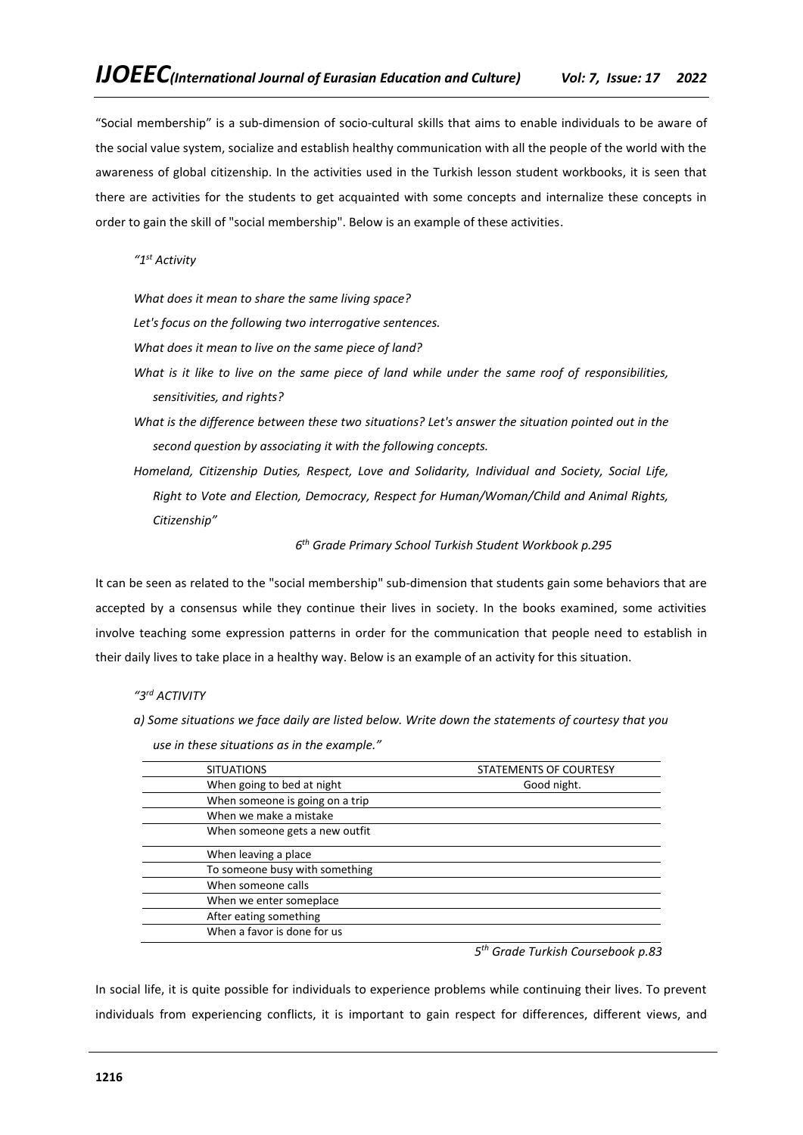"Social membership" is a sub-dimension of socio-cultural skills that aims to enable individuals to be aware of the social value system, socialize and establish healthy communication with all the people of the world with the awareness of global citizenship. In the activities used in the Turkish lesson student workbooks, it is seen that there are activities for the students to get acquainted with some concepts and internalize these concepts in order to gain the skill of "social membership". Below is an example of these activities.

*"1st Activity*

*What does it mean to share the same living space?*

*Let's focus on the following two interrogative sentences.*

*What does it mean to live on the same piece of land?*

*use in these situations as in the example."*

- *What is it like to live on the same piece of land while under the same roof of responsibilities, sensitivities, and rights?*
- *What is the difference between these two situations? Let's answer the situation pointed out in the second question by associating it with the following concepts.*
- *Homeland, Citizenship Duties, Respect, Love and Solidarity, Individual and Society, Social Life, Right to Vote and Election, Democracy, Respect for Human/Woman/Child and Animal Rights, Citizenship"*

*6 th Grade Primary School Turkish Student Workbook p.295*

It can be seen as related to the "social membership" sub-dimension that students gain some behaviors that are accepted by a consensus while they continue their lives in society. In the books examined, some activities involve teaching some expression patterns in order for the communication that people need to establish in their daily lives to take place in a healthy way. Below is an example of an activity for this situation.

# *"3rd ACTIVITY*

*a) Some situations we face daily are listed below. Write down the statements of courtesy that you* 

| <b>SITUATIONS</b>               | STATEMENTS OF COURTESY |
|---------------------------------|------------------------|
| When going to bed at night      | Good night.            |
| When someone is going on a trip |                        |
| When we make a mistake          |                        |
| When someone gets a new outfit  |                        |
| When leaving a place            |                        |
| To someone busy with something  |                        |
| When someone calls              |                        |
| When we enter someplace         |                        |
| After eating something          |                        |
| When a favor is done for us     |                        |
|                                 | $\overline{a}$         |

*5 th Grade Turkish Coursebook p.83*

In social life, it is quite possible for individuals to experience problems while continuing their lives. To prevent individuals from experiencing conflicts, it is important to gain respect for differences, different views, and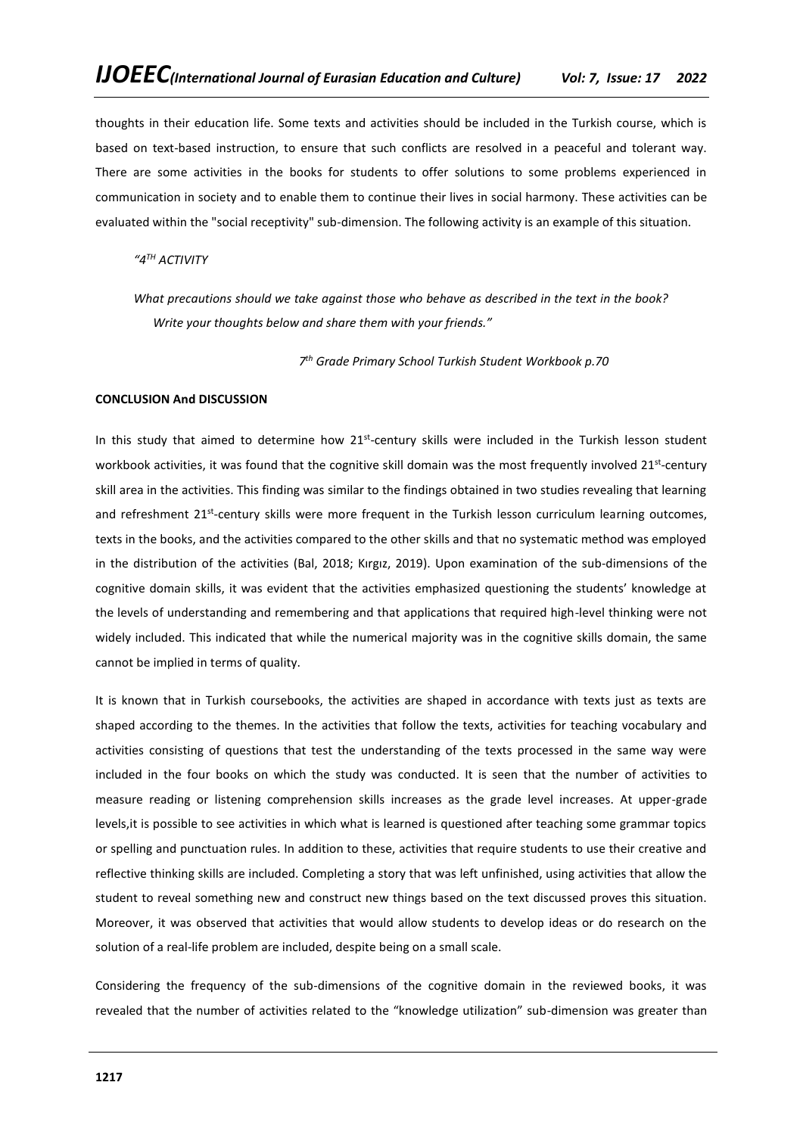thoughts in their education life. Some texts and activities should be included in the Turkish course, which is based on text-based instruction, to ensure that such conflicts are resolved in a peaceful and tolerant way. There are some activities in the books for students to offer solutions to some problems experienced in communication in society and to enable them to continue their lives in social harmony. These activities can be evaluated within the "social receptivity" sub-dimension. The following activity is an example of this situation.

*"4TH ACTIVITY*

*What precautions should we take against those who behave as described in the text in the book? Write your thoughts below and share them with your friends."*

*7 th Grade Primary School Turkish Student Workbook p.70*

#### **CONCLUSION And DISCUSSION**

In this study that aimed to determine how 21<sup>st</sup>-century skills were included in the Turkish lesson student workbook activities, it was found that the cognitive skill domain was the most frequently involved 21<sup>st</sup>-century skill area in the activities. This finding was similar to the findings obtained in two studies revealing that learning and refreshment 21<sup>st</sup>-century skills were more frequent in the Turkish lesson curriculum learning outcomes, texts in the books, and the activities compared to the other skills and that no systematic method was employed in the distribution of the activities (Bal, 2018; Kırgız, 2019). Upon examination of the sub-dimensions of the cognitive domain skills, it was evident that the activities emphasized questioning the students' knowledge at the levels of understanding and remembering and that applications that required high-level thinking were not widely included. This indicated that while the numerical majority was in the cognitive skills domain, the same cannot be implied in terms of quality.

It is known that in Turkish coursebooks, the activities are shaped in accordance with texts just as texts are shaped according to the themes. In the activities that follow the texts, activities for teaching vocabulary and activities consisting of questions that test the understanding of the texts processed in the same way were included in the four books on which the study was conducted. It is seen that the number of activities to measure reading or listening comprehension skills increases as the grade level increases. At upper-grade levels,it is possible to see activities in which what is learned is questioned after teaching some grammar topics or spelling and punctuation rules. In addition to these, activities that require students to use their creative and reflective thinking skills are included. Completing a story that was left unfinished, using activities that allow the student to reveal something new and construct new things based on the text discussed proves this situation. Moreover, it was observed that activities that would allow students to develop ideas or do research on the solution of a real-life problem are included, despite being on a small scale.

Considering the frequency of the sub-dimensions of the cognitive domain in the reviewed books, it was revealed that the number of activities related to the "knowledge utilization" sub-dimension was greater than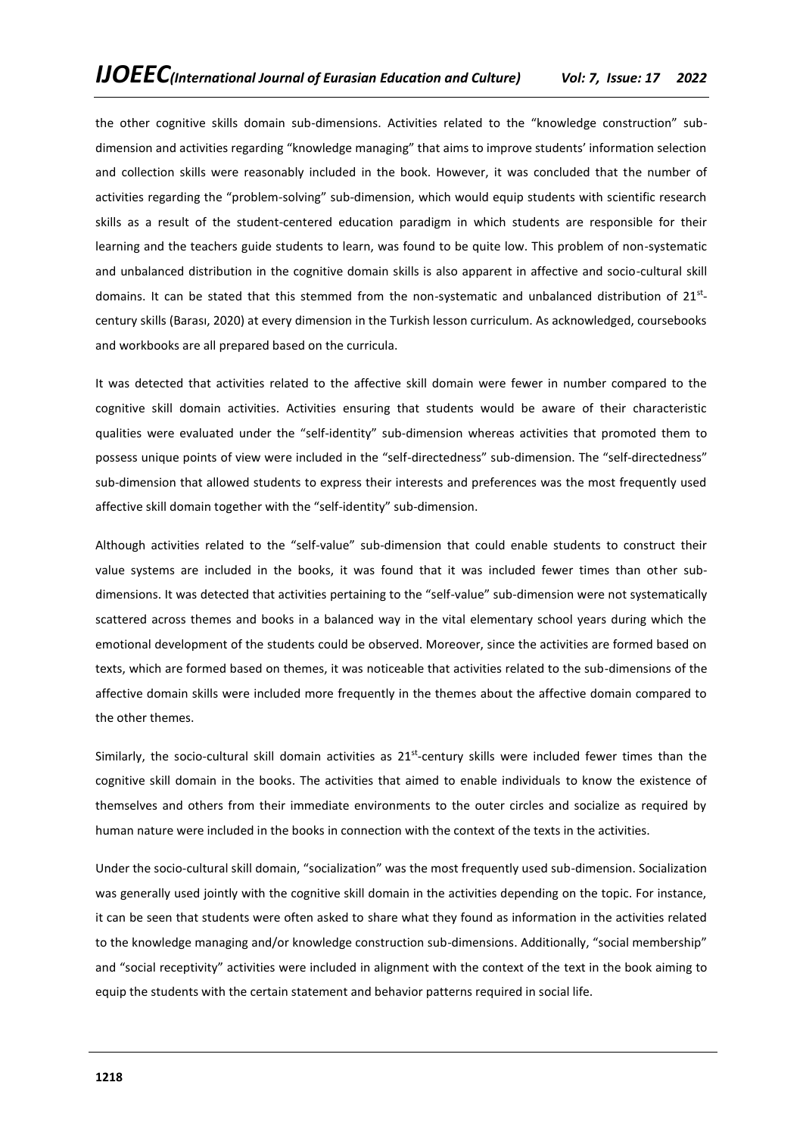the other cognitive skills domain sub-dimensions. Activities related to the "knowledge construction" subdimension and activities regarding "knowledge managing" that aims to improve students' information selection and collection skills were reasonably included in the book. However, it was concluded that the number of activities regarding the "problem-solving" sub-dimension, which would equip students with scientific research skills as a result of the student-centered education paradigm in which students are responsible for their learning and the teachers guide students to learn, was found to be quite low. This problem of non-systematic and unbalanced distribution in the cognitive domain skills is also apparent in affective and socio-cultural skill domains. It can be stated that this stemmed from the non-systematic and unbalanced distribution of 21<sup>st</sup>century skills (Barası, 2020) at every dimension in the Turkish lesson curriculum. As acknowledged, coursebooks and workbooks are all prepared based on the curricula.

It was detected that activities related to the affective skill domain were fewer in number compared to the cognitive skill domain activities. Activities ensuring that students would be aware of their characteristic qualities were evaluated under the "self-identity" sub-dimension whereas activities that promoted them to possess unique points of view were included in the "self-directedness" sub-dimension. The "self-directedness" sub-dimension that allowed students to express their interests and preferences was the most frequently used affective skill domain together with the "self-identity" sub-dimension.

Although activities related to the "self-value" sub-dimension that could enable students to construct their value systems are included in the books, it was found that it was included fewer times than other subdimensions. It was detected that activities pertaining to the "self-value" sub-dimension were not systematically scattered across themes and books in a balanced way in the vital elementary school years during which the emotional development of the students could be observed. Moreover, since the activities are formed based on texts, which are formed based on themes, it was noticeable that activities related to the sub-dimensions of the affective domain skills were included more frequently in the themes about the affective domain compared to the other themes.

Similarly, the socio-cultural skill domain activities as 21<sup>st</sup>-century skills were included fewer times than the cognitive skill domain in the books. The activities that aimed to enable individuals to know the existence of themselves and others from their immediate environments to the outer circles and socialize as required by human nature were included in the books in connection with the context of the texts in the activities.

Under the socio-cultural skill domain, "socialization" was the most frequently used sub-dimension. Socialization was generally used jointly with the cognitive skill domain in the activities depending on the topic. For instance, it can be seen that students were often asked to share what they found as information in the activities related to the knowledge managing and/or knowledge construction sub-dimensions. Additionally, "social membership" and "social receptivity" activities were included in alignment with the context of the text in the book aiming to equip the students with the certain statement and behavior patterns required in social life.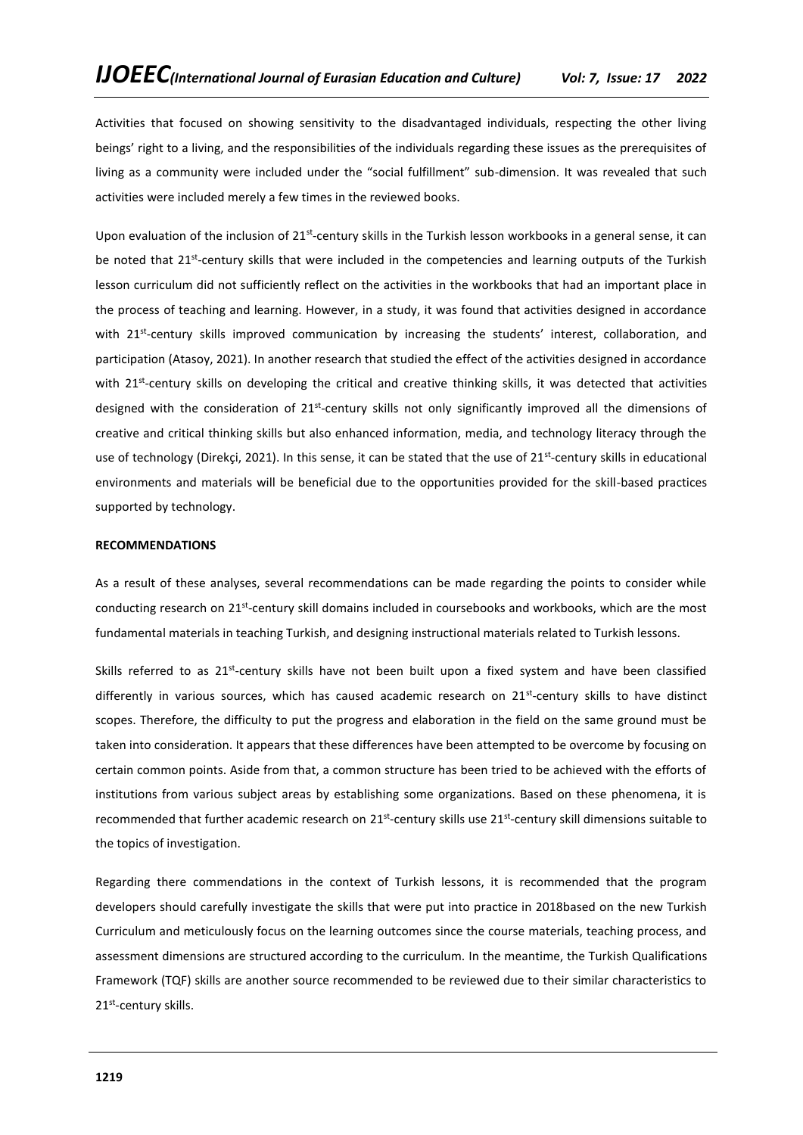Activities that focused on showing sensitivity to the disadvantaged individuals, respecting the other living beings' right to a living, and the responsibilities of the individuals regarding these issues as the prerequisites of living as a community were included under the "social fulfillment" sub-dimension. It was revealed that such activities were included merely a few times in the reviewed books.

Upon evaluation of the inclusion of 21<sup>st</sup>-century skills in the Turkish lesson workbooks in a general sense, it can be noted that 21<sup>st</sup>-century skills that were included in the competencies and learning outputs of the Turkish lesson curriculum did not sufficiently reflect on the activities in the workbooks that had an important place in the process of teaching and learning. However, in a study, it was found that activities designed in accordance with 21<sup>st</sup>-century skills improved communication by increasing the students' interest, collaboration, and participation (Atasoy, 2021). In another research that studied the effect of the activities designed in accordance with 21<sup>st</sup>-century skills on developing the critical and creative thinking skills, it was detected that activities designed with the consideration of 21<sup>st</sup>-century skills not only significantly improved all the dimensions of creative and critical thinking skills but also enhanced information, media, and technology literacy through the use of technology (Direkçi, 2021). In this sense, it can be stated that the use of 21<sup>st</sup>-century skills in educational environments and materials will be beneficial due to the opportunities provided for the skill-based practices supported by technology.

# **RECOMMENDATIONS**

As a result of these analyses, several recommendations can be made regarding the points to consider while conducting research on 21<sup>st</sup>-century skill domains included in coursebooks and workbooks, which are the most fundamental materials in teaching Turkish, and designing instructional materials related to Turkish lessons.

Skills referred to as 21<sup>st</sup>-century skills have not been built upon a fixed system and have been classified differently in various sources, which has caused academic research on 21<sup>st</sup>-century skills to have distinct scopes. Therefore, the difficulty to put the progress and elaboration in the field on the same ground must be taken into consideration. It appears that these differences have been attempted to be overcome by focusing on certain common points. Aside from that, a common structure has been tried to be achieved with the efforts of institutions from various subject areas by establishing some organizations. Based on these phenomena, it is recommended that further academic research on 21<sup>st</sup>-century skills use 21<sup>st</sup>-century skill dimensions suitable to the topics of investigation.

Regarding there commendations in the context of Turkish lessons, it is recommended that the program developers should carefully investigate the skills that were put into practice in 2018based on the new Turkish Curriculum and meticulously focus on the learning outcomes since the course materials, teaching process, and assessment dimensions are structured according to the curriculum. In the meantime, the Turkish Qualifications Framework (TQF) skills are another source recommended to be reviewed due to their similar characteristics to 21<sup>st</sup>-century skills.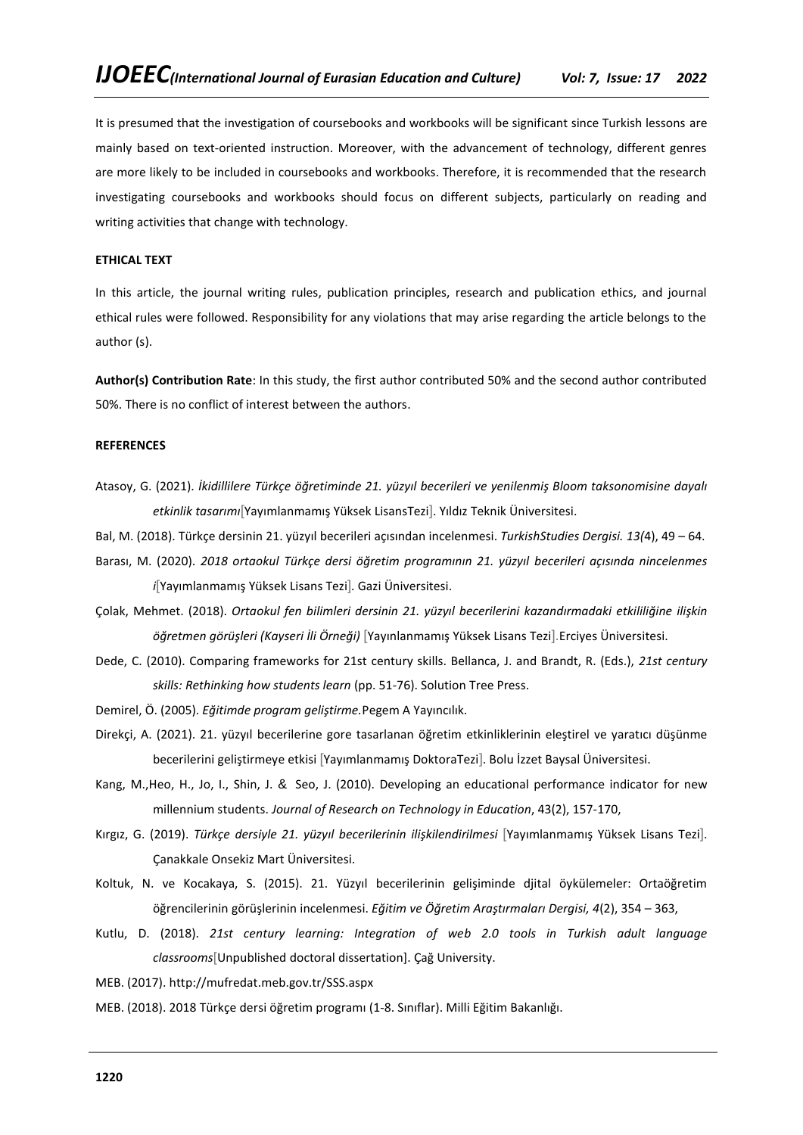It is presumed that the investigation of coursebooks and workbooks will be significant since Turkish lessons are mainly based on text-oriented instruction. Moreover, with the advancement of technology, different genres are more likely to be included in coursebooks and workbooks. Therefore, it is recommended that the research investigating coursebooks and workbooks should focus on different subjects, particularly on reading and writing activities that change with technology.

# **ETHICAL TEXT**

In this article, the journal writing rules, publication principles, research and publication ethics, and journal ethical rules were followed. Responsibility for any violations that may arise regarding the article belongs to the author (s).

**Author(s) Contribution Rate**: In this study, the first author contributed 50% and the second author contributed 50%. There is no conflict of interest between the authors.

### **REFERENCES**

- Atasoy, G. (2021). *İkidillilere Türkçe öğretiminde 21. yüzyıl becerileri ve yenilenmiş Bloom taksonomisine dayalı etkinlik tasarımı*[Yayımlanmamış Yüksek LisansTezi]. Yıldız Teknik Üniversitesi.
- Bal, M. (2018). Türkçe dersinin 21. yüzyıl becerileri açısından incelenmesi. *TurkishStudies Dergisi. 13(*4), 49 64.
- Barası, M. (2020). *2018 ortaokul Türkçe dersi öğretim programının 21. yüzyıl becerileri açısında nincelenmes i*[Yayımlanmamış Yüksek Lisans Tezi]. Gazi Üniversitesi.
- Çolak, Mehmet. (2018). *Ortaokul fen bilimleri dersinin 21. yüzyıl becerilerini kazandırmadaki etkililiğine ilişkin öğretmen görüşleri (Kayseri İli Örneği)* [Yayınlanmamış Yüksek Lisans Tezi].Erciyes Üniversitesi.
- Dede, C. (2010). Comparing frameworks for 21st century skills. Bellanca, J. and Brandt, R. (Eds.), *21st century skills: Rethinking how students learn* (pp. 51-76). Solution Tree Press.
- Demirel, Ö. (2005). *Eğitimde program geliştirme.*Pegem A Yayıncılık.
- Direkçi, A. (2021). 21. yüzyıl becerilerine gore tasarlanan öğretim etkinliklerinin eleştirel ve yaratıcı düşünme becerilerini geliştirmeye etkisi [Yayımlanmamış DoktoraTezi]. Bolu İzzet Baysal Üniversitesi.
- Kang, M.,Heo, H., Jo, I., Shin, J. & Seo, J. (2010). Developing an educational performance indicator for new millennium students. *Journal of Research on Technology in Education*, 43(2), 157-170,
- Kırgız, G. (2019). *Türkçe dersiyle 21. yüzyıl becerilerinin ilişkilendirilmesi* [Yayımlanmamış Yüksek Lisans Tezi]. Çanakkale Onsekiz Mart Üniversitesi.
- Koltuk, N. ve Kocakaya, S. (2015). 21. Yüzyıl becerilerinin gelişiminde djital öykülemeler: Ortaöğretim öğrencilerinin görüşlerinin incelenmesi. *Eğitim ve Öğretim Araştırmaları Dergisi, 4*(2), 354 – 363,
- Kutlu, D. (2018). *21st century learning: Integration of web 2.0 tools in Turkish adult language classrooms*[Unpublished doctoral dissertation]. Çağ University.
- MEB. (2017). http://mufredat.meb.gov.tr/SSS.aspx
- MEB. (2018). 2018 Türkçe dersi öğretim programı (1-8. Sınıflar). Milli Eğitim Bakanlığı.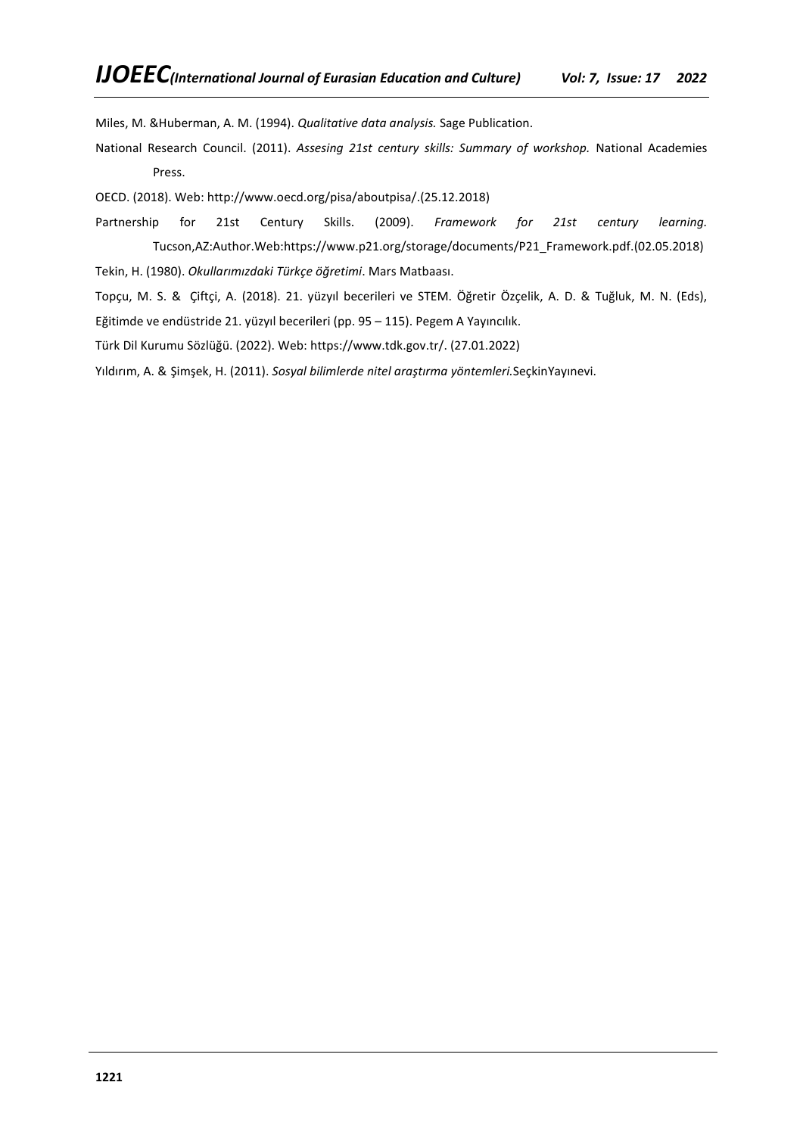Miles, M. &Huberman, A. M. (1994). *Qualitative data analysis.* Sage Publication.

National Research Council. (2011). *Assesing 21st century skills: Summary of workshop.* National Academies Press.

OECD. (2018). Web: [http://www.oecd.org/pisa/aboutpisa/.](http://www.oecd.org/pisa/aboutpisa/)(25.12.2018)

Partnership for 21st Century Skills. (2009). *Framework for 21st century learning.* Tucson,AZ:Author.Web[:https://www.p21.org/storage/documents/P21\\_Framework.pdf.](https://www.p21.org/storage/documents/P21_Framework.pdf)(02.05.2018) Tekin, H. (1980). *Okullarımızdaki Türkçe öğretimi*. Mars Matbaası.

Topçu, M. S. & Çiftçi, A. (2018). 21. yüzyıl becerileri ve STEM. Öğretir Özçelik, A. D. & Tuğluk, M. N. (Eds), Eğitimde ve endüstride 21. yüzyıl becerileri (pp. 95 – 115). Pegem A Yayıncılık.

Türk Dil Kurumu Sözlüğü. (2022). Web: [https://www.tdk.gov.tr/.](https://www.tdk.gov.tr/) (27.01.2022)

Yıldırım, A. & Şimşek, H. (2011). *Sosyal bilimlerde nitel araştırma yöntemleri.*SeçkinYayınevi.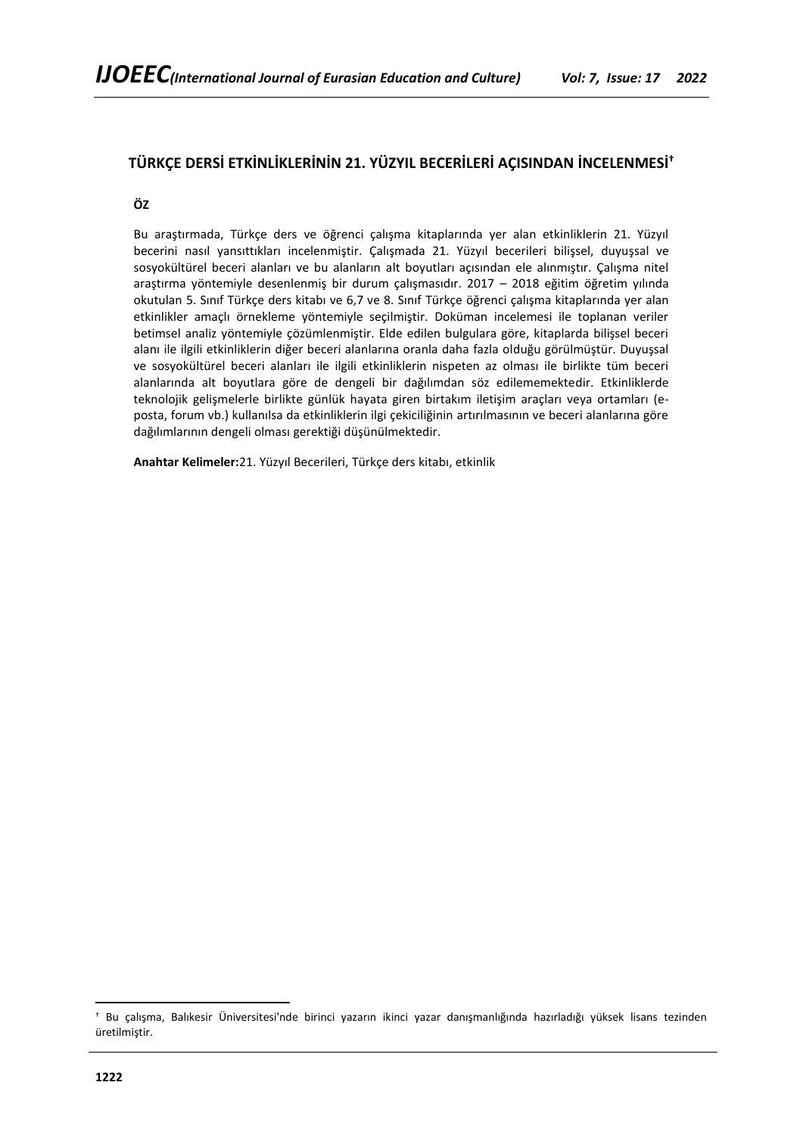# **TÜRKÇE DERSİ ETKİNLİKLERİNİN 21. YÜZYIL BECERİLERİ AÇISINDAN İNCELENMESİ†**

**ÖZ**

Bu araştırmada, Türkçe ders ve öğrenci çalışma kitaplarında yer alan etkinliklerin 21. Yüzyıl becerini nasıl yansıttıkları incelenmiştir. Çalışmada 21. Yüzyıl becerileri bilişsel, duyuşsal ve sosyokültürel beceri alanları ve bu alanların alt boyutları açısından ele alınmıştır. Çalışma nitel araştırma yöntemiyle desenlenmiş bir durum çalışmasıdır. 2017 – 2018 eğitim öğretim yılında okutulan 5. Sınıf Türkçe ders kitabı ve 6,7 ve 8. Sınıf Türkçe öğrenci çalışma kitaplarında yer alan etkinlikler amaçlı örnekleme yöntemiyle seçilmiştir. Doküman incelemesi ile toplanan veriler betimsel analiz yöntemiyle çözümlenmiştir. Elde edilen bulgulara göre, kitaplarda bilişsel beceri alanı ile ilgili etkinliklerin diğer beceri alanlarına oranla daha fazla olduğu görülmüştür. Duyuşsal ve sosyokültürel beceri alanları ile ilgili etkinliklerin nispeten az olması ile birlikte tüm beceri alanlarında alt boyutlara göre de dengeli bir dağılımdan söz edilememektedir. Etkinliklerde teknolojik gelişmelerle birlikte günlük hayata giren birtakım iletişim araçları veya ortamları (eposta, forum vb.) kullanılsa da etkinliklerin ilgi çekiciliğinin artırılmasının ve beceri alanlarına göre dağılımlarının dengeli olması gerektiği düşünülmektedir.

**Anahtar Kelimeler:**21. Yüzyıl Becerileri, Türkçe ders kitabı, etkinlik

<sup>†</sup> Bu çalışma, Balıkesir Üniversitesi'nde birinci yazarın ikinci yazar danışmanlığında hazırladığı yüksek lisans tezinden üretilmiştir.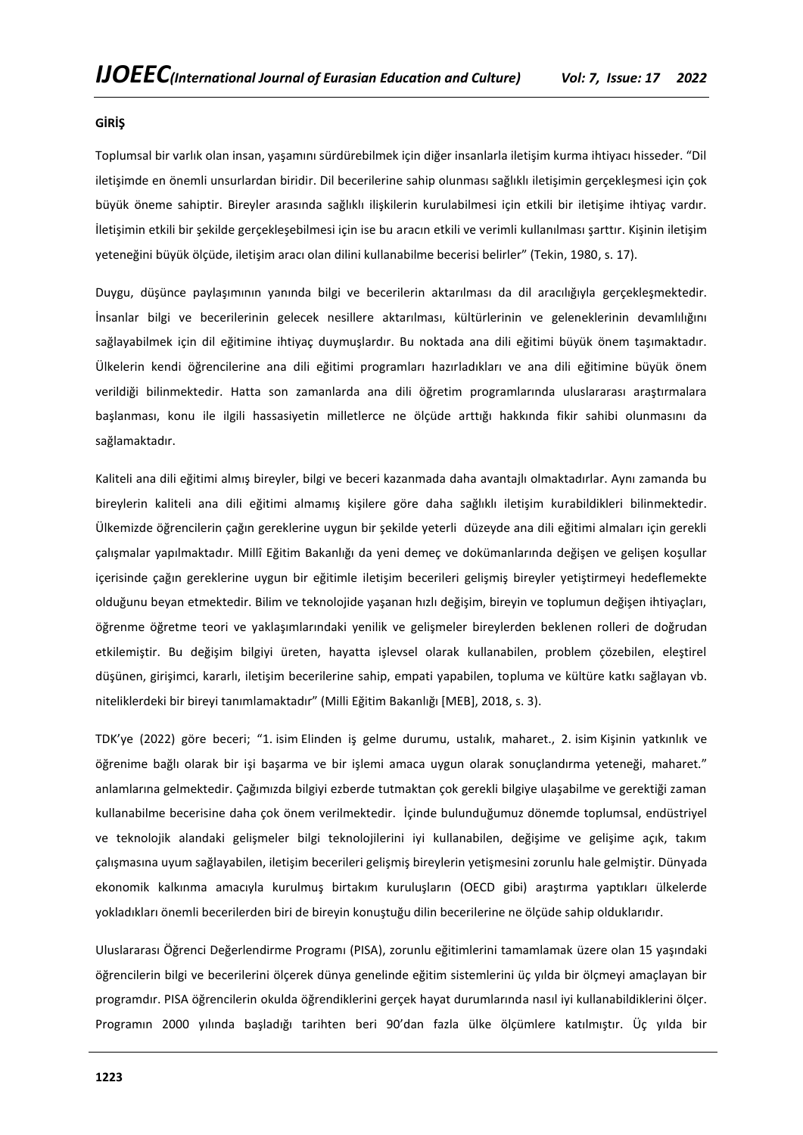### **GİRİŞ**

Toplumsal bir varlık olan insan, yaşamını sürdürebilmek için diğer insanlarla iletişim kurma ihtiyacı hisseder. "Dil iletişimde en önemli unsurlardan biridir. Dil becerilerine sahip olunması sağlıklı iletişimin gerçekleşmesi için çok büyük öneme sahiptir. Bireyler arasında sağlıklı ilişkilerin kurulabilmesi için etkili bir iletişime ihtiyaç vardır. İletişimin etkili bir şekilde gerçekleşebilmesi için ise bu aracın etkili ve verimli kullanılması şarttır. Kişinin iletişim yeteneğini büyük ölçüde, iletişim aracı olan dilini kullanabilme becerisi belirler" (Tekin, 1980, s. 17).

Duygu, düşünce paylaşımının yanında bilgi ve becerilerin aktarılması da dil aracılığıyla gerçekleşmektedir. İnsanlar bilgi ve becerilerinin gelecek nesillere aktarılması, kültürlerinin ve geleneklerinin devamlılığını sağlayabilmek için dil eğitimine ihtiyaç duymuşlardır. Bu noktada ana dili eğitimi büyük önem taşımaktadır. Ülkelerin kendi öğrencilerine ana dili eğitimi programları hazırladıkları ve ana dili eğitimine büyük önem verildiği bilinmektedir. Hatta son zamanlarda ana dili öğretim programlarında uluslararası araştırmalara başlanması, konu ile ilgili hassasiyetin milletlerce ne ölçüde arttığı hakkında fikir sahibi olunmasını da sağlamaktadır.

Kaliteli ana dili eğitimi almış bireyler, bilgi ve beceri kazanmada daha avantajlı olmaktadırlar. Aynı zamanda bu bireylerin kaliteli ana dili eğitimi almamış kişilere göre daha sağlıklı iletişim kurabildikleri bilinmektedir. Ülkemizde öğrencilerin çağın gereklerine uygun bir şekilde yeterli düzeyde ana dili eğitimi almaları için gerekli çalışmalar yapılmaktadır. Millî Eğitim Bakanlığı da yeni demeç ve dokümanlarında değişen ve gelişen koşullar içerisinde çağın gereklerine uygun bir eğitimle iletişim becerileri gelişmiş bireyler yetiştirmeyi hedeflemekte olduğunu beyan etmektedir. Bilim ve teknolojide yaşanan hızlı değişim, bireyin ve toplumun değişen ihtiyaçları, öğrenme öğretme teori ve yaklaşımlarındaki yenilik ve gelişmeler bireylerden beklenen rolleri de doğrudan etkilemiştir. Bu değişim bilgiyi üreten, hayatta işlevsel olarak kullanabilen, problem çözebilen, eleştirel düşünen, girişimci, kararlı, iletişim becerilerine sahip, empati yapabilen, topluma ve kültüre katkı sağlayan vb. niteliklerdeki bir bireyi tanımlamaktadır" (Milli Eğitim Bakanlığı [MEB], 2018, s. 3).

TDK'ye (2022) göre beceri; "1. isim Elinden iş gelme durumu, ustalık, maharet., 2. isim Kişinin yatkınlık ve öğrenime bağlı olarak bir işi başarma ve bir işlemi amaca uygun olarak sonuçlandırma yeteneği, maharet." anlamlarına gelmektedir. Çağımızda bilgiyi ezberde tutmaktan çok gerekli bilgiye ulaşabilme ve gerektiği zaman kullanabilme becerisine daha çok önem verilmektedir. İçinde bulunduğumuz dönemde toplumsal, endüstriyel ve teknolojik alandaki gelişmeler bilgi teknolojilerini iyi kullanabilen, değişime ve gelişime açık, takım çalışmasına uyum sağlayabilen, iletişim becerileri gelişmiş bireylerin yetişmesini zorunlu hale gelmiştir. Dünyada ekonomik kalkınma amacıyla kurulmuş birtakım kuruluşların (OECD gibi) araştırma yaptıkları ülkelerde yokladıkları önemli becerilerden biri de bireyin konuştuğu dilin becerilerine ne ölçüde sahip olduklarıdır.

Uluslararası Öğrenci Değerlendirme Programı (PISA), zorunlu eğitimlerini tamamlamak üzere olan 15 yaşındaki öğrencilerin bilgi ve becerilerini ölçerek dünya genelinde eğitim sistemlerini üç yılda bir ölçmeyi amaçlayan bir programdır. PISA öğrencilerin okulda öğrendiklerini gerçek hayat durumlarında nasıl iyi kullanabildiklerini ölçer. Programın 2000 yılında başladığı tarihten beri 90'dan fazla ülke ölçümlere katılmıştır. Üç yılda bir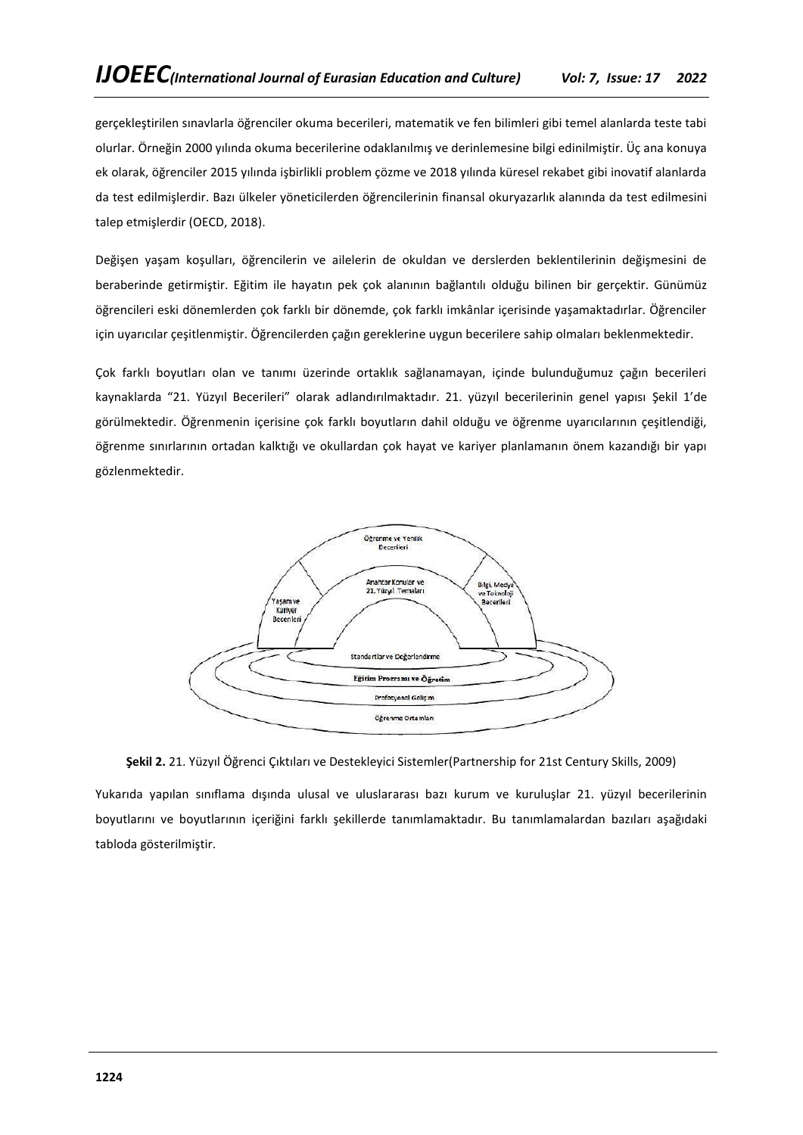gerçekleştirilen sınavlarla öğrenciler okuma becerileri, matematik ve fen bilimleri gibi temel alanlarda teste tabi olurlar. Örneğin 2000 yılında okuma becerilerine odaklanılmış ve derinlemesine bilgi edinilmiştir. Üç ana konuya ek olarak, öğrenciler 2015 yılında işbirlikli problem çözme ve 2018 yılında küresel rekabet gibi inovatif alanlarda da test edilmişlerdir. Bazı ülkeler yöneticilerden öğrencilerinin finansal okuryazarlık alanında da test edilmesini talep etmişlerdir (OECD, 2018).

Değişen yaşam koşulları, öğrencilerin ve ailelerin de okuldan ve derslerden beklentilerinin değişmesini de beraberinde getirmiştir. Eğitim ile hayatın pek çok alanının bağlantılı olduğu bilinen bir gerçektir. Günümüz öğrencileri eski dönemlerden çok farklı bir dönemde, çok farklı imkânlar içerisinde yaşamaktadırlar. Öğrenciler için uyarıcılar çeşitlenmiştir. Öğrencilerden çağın gereklerine uygun becerilere sahip olmaları beklenmektedir.

Çok farklı boyutları olan ve tanımı üzerinde ortaklık sağlanamayan, içinde bulunduğumuz çağın becerileri kaynaklarda "21. Yüzyıl Becerileri" olarak adlandırılmaktadır. 21. yüzyıl becerilerinin genel yapısı Şekil 1'de görülmektedir. Öğrenmenin içerisine çok farklı boyutların dahil olduğu ve öğrenme uyarıcılarının çeşitlendiği, öğrenme sınırlarının ortadan kalktığı ve okullardan çok hayat ve kariyer planlamanın önem kazandığı bir yapı gözlenmektedir.



**Şekil 2.** 21. Yüzyıl Öğrenci Çıktıları ve Destekleyici Sistemler(Partnership for 21st Century Skills, 2009)

Yukarıda yapılan sınıflama dışında ulusal ve uluslararası bazı kurum ve kuruluşlar 21. yüzyıl becerilerinin boyutlarını ve boyutlarının içeriğini farklı şekillerde tanımlamaktadır. Bu tanımlamalardan bazıları aşağıdaki tabloda gösterilmiştir.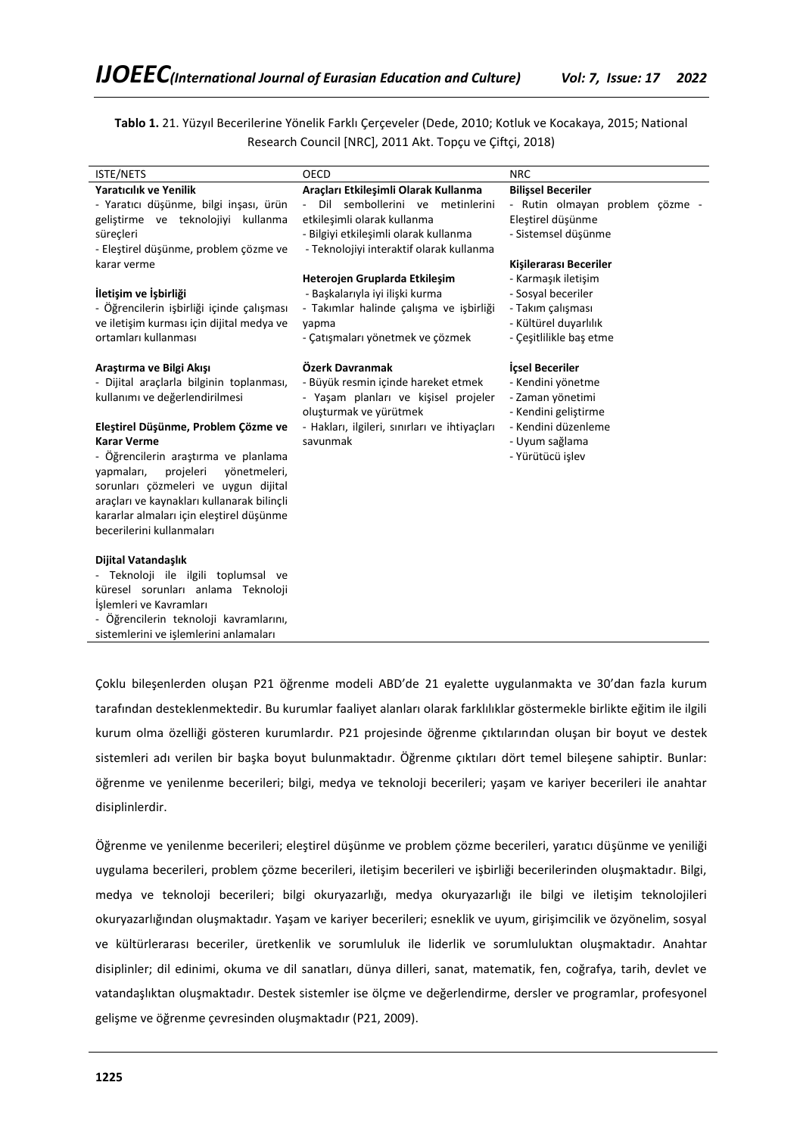**Tablo 1.** 21. Yüzyıl Becerilerine Yönelik Farklı Çerçeveler (Dede, 2010; Kotluk ve Kocakaya, 2015; National Research Council [NRC], 2011 Akt. Topçu ve Çiftçi, 2018)

| <b>ISTE/NETS</b>                           | OECD                                          | <b>NRC</b>                      |
|--------------------------------------------|-----------------------------------------------|---------------------------------|
| <b>Yaratıcılık ve Yenilik</b>              | Araçları Etkileşimli Olarak Kullanma          | <b>Bilişsel Beceriler</b>       |
| - Yaratıcı düşünme, bilgi inşası, ürün     | Dil<br>sembollerini ve metinlerini<br>$\sim$  | - Rutin olmayan problem çözme - |
| geliştirme ve teknolojiyi kullanma         | etkileşimli olarak kullanma                   | Eleştirel düşünme               |
| süreçleri                                  | - Bilgiyi etkileşimli olarak kullanma         | - Sistemsel düşünme             |
| - Eleştirel düşünme, problem çözme ve      | - Teknolojiyi interaktif olarak kullanma      |                                 |
| karar verme                                |                                               | Kişilerarası Beceriler          |
|                                            | Heterojen Gruplarda Etkileşim                 | - Karmaşık iletişim             |
| İletişim ve İşbirliği                      | - Başkalarıyla iyi ilişki kurma               | - Sosyal beceriler              |
| - Öğrencilerin işbirliği içinde çalışması  | - Takımlar halinde çalışma ve işbirliği       | - Takım çalışması               |
| ve iletişim kurması için dijital medya ve  | yapma                                         | - Kültürel duyarlılık           |
| ortamları kullanması                       | - Çatışmaları yönetmek ve çözmek              | - Çeşitlilikle baş etme         |
| Araştırma ve Bilgi Akışı                   | Özerk Davranmak                               | <b>icsel Beceriler</b>          |
| - Dijital araçlarla bilginin toplanması,   | - Büyük resmin içinde hareket etmek           | - Kendini yönetme               |
| kullanımı ve değerlendirilmesi             | - Yaşam planları ve kişisel projeler          | - Zaman yönetimi                |
|                                            | oluşturmak ve yürütmek                        | - Kendini geliştirme            |
| Eleştirel Düşünme, Problem Çözme ve        | - Hakları, ilgileri, sınırları ve ihtiyaçları | - Kendini düzenleme             |
| <b>Karar Verme</b>                         | savunmak                                      | - Uyum sağlama                  |
| - Öğrencilerin araştırma ve planlama       |                                               | - Yürütücü işlev                |
| yapmaları,<br>projeleri<br>yönetmeleri,    |                                               |                                 |
| sorunları çözmeleri ve uygun dijital       |                                               |                                 |
| araçları ve kaynakları kullanarak bilinçli |                                               |                                 |
| kararlar almaları için eleştirel düşünme   |                                               |                                 |
| becerilerini kullanmaları                  |                                               |                                 |
| Dijital Vatandaşlık                        |                                               |                                 |
| - Teknoloji ile ilgili toplumsal ve        |                                               |                                 |
| küresel sorunları anlama Teknoloji         |                                               |                                 |
| İşlemleri ve Kavramları                    |                                               |                                 |
| - Öğrencilerin teknoloji kavramlarını,     |                                               |                                 |
| sistemlerini ve işlemlerini anlamaları     |                                               |                                 |

Çoklu bileşenlerden oluşan P21 öğrenme modeli ABD'de 21 eyalette uygulanmakta ve 30'dan fazla kurum tarafından desteklenmektedir. Bu kurumlar faaliyet alanları olarak farklılıklar göstermekle birlikte eğitim ile ilgili kurum olma özelliği gösteren kurumlardır. P21 projesinde öğrenme çıktılarından oluşan bir boyut ve destek sistemleri adı verilen bir başka boyut bulunmaktadır. Öğrenme çıktıları dört temel bileşene sahiptir. Bunlar: öğrenme ve yenilenme becerileri; bilgi, medya ve teknoloji becerileri; yaşam ve kariyer becerileri ile anahtar disiplinlerdir.

Öğrenme ve yenilenme becerileri; eleştirel düşünme ve problem çözme becerileri, yaratıcı düşünme ve yeniliği uygulama becerileri, problem çözme becerileri, iletişim becerileri ve işbirliği becerilerinden oluşmaktadır. Bilgi, medya ve teknoloji becerileri; bilgi okuryazarlığı, medya okuryazarlığı ile bilgi ve iletişim teknolojileri okuryazarlığından oluşmaktadır. Yaşam ve kariyer becerileri; esneklik ve uyum, girişimcilik ve özyönelim, sosyal ve kültürlerarası beceriler, üretkenlik ve sorumluluk ile liderlik ve sorumluluktan oluşmaktadır. Anahtar disiplinler; dil edinimi, okuma ve dil sanatları, dünya dilleri, sanat, matematik, fen, coğrafya, tarih, devlet ve vatandaşlıktan oluşmaktadır. Destek sistemler ise ölçme ve değerlendirme, dersler ve programlar, profesyonel gelişme ve öğrenme çevresinden oluşmaktadır (P21, 2009).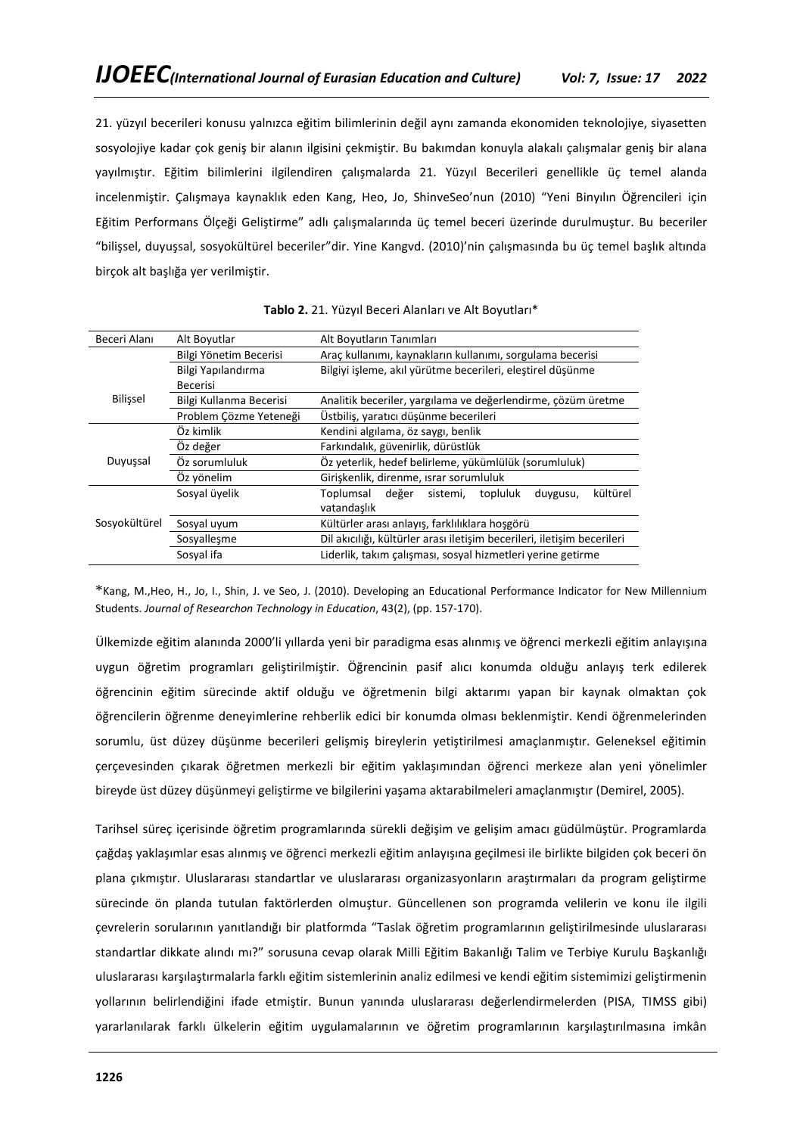21. yüzyıl becerileri konusu yalnızca eğitim bilimlerinin değil aynı zamanda ekonomiden teknolojiye, siyasetten sosyolojiye kadar çok geniş bir alanın ilgisini çekmiştir. Bu bakımdan konuyla alakalı çalışmalar geniş bir alana yayılmıştır. Eğitim bilimlerini ilgilendiren çalışmalarda 21. Yüzyıl Becerileri genellikle üç temel alanda incelenmiştir. Çalışmaya kaynaklık eden Kang, Heo, Jo, ShinveSeo'nun (2010) "Yeni Binyılın Öğrencileri için Eğitim Performans Ölçeği Geliştirme" adlı çalışmalarında üç temel beceri üzerinde durulmuştur. Bu beceriler "bilişsel, duyuşsal, sosyokültürel beceriler"dir. Yine Kangvd. (2010)'nin çalışmasında bu üç temel başlık altında birçok alt başlığa yer verilmiştir.

| Beceri Alanı                                                                           | Alt Boyutlar                   | Alt Boyutların Tanımları                                                          |
|----------------------------------------------------------------------------------------|--------------------------------|-----------------------------------------------------------------------------------|
|                                                                                        | Bilgi Yönetim Becerisi         | Araç kullanımı, kaynakların kullanımı, sorgulama becerisi                         |
|                                                                                        | Bilgi Yapılandırma<br>Becerisi | Bilgiyi işleme, akıl yürütme becerileri, eleştirel düşünme                        |
| <b>Bilissel</b>                                                                        | Bilgi Kullanma Becerisi        | Analitik beceriler, yargılama ve değerlendirme, çözüm üretme                      |
|                                                                                        | Problem Cözme Yeteneği         | Üstbiliş, yaratıcı düşünme becerileri                                             |
|                                                                                        | Öz kimlik                      | Kendini algılama, öz saygı, benlik                                                |
|                                                                                        | Öz değer                       | Farkındalık, güvenirlik, dürüstlük                                                |
| Duyuşsal                                                                               | Öz sorumluluk                  | Öz yeterlik, hedef belirleme, yükümlülük (sorumluluk)                             |
|                                                                                        | Öz yönelim                     | Girişkenlik, direnme, ısrar sorumluluk                                            |
|                                                                                        | Sosyal üyelik                  | kültürel<br>değer<br>Toplumsal<br>sistemi,<br>topluluk<br>duygusu,<br>vatandaslık |
| Sosyokültürel                                                                          | Sosyal uyum                    | Kültürler arası anlayış, farklılıklara hoşgörü                                    |
| Dil akıcılığı, kültürler arası iletişim becerileri, iletişim becerileri<br>Sosyalleşme |                                |                                                                                   |
|                                                                                        | Sosyal ifa                     | Liderlik, takım çalışması, sosyal hizmetleri yerine getirme                       |

\*Kang, M.,Heo, H., Jo, I., Shin, J. ve Seo, J. (2010). Developing an Educational Performance Indicator for New Millennium Students. *Journal of Researchon Technology in Education*, 43(2), (pp. 157-170).

Ülkemizde eğitim alanında 2000'li yıllarda yeni bir paradigma esas alınmış ve öğrenci merkezli eğitim anlayışına uygun öğretim programları geliştirilmiştir. Öğrencinin pasif alıcı konumda olduğu anlayış terk edilerek öğrencinin eğitim sürecinde aktif olduğu ve öğretmenin bilgi aktarımı yapan bir kaynak olmaktan çok öğrencilerin öğrenme deneyimlerine rehberlik edici bir konumda olması beklenmiştir. Kendi öğrenmelerinden sorumlu, üst düzey düşünme becerileri gelişmiş bireylerin yetiştirilmesi amaçlanmıştır. Geleneksel eğitimin çerçevesinden çıkarak öğretmen merkezli bir eğitim yaklaşımından öğrenci merkeze alan yeni yönelimler bireyde üst düzey düşünmeyi geliştirme ve bilgilerini yaşama aktarabilmeleri amaçlanmıştır (Demirel, 2005).

Tarihsel süreç içerisinde öğretim programlarında sürekli değişim ve gelişim amacı güdülmüştür. Programlarda çağdaş yaklaşımlar esas alınmış ve öğrenci merkezli eğitim anlayışına geçilmesi ile birlikte bilgiden çok beceri ön plana çıkmıştır. Uluslararası standartlar ve uluslararası organizasyonların araştırmaları da program geliştirme sürecinde ön planda tutulan faktörlerden olmuştur. Güncellenen son programda velilerin ve konu ile ilgili çevrelerin sorularının yanıtlandığı bir platformda "Taslak öğretim programlarının geliştirilmesinde uluslararası standartlar dikkate alındı mı?" sorusuna cevap olarak Milli Eğitim Bakanlığı Talim ve Terbiye Kurulu Başkanlığı uluslararası karşılaştırmalarla farklı eğitim sistemlerinin analiz edilmesi ve kendi eğitim sistemimizi geliştirmenin yollarının belirlendiğini ifade etmiştir. Bunun yanında uluslararası değerlendirmelerden (PISA, TIMSS gibi) yararlanılarak farklı ülkelerin eğitim uygulamalarının ve öğretim programlarının karşılaştırılmasına imkân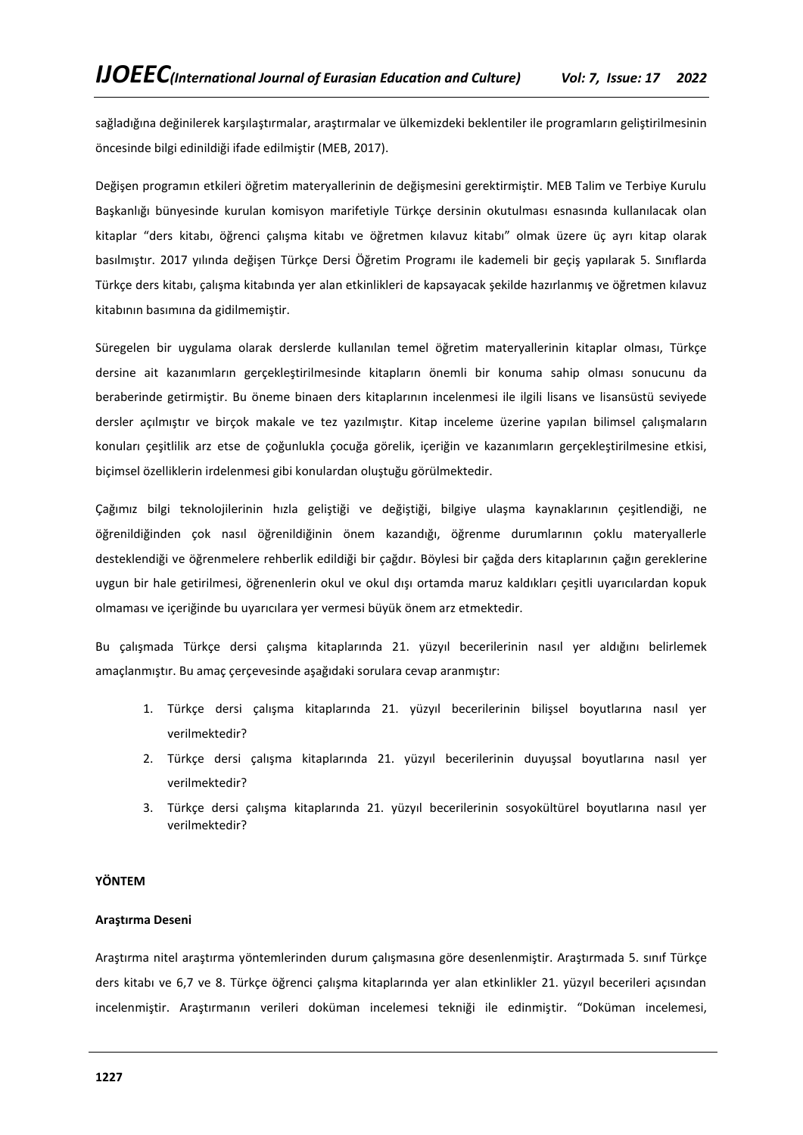sağladığına değinilerek karşılaştırmalar, araştırmalar ve ülkemizdeki beklentiler ile programların geliştirilmesinin öncesinde bilgi edinildiği ifade edilmiştir (MEB, 2017).

Değişen programın etkileri öğretim materyallerinin de değişmesini gerektirmiştir. MEB Talim ve Terbiye Kurulu Başkanlığı bünyesinde kurulan komisyon marifetiyle Türkçe dersinin okutulması esnasında kullanılacak olan kitaplar "ders kitabı, öğrenci çalışma kitabı ve öğretmen kılavuz kitabı" olmak üzere üç ayrı kitap olarak basılmıştır. 2017 yılında değişen Türkçe Dersi Öğretim Programı ile kademeli bir geçiş yapılarak 5. Sınıflarda Türkçe ders kitabı, çalışma kitabında yer alan etkinlikleri de kapsayacak şekilde hazırlanmış ve öğretmen kılavuz kitabının basımına da gidilmemiştir.

Süregelen bir uygulama olarak derslerde kullanılan temel öğretim materyallerinin kitaplar olması, Türkçe dersine ait kazanımların gerçekleştirilmesinde kitapların önemli bir konuma sahip olması sonucunu da beraberinde getirmiştir. Bu öneme binaen ders kitaplarının incelenmesi ile ilgili lisans ve lisansüstü seviyede dersler açılmıştır ve birçok makale ve tez yazılmıştır. Kitap inceleme üzerine yapılan bilimsel çalışmaların konuları çeşitlilik arz etse de çoğunlukla çocuğa görelik, içeriğin ve kazanımların gerçekleştirilmesine etkisi, biçimsel özelliklerin irdelenmesi gibi konulardan oluştuğu görülmektedir.

Çağımız bilgi teknolojilerinin hızla geliştiği ve değiştiği, bilgiye ulaşma kaynaklarının çeşitlendiği, ne öğrenildiğinden çok nasıl öğrenildiğinin önem kazandığı, öğrenme durumlarının çoklu materyallerle desteklendiği ve öğrenmelere rehberlik edildiği bir çağdır. Böylesi bir çağda ders kitaplarının çağın gereklerine uygun bir hale getirilmesi, öğrenenlerin okul ve okul dışı ortamda maruz kaldıkları çeşitli uyarıcılardan kopuk olmaması ve içeriğinde bu uyarıcılara yer vermesi büyük önem arz etmektedir.

Bu çalışmada Türkçe dersi çalışma kitaplarında 21. yüzyıl becerilerinin nasıl yer aldığını belirlemek amaçlanmıştır. Bu amaç çerçevesinde aşağıdaki sorulara cevap aranmıştır:

- 1. Türkçe dersi çalışma kitaplarında 21. yüzyıl becerilerinin bilişsel boyutlarına nasıl yer verilmektedir?
- 2. Türkçe dersi çalışma kitaplarında 21. yüzyıl becerilerinin duyuşsal boyutlarına nasıl yer verilmektedir?
- 3. Türkçe dersi çalışma kitaplarında 21. yüzyıl becerilerinin sosyokültürel boyutlarına nasıl yer verilmektedir?

### **YÖNTEM**

# **Araştırma Deseni**

Araştırma nitel araştırma yöntemlerinden durum çalışmasına göre desenlenmiştir. Araştırmada 5. sınıf Türkçe ders kitabı ve 6,7 ve 8. Türkçe öğrenci çalışma kitaplarında yer alan etkinlikler 21. yüzyıl becerileri açısından incelenmiştir. Araştırmanın verileri doküman incelemesi tekniği ile edinmiştir. "Doküman incelemesi,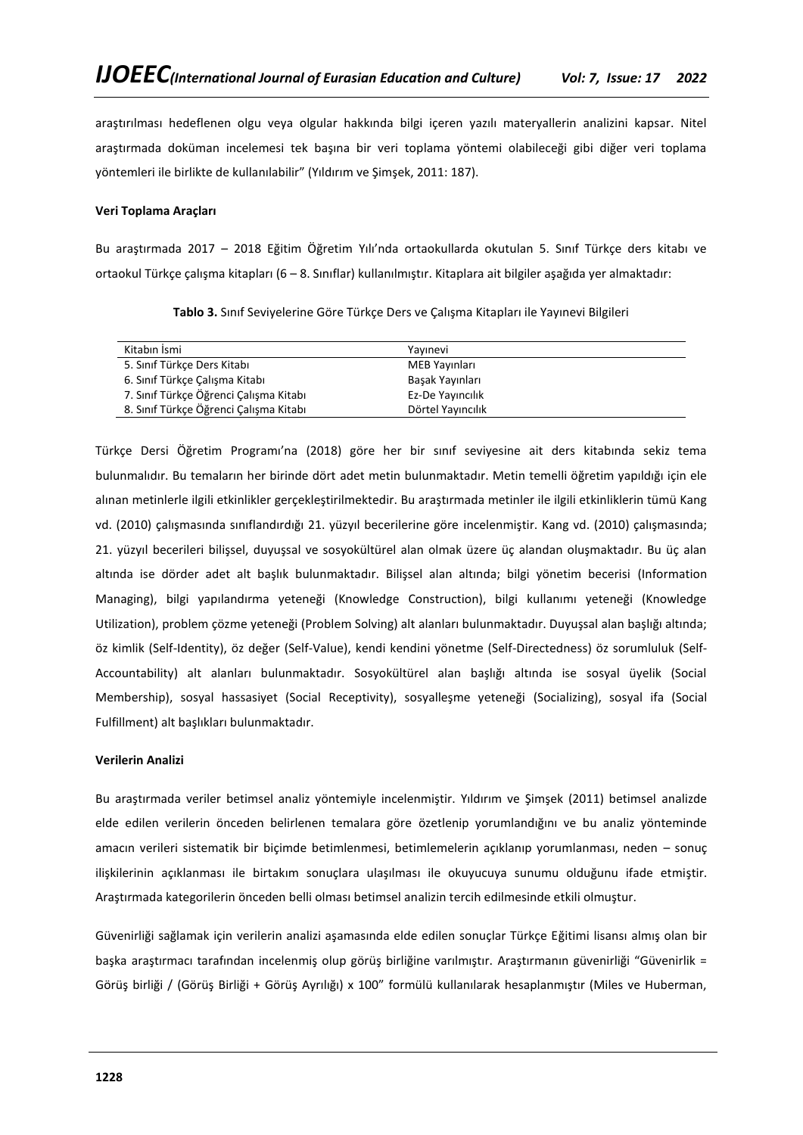araştırılması hedeflenen olgu veya olgular hakkında bilgi içeren yazılı materyallerin analizini kapsar. Nitel araştırmada doküman incelemesi tek başına bir veri toplama yöntemi olabileceği gibi diğer veri toplama yöntemleri ile birlikte de kullanılabilir" (Yıldırım ve Şimşek, 2011: 187).

## **Veri Toplama Araçları**

Bu araştırmada 2017 – 2018 Eğitim Öğretim Yılı'nda ortaokullarda okutulan 5. Sınıf Türkçe ders kitabı ve ortaokul Türkçe çalışma kitapları (6 – 8. Sınıflar) kullanılmıştır. Kitaplara ait bilgiler aşağıda yer almaktadır:

| Kitabın İsmi                           | Yavınevi          |  |
|----------------------------------------|-------------------|--|
| 5. Sınıf Türkçe Ders Kitabı            | MEB Yayınları     |  |
| 6. Sınıf Türkçe Çalışma Kitabı         | Basak Yayınları   |  |
| 7. Sınıf Türkçe Öğrenci Çalışma Kitabı | Ez-De Yayıncılık  |  |
| 8. Sınıf Türkçe Öğrenci Çalışma Kitabı | Dörtel Yayıncılık |  |

**Tablo 3.** Sınıf Seviyelerine Göre Türkçe Ders ve Çalışma Kitapları ile Yayınevi Bilgileri

Türkçe Dersi Öğretim Programı'na (2018) göre her bir sınıf seviyesine ait ders kitabında sekiz tema bulunmalıdır. Bu temaların her birinde dört adet metin bulunmaktadır. Metin temelli öğretim yapıldığı için ele alınan metinlerle ilgili etkinlikler gerçekleştirilmektedir. Bu araştırmada metinler ile ilgili etkinliklerin tümü Kang vd. (2010) çalışmasında sınıflandırdığı 21. yüzyıl becerilerine göre incelenmiştir. Kang vd. (2010) çalışmasında; 21. yüzyıl becerileri bilişsel, duyuşsal ve sosyokültürel alan olmak üzere üç alandan oluşmaktadır. Bu üç alan altında ise dörder adet alt başlık bulunmaktadır. Bilişsel alan altında; bilgi yönetim becerisi (Information Managing), bilgi yapılandırma yeteneği (Knowledge Construction), bilgi kullanımı yeteneği (Knowledge Utilization), problem çözme yeteneği (Problem Solving) alt alanları bulunmaktadır. Duyuşsal alan başlığı altında; öz kimlik (Self-Identity), öz değer (Self-Value), kendi kendini yönetme (Self-Directedness) öz sorumluluk (Self-Accountability) alt alanları bulunmaktadır. Sosyokültürel alan başlığı altında ise sosyal üyelik (Social Membership), sosyal hassasiyet (Social Receptivity), sosyalleşme yeteneği (Socializing), sosyal ifa (Social Fulfillment) alt başlıkları bulunmaktadır.

# **Verilerin Analizi**

Bu araştırmada veriler betimsel analiz yöntemiyle incelenmiştir. Yıldırım ve Şimşek (2011) betimsel analizde elde edilen verilerin önceden belirlenen temalara göre özetlenip yorumlandığını ve bu analiz yönteminde amacın verileri sistematik bir biçimde betimlenmesi, betimlemelerin açıklanıp yorumlanması, neden – sonuç ilişkilerinin açıklanması ile birtakım sonuçlara ulaşılması ile okuyucuya sunumu olduğunu ifade etmiştir. Araştırmada kategorilerin önceden belli olması betimsel analizin tercih edilmesinde etkili olmuştur.

Güvenirliği sağlamak için verilerin analizi aşamasında elde edilen sonuçlar Türkçe Eğitimi lisansı almış olan bir başka araştırmacı tarafından incelenmiş olup görüş birliğine varılmıştır. Araştırmanın güvenirliği "Güvenirlik = Görüş birliği / (Görüş Birliği + Görüş Ayrılığı) x 100" formülü kullanılarak hesaplanmıştır (Miles ve Huberman,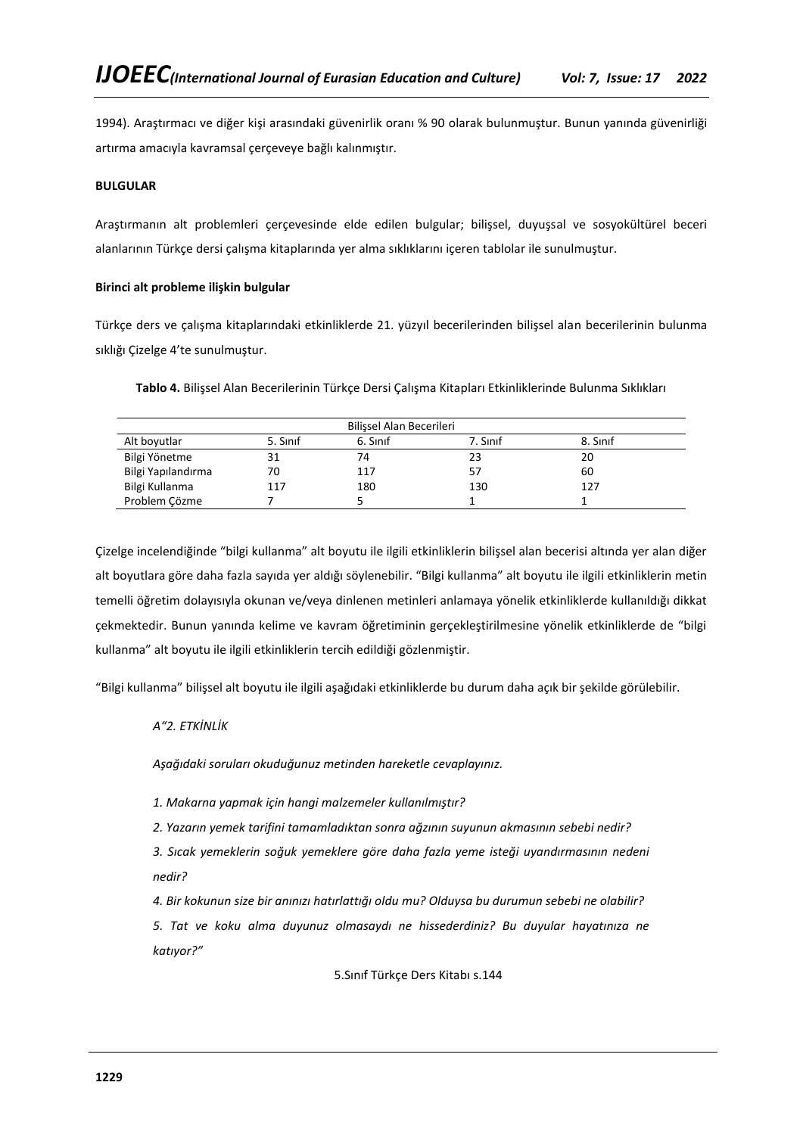1994). Araştırmacı ve diğer kişi arasındaki güvenirlik oranı % 90 olarak bulunmuştur. Bunun yanında güvenirliği artırma amacıyla kavramsal çerçeveye bağlı kalınmıştır.

## **BULGULAR**

Araştırmanın alt problemleri çerçevesinde elde edilen bulgular; bilişsel, duyuşsal ve sosyokültürel beceri alanlarının Türkçe dersi çalışma kitaplarında yer alma sıklıklarını içeren tablolar ile sunulmuştur.

## **Birinci alt probleme ilişkin bulgular**

Türkçe ders ve çalışma kitaplarındaki etkinliklerde 21. yüzyıl becerilerinden bilişsel alan becerilerinin bulunma sıklığı Çizelge 4'te sunulmuştur.

| Tablo 4. Bilişsel Alan Becerilerinin Türkçe Dersi Çalışma Kitapları Etkinliklerinde Bulunma Sıklıkları |  |  |  |
|--------------------------------------------------------------------------------------------------------|--|--|--|
|--------------------------------------------------------------------------------------------------------|--|--|--|

|                    |          | Bilissel Alan Becerileri |          |          |
|--------------------|----------|--------------------------|----------|----------|
| Alt boyutlar       | 5. Sinif | 6. Sinif                 | 7. Sinif | 8. Sinif |
| Bilgi Yönetme      | 31       | 74                       | 23       | 20       |
| Bilgi Yapılandırma | 70       | 117                      | 57       | 60       |
| Bilgi Kullanma     | 117      | 180                      | 130      | 127      |
| Problem Cözme      |          |                          |          |          |

Çizelge incelendiğinde "bilgi kullanma" alt boyutu ile ilgili etkinliklerin bilişsel alan becerisi altında yer alan diğer alt boyutlara göre daha fazla sayıda yer aldığı söylenebilir. "Bilgi kullanma" alt boyutu ile ilgili etkinliklerin metin temelli öğretim dolayısıyla okunan ve/veya dinlenen metinleri anlamaya yönelik etkinliklerde kullanıldığı dikkat çekmektedir. Bunun yanında kelime ve kavram öğretiminin gerçekleştirilmesine yönelik etkinliklerde de "bilgi kullanma" alt boyutu ile ilgili etkinliklerin tercih edildiği gözlenmiştir.

"Bilgi kullanma" bilişsel alt boyutu ile ilgili aşağıdaki etkinliklerde bu durum daha açık bir şekilde görülebilir.

# *A"2. ETKİNLİK*

*Aşağıdaki soruları okuduğunuz metinden hareketle cevaplayınız.*

*1. Makarna yapmak için hangi malzemeler kullanılmıştır?*

*2. Yazarın yemek tarifini tamamladıktan sonra ağzının suyunun akmasının sebebi nedir?*

*3. Sıcak yemeklerin soğuk yemeklere göre daha fazla yeme isteği uyandırmasının nedeni nedir?*

*4. Bir kokunun size bir anınızı hatırlattığı oldu mu? Olduysa bu durumun sebebi ne olabilir?*

*5. Tat ve koku alma duyunuz olmasaydı ne hissederdiniz? Bu duyular hayatınıza ne katıyor?"*

5.Sınıf Türkçe Ders Kitabı s.144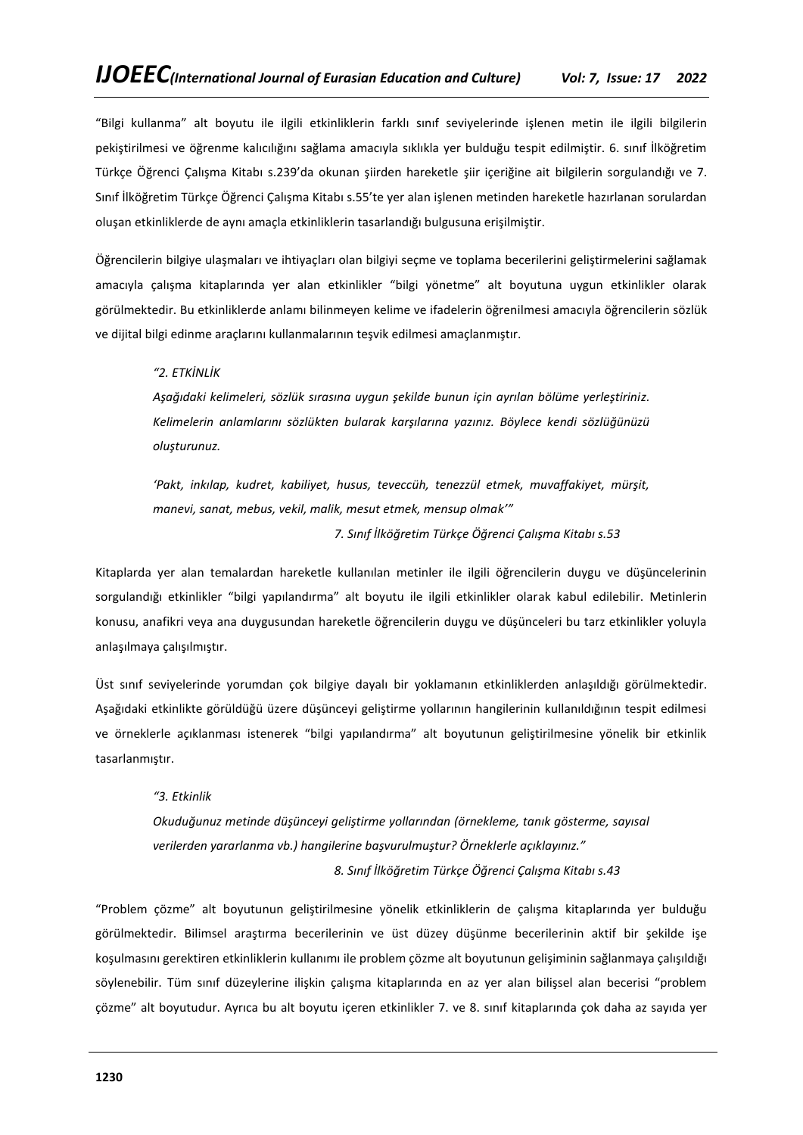"Bilgi kullanma" alt boyutu ile ilgili etkinliklerin farklı sınıf seviyelerinde işlenen metin ile ilgili bilgilerin pekiştirilmesi ve öğrenme kalıcılığını sağlama amacıyla sıklıkla yer bulduğu tespit edilmiştir. 6. sınıf İlköğretim Türkçe Öğrenci Çalışma Kitabı s.239'da okunan şiirden hareketle şiir içeriğine ait bilgilerin sorgulandığı ve 7. Sınıf İlköğretim Türkçe Öğrenci Çalışma Kitabı s.55'te yer alan işlenen metinden hareketle hazırlanan sorulardan oluşan etkinliklerde de aynı amaçla etkinliklerin tasarlandığı bulgusuna erişilmiştir.

Öğrencilerin bilgiye ulaşmaları ve ihtiyaçları olan bilgiyi seçme ve toplama becerilerini geliştirmelerini sağlamak amacıyla çalışma kitaplarında yer alan etkinlikler "bilgi yönetme" alt boyutuna uygun etkinlikler olarak görülmektedir. Bu etkinliklerde anlamı bilinmeyen kelime ve ifadelerin öğrenilmesi amacıyla öğrencilerin sözlük ve dijital bilgi edinme araçlarını kullanmalarının teşvik edilmesi amaçlanmıştır.

# *"2. ETKİNLİK*

*Aşağıdaki kelimeleri, sözlük sırasına uygun şekilde bunun için ayrılan bölüme yerleştiriniz. Kelimelerin anlamlarını sözlükten bularak karşılarına yazınız. Böylece kendi sözlüğünüzü oluşturunuz.*

*'Pakt, inkılap, kudret, kabiliyet, husus, teveccüh, tenezzül etmek, muvaffakiyet, mürşit, manevi, sanat, mebus, vekil, malik, mesut etmek, mensup olmak'"*

*7. Sınıf İlköğretim Türkçe Öğrenci Çalışma Kitabı s.53*

Kitaplarda yer alan temalardan hareketle kullanılan metinler ile ilgili öğrencilerin duygu ve düşüncelerinin sorgulandığı etkinlikler "bilgi yapılandırma" alt boyutu ile ilgili etkinlikler olarak kabul edilebilir. Metinlerin konusu, anafikri veya ana duygusundan hareketle öğrencilerin duygu ve düşünceleri bu tarz etkinlikler yoluyla anlaşılmaya çalışılmıştır.

Üst sınıf seviyelerinde yorumdan çok bilgiye dayalı bir yoklamanın etkinliklerden anlaşıldığı görülmektedir. Aşağıdaki etkinlikte görüldüğü üzere düşünceyi geliştirme yollarının hangilerinin kullanıldığının tespit edilmesi ve örneklerle açıklanması istenerek "bilgi yapılandırma" alt boyutunun geliştirilmesine yönelik bir etkinlik tasarlanmıştır.

#### *"3. Etkinlik*

*Okuduğunuz metinde düşünceyi geliştirme yollarından (örnekleme, tanık gösterme, sayısal verilerden yararlanma vb.) hangilerine başvurulmuştur? Örneklerle açıklayınız." 8. Sınıf İlköğretim Türkçe Öğrenci Çalışma Kitabı s.43*

"Problem çözme" alt boyutunun geliştirilmesine yönelik etkinliklerin de çalışma kitaplarında yer bulduğu görülmektedir. Bilimsel araştırma becerilerinin ve üst düzey düşünme becerilerinin aktif bir şekilde işe koşulmasını gerektiren etkinliklerin kullanımı ile problem çözme alt boyutunun gelişiminin sağlanmaya çalışıldığı söylenebilir. Tüm sınıf düzeylerine ilişkin çalışma kitaplarında en az yer alan bilişsel alan becerisi "problem çözme" alt boyutudur. Ayrıca bu alt boyutu içeren etkinlikler 7. ve 8. sınıf kitaplarında çok daha az sayıda yer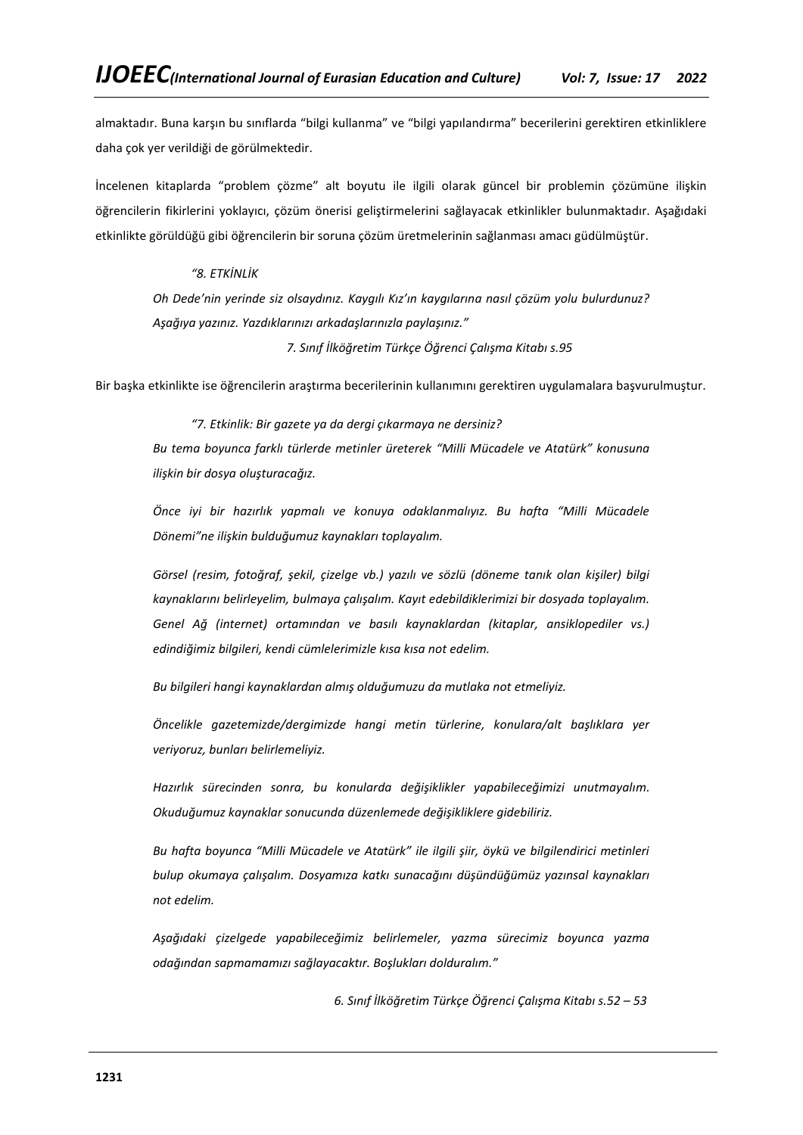almaktadır. Buna karşın bu sınıflarda "bilgi kullanma" ve "bilgi yapılandırma" becerilerini gerektiren etkinliklere daha çok yer verildiği de görülmektedir.

İncelenen kitaplarda "problem çözme" alt boyutu ile ilgili olarak güncel bir problemin çözümüne ilişkin öğrencilerin fikirlerini yoklayıcı, çözüm önerisi geliştirmelerini sağlayacak etkinlikler bulunmaktadır. Aşağıdaki etkinlikte görüldüğü gibi öğrencilerin bir soruna çözüm üretmelerinin sağlanması amacı güdülmüştür.

# *"8. ETKİNLİK*

*Oh Dede'nin yerinde siz olsaydınız. Kaygılı Kız'ın kaygılarına nasıl çözüm yolu bulurdunuz? Aşağıya yazınız. Yazdıklarınızı arkadaşlarınızla paylaşınız." 7. Sınıf İlköğretim Türkçe Öğrenci Çalışma Kitabı s.95*

Bir başka etkinlikte ise öğrencilerin araştırma becerilerinin kullanımını gerektiren uygulamalara başvurulmuştur.

*"7. Etkinlik: Bir gazete ya da dergi çıkarmaya ne dersiniz? Bu tema boyunca farklı türlerde metinler üreterek "Milli Mücadele ve Atatürk" konusuna ilişkin bir dosya oluşturacağız.*

*Önce iyi bir hazırlık yapmalı ve konuya odaklanmalıyız. Bu hafta "Milli Mücadele Dönemi"ne ilişkin bulduğumuz kaynakları toplayalım.*

*Görsel (resim, fotoğraf, şekil, çizelge vb.) yazılı ve sözlü (döneme tanık olan kişiler) bilgi kaynaklarını belirleyelim, bulmaya çalışalım. Kayıt edebildiklerimizi bir dosyada toplayalım. Genel Ağ (internet) ortamından ve basılı kaynaklardan (kitaplar, ansiklopediler vs.) edindiğimiz bilgileri, kendi cümlelerimizle kısa kısa not edelim.*

*Bu bilgileri hangi kaynaklardan almış olduğumuzu da mutlaka not etmeliyiz.*

*Öncelikle gazetemizde/dergimizde hangi metin türlerine, konulara/alt başlıklara yer veriyoruz, bunları belirlemeliyiz.*

*Hazırlık sürecinden sonra, bu konularda değişiklikler yapabileceğimizi unutmayalım. Okuduğumuz kaynaklar sonucunda düzenlemede değişikliklere gidebiliriz.* 

*Bu hafta boyunca "Milli Mücadele ve Atatürk" ile ilgili şiir, öykü ve bilgilendirici metinleri bulup okumaya çalışalım. Dosyamıza katkı sunacağını düşündüğümüz yazınsal kaynakları not edelim.*

*Aşağıdaki çizelgede yapabileceğimiz belirlemeler, yazma sürecimiz boyunca yazma odağından sapmamamızı sağlayacaktır. Boşlukları dolduralım."*

*6. Sınıf İlköğretim Türkçe Öğrenci Çalışma Kitabı s.52 – 53*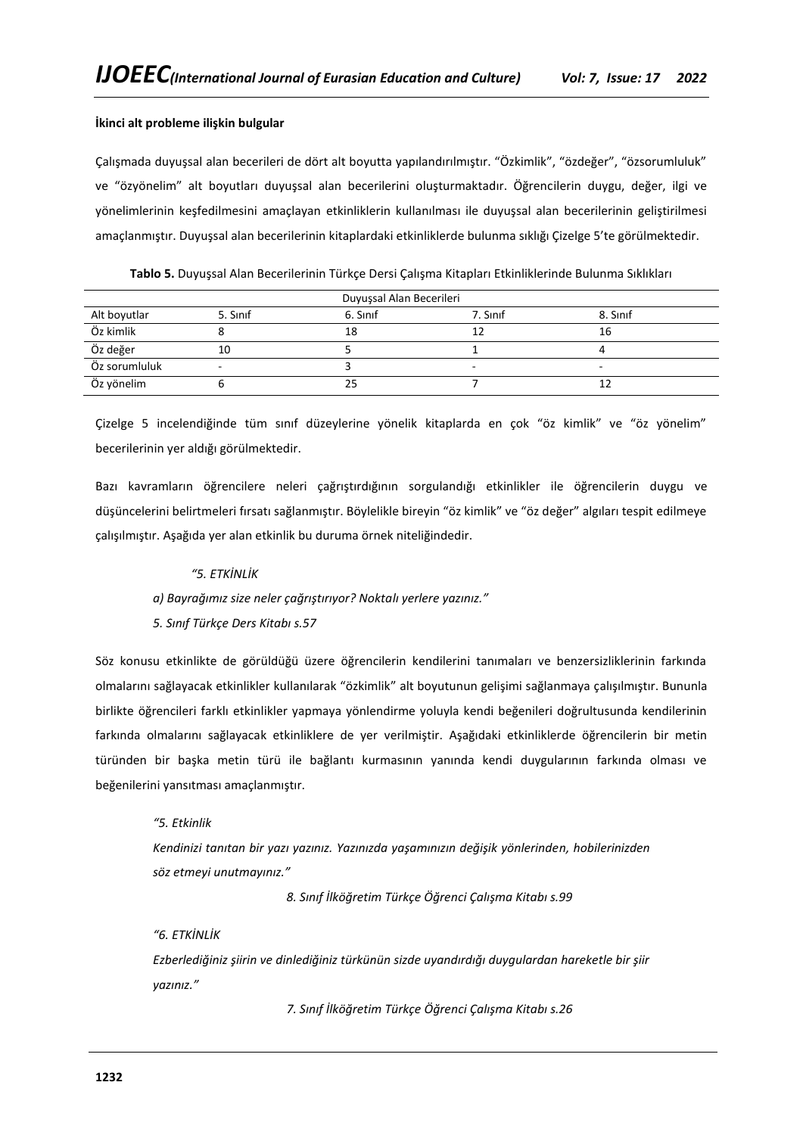# **İkinci alt probleme ilişkin bulgular**

Çalışmada duyuşsal alan becerileri de dört alt boyutta yapılandırılmıştır. "Özkimlik", "özdeğer", "özsorumluluk" ve "özyönelim" alt boyutları duyuşsal alan becerilerini oluşturmaktadır. Öğrencilerin duygu, değer, ilgi ve yönelimlerinin keşfedilmesini amaçlayan etkinliklerin kullanılması ile duyuşsal alan becerilerinin geliştirilmesi amaçlanmıştır. Duyuşsal alan becerilerinin kitaplardaki etkinliklerde bulunma sıklığı Çizelge 5'te görülmektedir.

| Duyuşsal Alan Becerileri |                          |          |          |                |
|--------------------------|--------------------------|----------|----------|----------------|
| Alt boyutlar             | 5. Sinif                 | 6. Sinif | 7. Sinif | 8. Sinif       |
| Öz kimlik                |                          | 18       |          | 16             |
| Öz değer                 | 10                       |          |          |                |
| Öz sorumluluk            | $\overline{\phantom{0}}$ |          | -        | $\overline{a}$ |
| Öz yönelim               |                          |          |          |                |

**Tablo 5.** Duyuşsal Alan Becerilerinin Türkçe Dersi Çalışma Kitapları Etkinliklerinde Bulunma Sıklıkları

Çizelge 5 incelendiğinde tüm sınıf düzeylerine yönelik kitaplarda en çok "öz kimlik" ve "öz yönelim" becerilerinin yer aldığı görülmektedir.

Bazı kavramların öğrencilere neleri çağrıştırdığının sorgulandığı etkinlikler ile öğrencilerin duygu ve düşüncelerini belirtmeleri fırsatı sağlanmıştır. Böylelikle bireyin "öz kimlik" ve "öz değer" algıları tespit edilmeye çalışılmıştır. Aşağıda yer alan etkinlik bu duruma örnek niteliğindedir.

### *"5. ETKİNLİK*

- *a) Bayrağımız size neler çağrıştırıyor? Noktalı yerlere yazınız."*
- *5. Sınıf Türkçe Ders Kitabı s.57*

Söz konusu etkinlikte de görüldüğü üzere öğrencilerin kendilerini tanımaları ve benzersizliklerinin farkında olmalarını sağlayacak etkinlikler kullanılarak "özkimlik" alt boyutunun gelişimi sağlanmaya çalışılmıştır. Bununla birlikte öğrencileri farklı etkinlikler yapmaya yönlendirme yoluyla kendi beğenileri doğrultusunda kendilerinin farkında olmalarını sağlayacak etkinliklere de yer verilmiştir. Aşağıdaki etkinliklerde öğrencilerin bir metin türünden bir başka metin türü ile bağlantı kurmasının yanında kendi duygularının farkında olması ve beğenilerini yansıtması amaçlanmıştır.

*"5. Etkinlik*

*Kendinizi tanıtan bir yazı yazınız. Yazınızda yaşamınızın değişik yönlerinden, hobilerinizden söz etmeyi unutmayınız."*

*8. Sınıf İlköğretim Türkçe Öğrenci Çalışma Kitabı s.99*

*"6. ETKİNLİK Ezberlediğiniz şiirin ve dinlediğiniz türkünün sizde uyandırdığı duygulardan hareketle bir şiir yazınız."*

*7. Sınıf İlköğretim Türkçe Öğrenci Çalışma Kitabı s.26*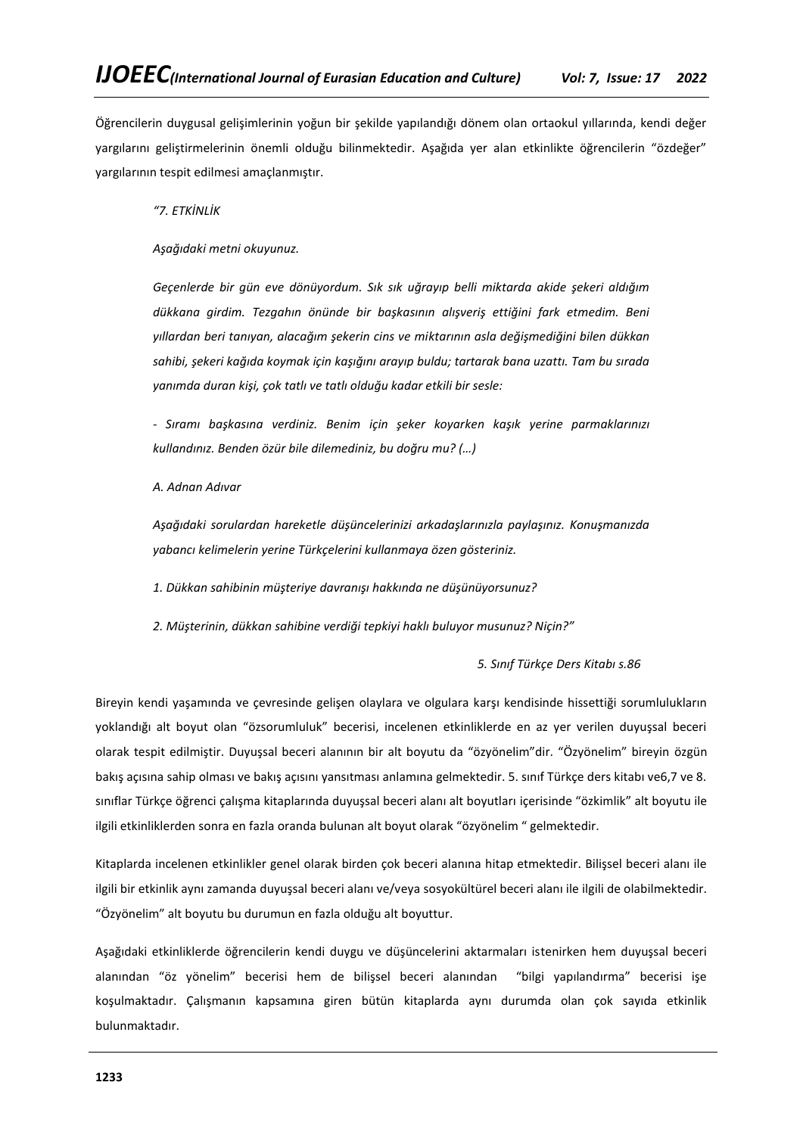Öğrencilerin duygusal gelişimlerinin yoğun bir şekilde yapılandığı dönem olan ortaokul yıllarında, kendi değer yargılarını geliştirmelerinin önemli olduğu bilinmektedir. Aşağıda yer alan etkinlikte öğrencilerin "özdeğer" yargılarının tespit edilmesi amaçlanmıştır.

*"7. ETKİNLİK* 

*Aşağıdaki metni okuyunuz.*

*Geçenlerde bir gün eve dönüyordum. Sık sık uğrayıp belli miktarda akide şekeri aldığım dükkana girdim. Tezgahın önünde bir başkasının alışveriş ettiğini fark etmedim. Beni yıllardan beri tanıyan, alacağım şekerin cins ve miktarının asla değişmediğini bilen dükkan sahibi, şekeri kağıda koymak için kaşığını arayıp buldu; tartarak bana uzattı. Tam bu sırada yanımda duran kişi, çok tatlı ve tatlı olduğu kadar etkili bir sesle:*

*- Sıramı başkasına verdiniz. Benim için şeker koyarken kaşık yerine parmaklarınızı kullandınız. Benden özür bile dilemediniz, bu doğru mu? (…)*

*A. Adnan Adıvar*

*Aşağıdaki sorulardan hareketle düşüncelerinizi arkadaşlarınızla paylaşınız. Konuşmanızda yabancı kelimelerin yerine Türkçelerini kullanmaya özen gösteriniz.*

*1. Dükkan sahibinin müşteriye davranışı hakkında ne düşünüyorsunuz?*

*2. Müşterinin, dükkan sahibine verdiği tepkiyi haklı buluyor musunuz? Niçin?"*

*5. Sınıf Türkçe Ders Kitabı s.86*

Bireyin kendi yaşamında ve çevresinde gelişen olaylara ve olgulara karşı kendisinde hissettiği sorumlulukların yoklandığı alt boyut olan "özsorumluluk" becerisi, incelenen etkinliklerde en az yer verilen duyuşsal beceri olarak tespit edilmiştir. Duyuşsal beceri alanının bir alt boyutu da "özyönelim"dir. "Özyönelim" bireyin özgün bakış açısına sahip olması ve bakış açısını yansıtması anlamına gelmektedir. 5. sınıf Türkçe ders kitabı ve6,7 ve 8. sınıflar Türkçe öğrenci çalışma kitaplarında duyuşsal beceri alanı alt boyutları içerisinde "özkimlik" alt boyutu ile ilgili etkinliklerden sonra en fazla oranda bulunan alt boyut olarak "özyönelim " gelmektedir.

Kitaplarda incelenen etkinlikler genel olarak birden çok beceri alanına hitap etmektedir. Bilişsel beceri alanı ile ilgili bir etkinlik aynı zamanda duyuşsal beceri alanı ve/veya sosyokültürel beceri alanı ile ilgili de olabilmektedir. "Özyönelim" alt boyutu bu durumun en fazla olduğu alt boyuttur.

Aşağıdaki etkinliklerde öğrencilerin kendi duygu ve düşüncelerini aktarmaları istenirken hem duyuşsal beceri alanından "öz yönelim" becerisi hem de bilişsel beceri alanından "bilgi yapılandırma" becerisi işe koşulmaktadır. Çalışmanın kapsamına giren bütün kitaplarda aynı durumda olan çok sayıda etkinlik bulunmaktadır.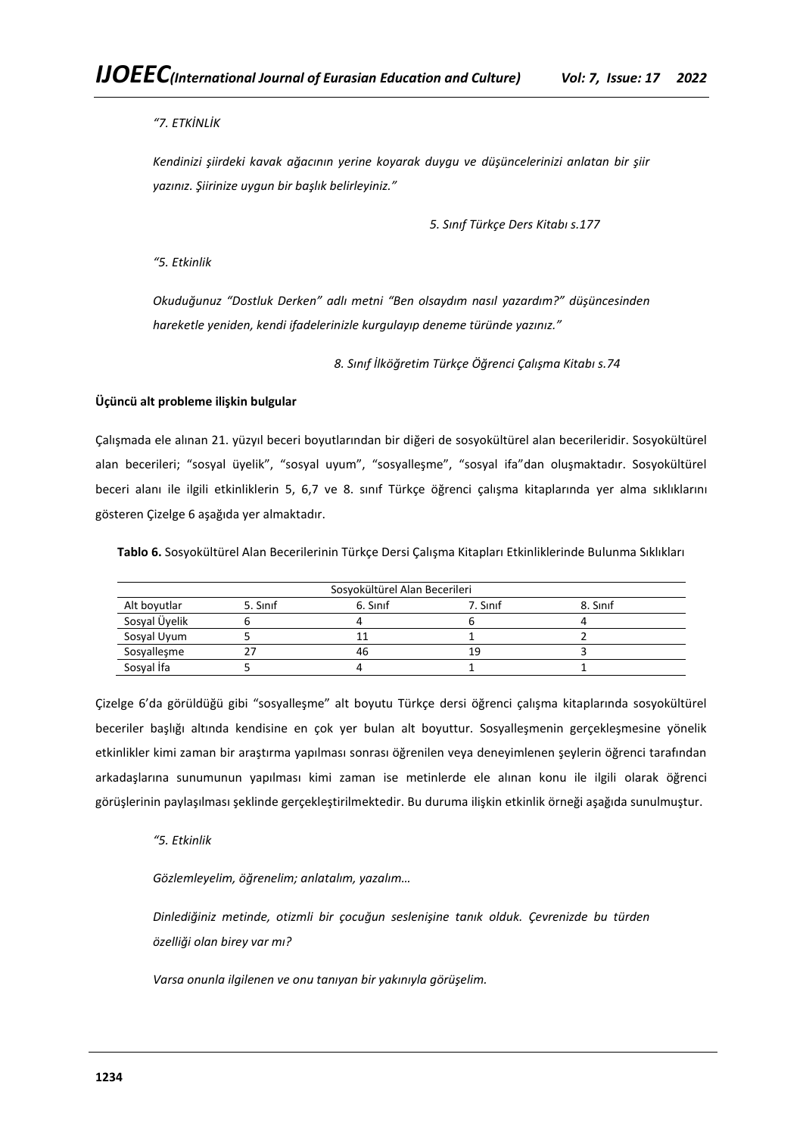# *"7. ETKİNLİK*

*Kendinizi şiirdeki kavak ağacının yerine koyarak duygu ve düşüncelerinizi anlatan bir şiir yazınız. Şiirinize uygun bir başlık belirleyiniz."*

*5. Sınıf Türkçe Ders Kitabı s.177*

*"5. Etkinlik*

*Okuduğunuz "Dostluk Derken" adlı metni "Ben olsaydım nasıl yazardım?" düşüncesinden hareketle yeniden, kendi ifadelerinizle kurgulayıp deneme türünde yazınız."*

*8. Sınıf İlköğretim Türkçe Öğrenci Çalışma Kitabı s.74*

# **Üçüncü alt probleme ilişkin bulgular**

Çalışmada ele alınan 21. yüzyıl beceri boyutlarından bir diğeri de sosyokültürel alan becerileridir. Sosyokültürel alan becerileri; "sosyal üyelik", "sosyal uyum", "sosyalleşme", "sosyal ifa"dan oluşmaktadır. Sosyokültürel beceri alanı ile ilgili etkinliklerin 5, 6,7 ve 8. sınıf Türkçe öğrenci çalışma kitaplarında yer alma sıklıklarını gösteren Çizelge 6 aşağıda yer almaktadır.

**Tablo 6.** Sosyokültürel Alan Becerilerinin Türkçe Dersi Çalışma Kitapları Etkinliklerinde Bulunma Sıklıkları

| Sosyokültürel Alan Becerileri |          |          |          |          |
|-------------------------------|----------|----------|----------|----------|
| Alt boyutlar                  | 5. Sinif | 6. Sinif | 7. Sinif | 8. Sinif |
| Sosyal Üyelik                 |          |          |          |          |
| Sosyal Uyum                   |          |          |          |          |
| Sosyalleşme                   |          | 46       | 1 q      |          |
| Sosyal İfa                    |          |          |          |          |

Çizelge 6'da görüldüğü gibi "sosyalleşme" alt boyutu Türkçe dersi öğrenci çalışma kitaplarında sosyokültürel beceriler başlığı altında kendisine en çok yer bulan alt boyuttur. Sosyalleşmenin gerçekleşmesine yönelik etkinlikler kimi zaman bir araştırma yapılması sonrası öğrenilen veya deneyimlenen şeylerin öğrenci tarafından arkadaşlarına sunumunun yapılması kimi zaman ise metinlerde ele alınan konu ile ilgili olarak öğrenci görüşlerinin paylaşılması şeklinde gerçekleştirilmektedir. Bu duruma ilişkin etkinlik örneği aşağıda sunulmuştur.

# *"5. Etkinlik*

*Gözlemleyelim, öğrenelim; anlatalım, yazalım…*

*Dinlediğiniz metinde, otizmli bir çocuğun seslenişine tanık olduk. Çevrenizde bu türden özelliği olan birey var mı?*

*Varsa onunla ilgilenen ve onu tanıyan bir yakınıyla görüşelim.*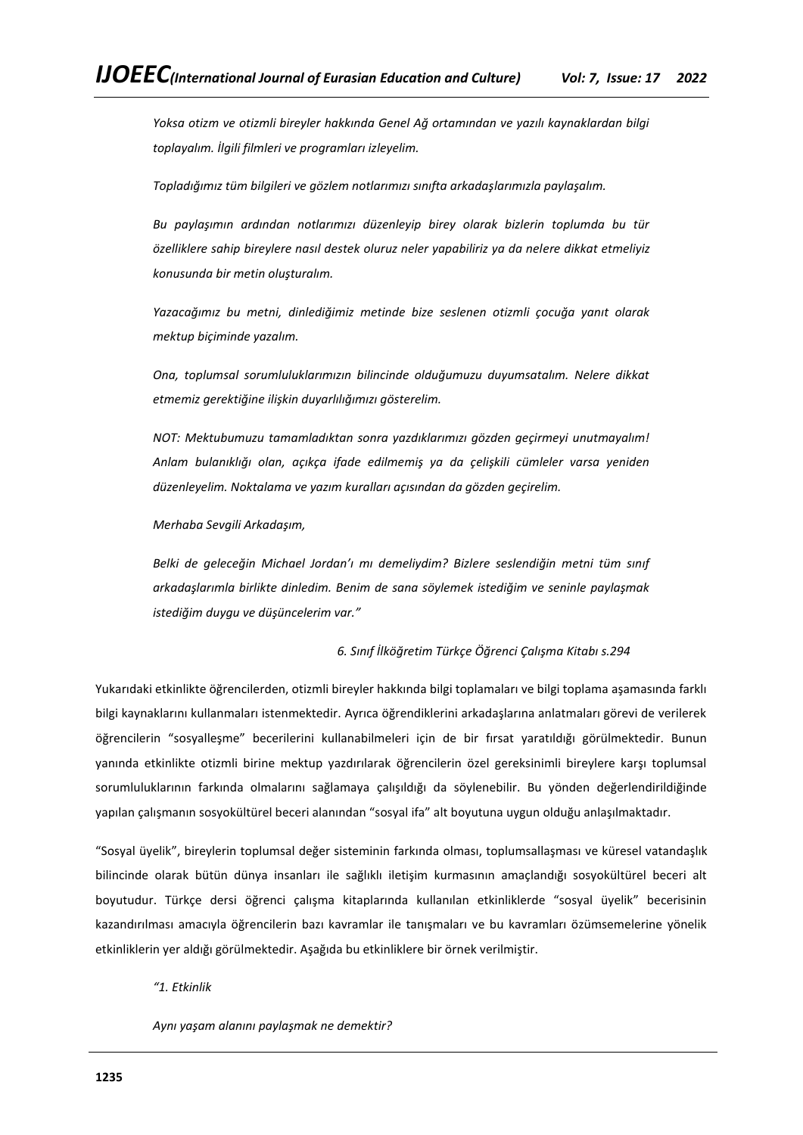*Yoksa otizm ve otizmli bireyler hakkında Genel Ağ ortamından ve yazılı kaynaklardan bilgi toplayalım. İlgili filmleri ve programları izleyelim.*

*Topladığımız tüm bilgileri ve gözlem notlarımızı sınıfta arkadaşlarımızla paylaşalım.*

*Bu paylaşımın ardından notlarımızı düzenleyip birey olarak bizlerin toplumda bu tür özelliklere sahip bireylere nasıl destek oluruz neler yapabiliriz ya da nelere dikkat etmeliyiz konusunda bir metin oluşturalım.* 

*Yazacağımız bu metni, dinlediğimiz metinde bize seslenen otizmli çocuğa yanıt olarak mektup biçiminde yazalım.*

*Ona, toplumsal sorumluluklarımızın bilincinde olduğumuzu duyumsatalım. Nelere dikkat etmemiz gerektiğine ilişkin duyarlılığımızı gösterelim.*

*NOT: Mektubumuzu tamamladıktan sonra yazdıklarımızı gözden geçirmeyi unutmayalım! Anlam bulanıklığı olan, açıkça ifade edilmemiş ya da çelişkili cümleler varsa yeniden düzenleyelim. Noktalama ve yazım kuralları açısından da gözden geçirelim.*

*Merhaba Sevgili Arkadaşım,*

*Belki de geleceğin Michael Jordan'ı mı demeliydim? Bizlere seslendiğin metni tüm sınıf arkadaşlarımla birlikte dinledim. Benim de sana söylemek istediğim ve seninle paylaşmak istediğim duygu ve düşüncelerim var."*

*6. Sınıf İlköğretim Türkçe Öğrenci Çalışma Kitabı s.294*

Yukarıdaki etkinlikte öğrencilerden, otizmli bireyler hakkında bilgi toplamaları ve bilgi toplama aşamasında farklı bilgi kaynaklarını kullanmaları istenmektedir. Ayrıca öğrendiklerini arkadaşlarına anlatmaları görevi de verilerek öğrencilerin "sosyalleşme" becerilerini kullanabilmeleri için de bir fırsat yaratıldığı görülmektedir. Bunun yanında etkinlikte otizmli birine mektup yazdırılarak öğrencilerin özel gereksinimli bireylere karşı toplumsal sorumluluklarının farkında olmalarını sağlamaya çalışıldığı da söylenebilir. Bu yönden değerlendirildiğinde yapılan çalışmanın sosyokültürel beceri alanından "sosyal ifa" alt boyutuna uygun olduğu anlaşılmaktadır.

"Sosyal üyelik", bireylerin toplumsal değer sisteminin farkında olması, toplumsallaşması ve küresel vatandaşlık bilincinde olarak bütün dünya insanları ile sağlıklı iletişim kurmasının amaçlandığı sosyokültürel beceri alt boyutudur. Türkçe dersi öğrenci çalışma kitaplarında kullanılan etkinliklerde "sosyal üyelik" becerisinin kazandırılması amacıyla öğrencilerin bazı kavramlar ile tanışmaları ve bu kavramları özümsemelerine yönelik etkinliklerin yer aldığı görülmektedir. Aşağıda bu etkinliklere bir örnek verilmiştir.

*"1. Etkinlik* 

*Aynı yaşam alanını paylaşmak ne demektir?*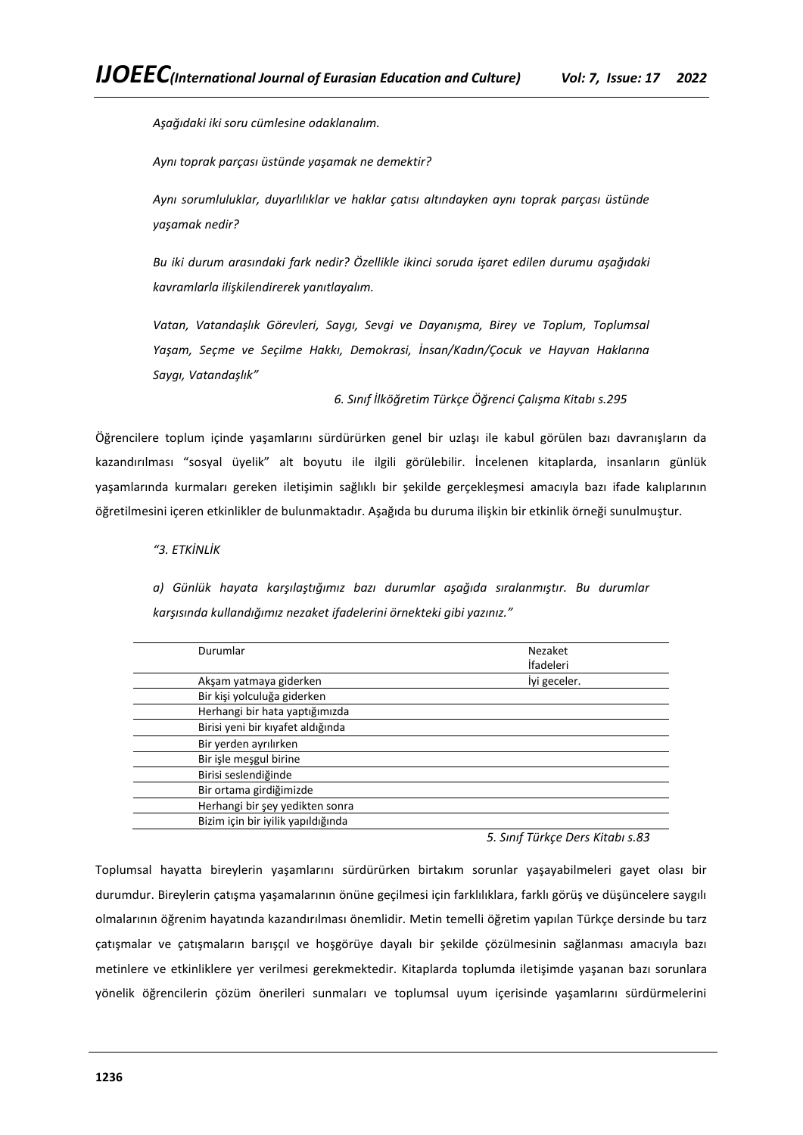*Aşağıdaki iki soru cümlesine odaklanalım.*

*Aynı toprak parçası üstünde yaşamak ne demektir?*

*Aynı sorumluluklar, duyarlılıklar ve haklar çatısı altındayken aynı toprak parçası üstünde yaşamak nedir?*

*Bu iki durum arasındaki fark nedir? Özellikle ikinci soruda işaret edilen durumu aşağıdaki kavramlarla ilişkilendirerek yanıtlayalım.*

*Vatan, Vatandaşlık Görevleri, Saygı, Sevgi ve Dayanışma, Birey ve Toplum, Toplumsal Yaşam, Seçme ve Seçilme Hakkı, Demokrasi, İnsan/Kadın/Çocuk ve Hayvan Haklarına Saygı, Vatandaşlık"*

*6. Sınıf İlköğretim Türkçe Öğrenci Çalışma Kitabı s.295*

Öğrencilere toplum içinde yaşamlarını sürdürürken genel bir uzlaşı ile kabul görülen bazı davranışların da kazandırılması "sosyal üyelik" alt boyutu ile ilgili görülebilir. İncelenen kitaplarda, insanların günlük yaşamlarında kurmaları gereken iletişimin sağlıklı bir şekilde gerçekleşmesi amacıyla bazı ifade kalıplarının öğretilmesini içeren etkinlikler de bulunmaktadır. Aşağıda bu duruma ilişkin bir etkinlik örneği sunulmuştur.

# *"3. ETKİNLİK*

*a) Günlük hayata karşılaştığımız bazı durumlar aşağıda sıralanmıştır. Bu durumlar karşısında kullandığımız nezaket ifadelerini örnekteki gibi yazınız."*

| Durumlar                           | Nezaket      |
|------------------------------------|--------------|
|                                    | İfadeleri    |
| Akşam yatmaya giderken             | lyi geceler. |
| Bir kişi yolculuğa giderken        |              |
| Herhangi bir hata yaptığımızda     |              |
| Birisi yeni bir kıyafet aldığında  |              |
| Bir yerden ayrılırken              |              |
| Bir işle meşgul birine             |              |
| Birisi seslendiğinde               |              |
| Bir ortama girdiğimizde            |              |
| Herhangi bir şey yedikten sonra    |              |
| Bizim için bir iyilik yapıldığında |              |
|                                    |              |

*5. Sınıf Türkçe Ders Kitabı s.83*

Toplumsal hayatta bireylerin yaşamlarını sürdürürken birtakım sorunlar yaşayabilmeleri gayet olası bir durumdur. Bireylerin çatışma yaşamalarının önüne geçilmesi için farklılıklara, farklı görüş ve düşüncelere saygılı olmalarının öğrenim hayatında kazandırılması önemlidir. Metin temelli öğretim yapılan Türkçe dersinde bu tarz çatışmalar ve çatışmaların barışçıl ve hoşgörüye dayalı bir şekilde çözülmesinin sağlanması amacıyla bazı metinlere ve etkinliklere yer verilmesi gerekmektedir. Kitaplarda toplumda iletişimde yaşanan bazı sorunlara yönelik öğrencilerin çözüm önerileri sunmaları ve toplumsal uyum içerisinde yaşamlarını sürdürmelerini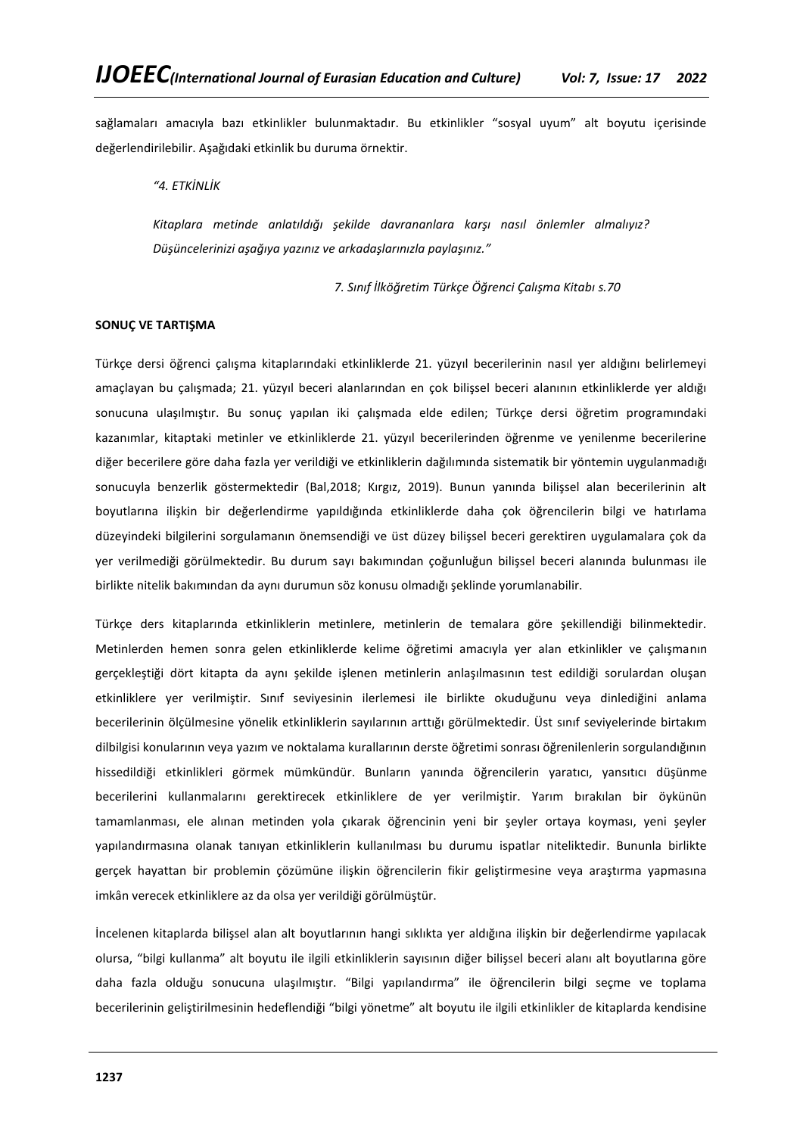sağlamaları amacıyla bazı etkinlikler bulunmaktadır. Bu etkinlikler "sosyal uyum" alt boyutu içerisinde değerlendirilebilir. Aşağıdaki etkinlik bu duruma örnektir.

*"4. ETKİNLİK*

*Kitaplara metinde anlatıldığı şekilde davrananlara karşı nasıl önlemler almalıyız? Düşüncelerinizi aşağıya yazınız ve arkadaşlarınızla paylaşınız."*

*7. Sınıf İlköğretim Türkçe Öğrenci Çalışma Kitabı s.70*

### **SONUÇ VE TARTIŞMA**

Türkçe dersi öğrenci çalışma kitaplarındaki etkinliklerde 21. yüzyıl becerilerinin nasıl yer aldığını belirlemeyi amaçlayan bu çalışmada; 21. yüzyıl beceri alanlarından en çok bilişsel beceri alanının etkinliklerde yer aldığı sonucuna ulaşılmıştır. Bu sonuç yapılan iki çalışmada elde edilen; Türkçe dersi öğretim programındaki kazanımlar, kitaptaki metinler ve etkinliklerde 21. yüzyıl becerilerinden öğrenme ve yenilenme becerilerine diğer becerilere göre daha fazla yer verildiği ve etkinliklerin dağılımında sistematik bir yöntemin uygulanmadığı sonucuyla benzerlik göstermektedir (Bal,2018; Kırgız, 2019). Bunun yanında bilişsel alan becerilerinin alt boyutlarına ilişkin bir değerlendirme yapıldığında etkinliklerde daha çok öğrencilerin bilgi ve hatırlama düzeyindeki bilgilerini sorgulamanın önemsendiği ve üst düzey bilişsel beceri gerektiren uygulamalara çok da yer verilmediği görülmektedir. Bu durum sayı bakımından çoğunluğun bilişsel beceri alanında bulunması ile birlikte nitelik bakımından da aynı durumun söz konusu olmadığı şeklinde yorumlanabilir.

Türkçe ders kitaplarında etkinliklerin metinlere, metinlerin de temalara göre şekillendiği bilinmektedir. Metinlerden hemen sonra gelen etkinliklerde kelime öğretimi amacıyla yer alan etkinlikler ve çalışmanın gerçekleştiği dört kitapta da aynı şekilde işlenen metinlerin anlaşılmasının test edildiği sorulardan oluşan etkinliklere yer verilmiştir. Sınıf seviyesinin ilerlemesi ile birlikte okuduğunu veya dinlediğini anlama becerilerinin ölçülmesine yönelik etkinliklerin sayılarının arttığı görülmektedir. Üst sınıf seviyelerinde birtakım dilbilgisi konularının veya yazım ve noktalama kurallarının derste öğretimi sonrası öğrenilenlerin sorgulandığının hissedildiği etkinlikleri görmek mümkündür. Bunların yanında öğrencilerin yaratıcı, yansıtıcı düşünme becerilerini kullanmalarını gerektirecek etkinliklere de yer verilmiştir. Yarım bırakılan bir öykünün tamamlanması, ele alınan metinden yola çıkarak öğrencinin yeni bir şeyler ortaya koyması, yeni şeyler yapılandırmasına olanak tanıyan etkinliklerin kullanılması bu durumu ispatlar niteliktedir. Bununla birlikte gerçek hayattan bir problemin çözümüne ilişkin öğrencilerin fikir geliştirmesine veya araştırma yapmasına imkân verecek etkinliklere az da olsa yer verildiği görülmüştür.

İncelenen kitaplarda bilişsel alan alt boyutlarının hangi sıklıkta yer aldığına ilişkin bir değerlendirme yapılacak olursa, "bilgi kullanma" alt boyutu ile ilgili etkinliklerin sayısının diğer bilişsel beceri alanı alt boyutlarına göre daha fazla olduğu sonucuna ulaşılmıştır. "Bilgi yapılandırma" ile öğrencilerin bilgi seçme ve toplama becerilerinin geliştirilmesinin hedeflendiği "bilgi yönetme" alt boyutu ile ilgili etkinlikler de kitaplarda kendisine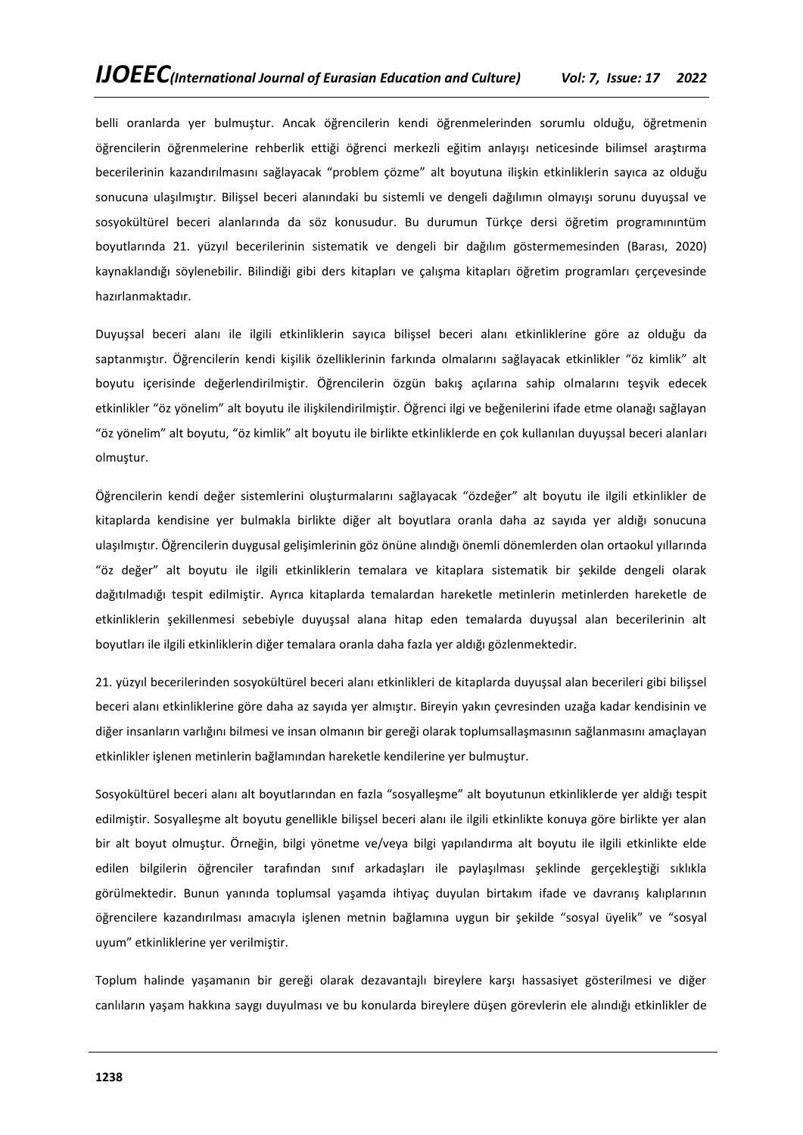belli oranlarda yer bulmuştur. Ancak öğrencilerin kendi öğrenmelerinden sorumlu olduğu, öğretmenin öğrencilerin öğrenmelerine rehberlik ettiği öğrenci merkezli eğitim anlayışı neticesinde bilimsel araştırma becerilerinin kazandırılmasını sağlayacak "problem çözme" alt boyutuna ilişkin etkinliklerin sayıca az olduğu sonucuna ulaşılmıştır. Bilişsel beceri alanındaki bu sistemli ve dengeli dağılımın olmayışı sorunu duyuşsal ve sosyokültürel beceri alanlarında da söz konusudur. Bu durumun Türkçe dersi öğretim programınıntüm boyutlarında 21. yüzyıl becerilerinin sistematik ve dengeli bir dağılım göstermemesinden (Barası, 2020) kaynaklandığı söylenebilir. Bilindiği gibi ders kitapları ve çalışma kitapları öğretim programları çerçevesinde hazırlanmaktadır.

Duyuşsal beceri alanı ile ilgili etkinliklerin sayıca bilişsel beceri alanı etkinliklerine göre az olduğu da saptanmıştır. Öğrencilerin kendi kişilik özelliklerinin farkında olmalarını sağlayacak etkinlikler "öz kimlik" alt boyutu içerisinde değerlendirilmiştir. Öğrencilerin özgün bakış açılarına sahip olmalarını teşvik edecek etkinlikler "öz yönelim" alt boyutu ile ilişkilendirilmiştir. Öğrenci ilgi ve beğenilerini ifade etme olanağı sağlayan "öz yönelim" alt boyutu, "öz kimlik" alt boyutu ile birlikte etkinliklerde en çok kullanılan duyuşsal beceri alanları olmuştur.

Öğrencilerin kendi değer sistemlerini oluşturmalarını sağlayacak "özdeğer" alt boyutu ile ilgili etkinlikler de kitaplarda kendisine yer bulmakla birlikte diğer alt boyutlara oranla daha az sayıda yer aldığı sonucuna ulaşılmıştır. Öğrencilerin duygusal gelişimlerinin göz önüne alındığı önemli dönemlerden olan ortaokul yıllarında "öz değer" alt boyutu ile ilgili etkinliklerin temalara ve kitaplara sistematik bir şekilde dengeli olarak dağıtılmadığı tespit edilmiştir. Ayrıca kitaplarda temalardan hareketle metinlerin metinlerden hareketle de etkinliklerin şekillenmesi sebebiyle duyuşsal alana hitap eden temalarda duyuşsal alan becerilerinin alt boyutları ile ilgili etkinliklerin diğer temalara oranla daha fazla yer aldığı gözlenmektedir.

21. yüzyıl becerilerinden sosyokültürel beceri alanı etkinlikleri de kitaplarda duyuşsal alan becerileri gibi bilişsel beceri alanı etkinliklerine göre daha az sayıda yer almıştır. Bireyin yakın çevresinden uzağa kadar kendisinin ve diğer insanların varlığını bilmesi ve insan olmanın bir gereği olarak toplumsallaşmasının sağlanmasını amaçlayan etkinlikler işlenen metinlerin bağlamından hareketle kendilerine yer bulmuştur.

Sosyokültürel beceri alanı alt boyutlarından en fazla "sosyalleşme" alt boyutunun etkinliklerde yer aldığı tespit edilmiştir. Sosyalleşme alt boyutu genellikle bilişsel beceri alanı ile ilgili etkinlikte konuya göre birlikte yer alan bir alt boyut olmuştur. Örneğin, bilgi yönetme ve/veya bilgi yapılandırma alt boyutu ile ilgili etkinlikte elde edilen bilgilerin öğrenciler tarafından sınıf arkadaşları ile paylaşılması şeklinde gerçekleştiği sıklıkla görülmektedir. Bunun yanında toplumsal yaşamda ihtiyaç duyulan birtakım ifade ve davranış kalıplarının öğrencilere kazandırılması amacıyla işlenen metnin bağlamına uygun bir şekilde "sosyal üyelik" ve "sosyal uyum" etkinliklerine yer verilmiştir.

Toplum halinde yaşamanın bir gereği olarak dezavantajlı bireylere karşı hassasiyet gösterilmesi ve diğer canlıların yaşam hakkına saygı duyulması ve bu konularda bireylere düşen görevlerin ele alındığı etkinlikler de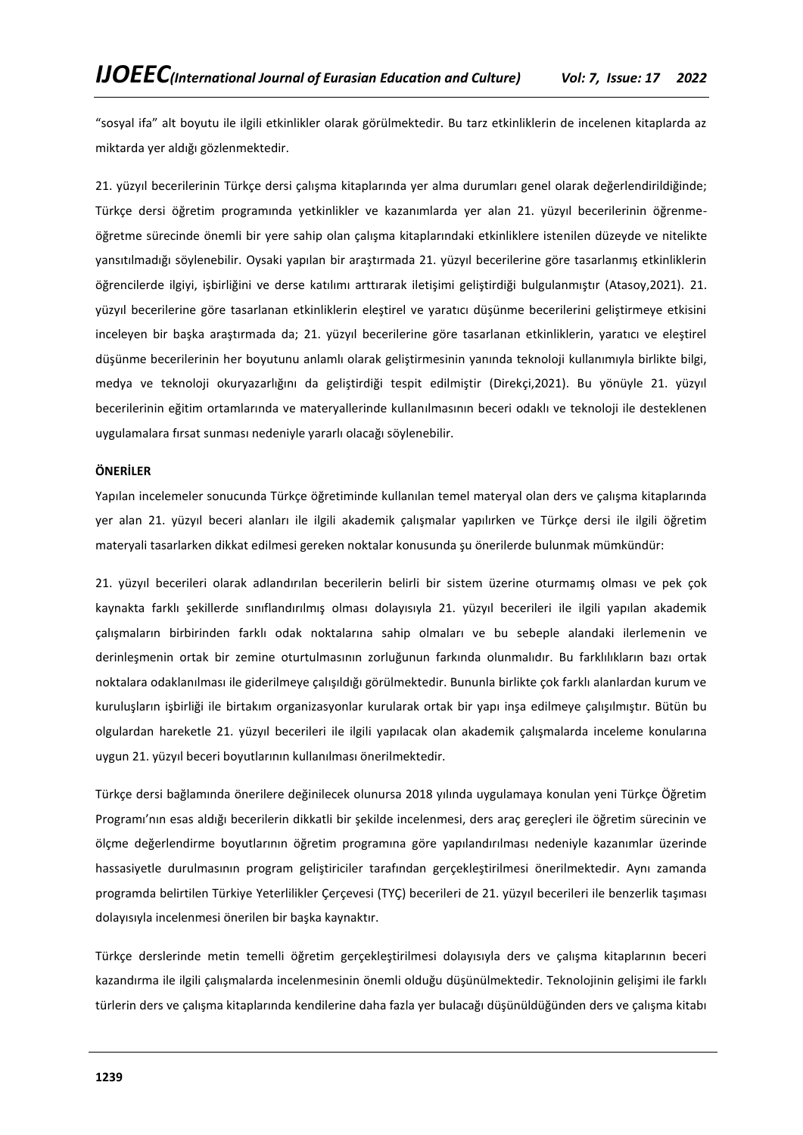"sosyal ifa" alt boyutu ile ilgili etkinlikler olarak görülmektedir. Bu tarz etkinliklerin de incelenen kitaplarda az miktarda yer aldığı gözlenmektedir.

21. yüzyıl becerilerinin Türkçe dersi çalışma kitaplarında yer alma durumları genel olarak değerlendirildiğinde; Türkçe dersi öğretim programında yetkinlikler ve kazanımlarda yer alan 21. yüzyıl becerilerinin öğrenmeöğretme sürecinde önemli bir yere sahip olan çalışma kitaplarındaki etkinliklere istenilen düzeyde ve nitelikte yansıtılmadığı söylenebilir. Oysaki yapılan bir araştırmada 21. yüzyıl becerilerine göre tasarlanmış etkinliklerin öğrencilerde ilgiyi, işbirliğini ve derse katılımı arttırarak iletişimi geliştirdiği bulgulanmıştır (Atasoy,2021). 21. yüzyıl becerilerine göre tasarlanan etkinliklerin eleştirel ve yaratıcı düşünme becerilerini geliştirmeye etkisini inceleyen bir başka araştırmada da; 21. yüzyıl becerilerine göre tasarlanan etkinliklerin, yaratıcı ve eleştirel düşünme becerilerinin her boyutunu anlamlı olarak geliştirmesinin yanında teknoloji kullanımıyla birlikte bilgi, medya ve teknoloji okuryazarlığını da geliştirdiği tespit edilmiştir (Direkçi,2021). Bu yönüyle 21. yüzyıl becerilerinin eğitim ortamlarında ve materyallerinde kullanılmasının beceri odaklı ve teknoloji ile desteklenen uygulamalara fırsat sunması nedeniyle yararlı olacağı söylenebilir.

## **ÖNERİLER**

Yapılan incelemeler sonucunda Türkçe öğretiminde kullanılan temel materyal olan ders ve çalışma kitaplarında yer alan 21. yüzyıl beceri alanları ile ilgili akademik çalışmalar yapılırken ve Türkçe dersi ile ilgili öğretim materyali tasarlarken dikkat edilmesi gereken noktalar konusunda şu önerilerde bulunmak mümkündür:

21. yüzyıl becerileri olarak adlandırılan becerilerin belirli bir sistem üzerine oturmamış olması ve pek çok kaynakta farklı şekillerde sınıflandırılmış olması dolayısıyla 21. yüzyıl becerileri ile ilgili yapılan akademik çalışmaların birbirinden farklı odak noktalarına sahip olmaları ve bu sebeple alandaki ilerlemenin ve derinleşmenin ortak bir zemine oturtulmasının zorluğunun farkında olunmalıdır. Bu farklılıkların bazı ortak noktalara odaklanılması ile giderilmeye çalışıldığı görülmektedir. Bununla birlikte çok farklı alanlardan kurum ve kuruluşların işbirliği ile birtakım organizasyonlar kurularak ortak bir yapı inşa edilmeye çalışılmıştır. Bütün bu olgulardan hareketle 21. yüzyıl becerileri ile ilgili yapılacak olan akademik çalışmalarda inceleme konularına uygun 21. yüzyıl beceri boyutlarının kullanılması önerilmektedir.

Türkçe dersi bağlamında önerilere değinilecek olunursa 2018 yılında uygulamaya konulan yeni Türkçe Öğretim Programı'nın esas aldığı becerilerin dikkatli bir şekilde incelenmesi, ders araç gereçleri ile öğretim sürecinin ve ölçme değerlendirme boyutlarının öğretim programına göre yapılandırılması nedeniyle kazanımlar üzerinde hassasiyetle durulmasının program geliştiriciler tarafından gerçekleştirilmesi önerilmektedir. Aynı zamanda programda belirtilen Türkiye Yeterlilikler Çerçevesi (TYÇ) becerileri de 21. yüzyıl becerileri ile benzerlik taşıması dolayısıyla incelenmesi önerilen bir başka kaynaktır.

Türkçe derslerinde metin temelli öğretim gerçekleştirilmesi dolayısıyla ders ve çalışma kitaplarının beceri kazandırma ile ilgili çalışmalarda incelenmesinin önemli olduğu düşünülmektedir. Teknolojinin gelişimi ile farklı türlerin ders ve çalışma kitaplarında kendilerine daha fazla yer bulacağı düşünüldüğünden ders ve çalışma kitabı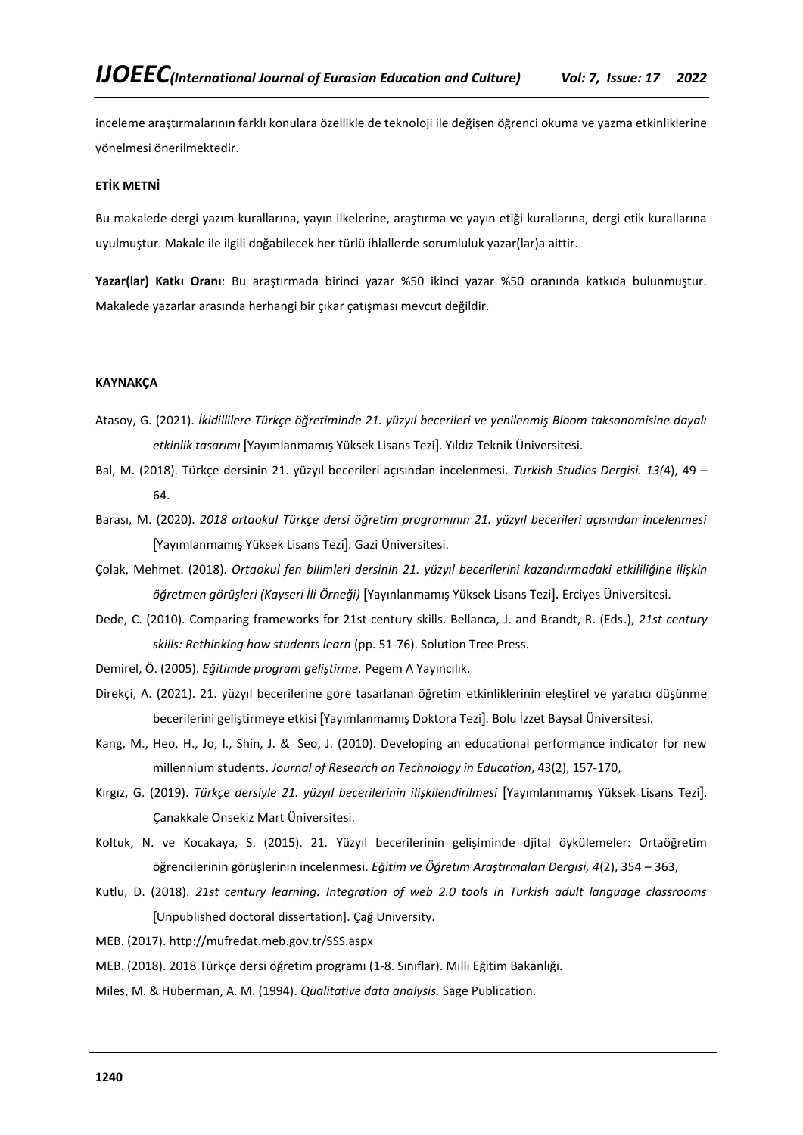inceleme araştırmalarının farklı konulara özellikle de teknoloji ile değişen öğrenci okuma ve yazma etkinliklerine yönelmesi önerilmektedir.

## **ETİK METNİ**

Bu makalede dergi yazım kurallarına, yayın ilkelerine, araştırma ve yayın etiği kurallarına, dergi etik kurallarına uyulmuştur. Makale ile ilgili doğabilecek her türlü ihlallerde sorumluluk yazar(lar)a aittir.

**Yazar(lar) Katkı Oranı**: Bu araştırmada birinci yazar %50 ikinci yazar %50 oranında katkıda bulunmuştur. Makalede yazarlar arasında herhangi bir çıkar çatışması mevcut değildir.

## **KAYNAKÇA**

- Atasoy, G. (2021). *İkidillilere Türkçe öğretiminde 21. yüzyıl becerileri ve yenilenmiş Bloom taksonomisine dayalı etkinlik tasarımı* [Yayımlanmamış Yüksek Lisans Tezi]. Yıldız Teknik Üniversitesi.
- Bal, M. (2018). Türkçe dersinin 21. yüzyıl becerileri açısından incelenmesi. *Turkish Studies Dergisi. 13(*4), 49 64.
- Barası, M. (2020). *2018 ortaokul Türkçe dersi öğretim programının 21. yüzyıl becerileri açısından incelenmesi*  [Yayımlanmamış Yüksek Lisans Tezi]. Gazi Üniversitesi.
- Çolak, Mehmet. (2018). *Ortaokul fen bilimleri dersinin 21. yüzyıl becerilerini kazandırmadaki etkililiğine ilişkin öğretmen görüşleri (Kayseri İli Örneği)* [Yayınlanmamış Yüksek Lisans Tezi]. Erciyes Üniversitesi.
- Dede, C. (2010). Comparing frameworks for 21st century skills. Bellanca, J. and Brandt, R. (Eds.), *21st century skills: Rethinking how students learn* (pp. 51-76). Solution Tree Press.
- Demirel, Ö. (2005). *Eğitimde program geliştirme.* Pegem A Yayıncılık.
- Direkçi, A. (2021). 21. yüzyıl becerilerine gore tasarlanan öğretim etkinliklerinin eleştirel ve yaratıcı düşünme becerilerini geliştirmeye etkisi [Yayımlanmamış Doktora Tezi]. Bolu İzzet Baysal Üniversitesi.
- Kang, M., Heo, H., Jo, I., Shin, J. & Seo, J. (2010). Developing an educational performance indicator for new millennium students. *Journal of Research on Technology in Education*, 43(2), 157-170,
- Kırgız, G. (2019). *Türkçe dersiyle 21. yüzyıl becerilerinin ilişkilendirilmesi* [Yayımlanmamış Yüksek Lisans Tezi]. Çanakkale Onsekiz Mart Üniversitesi.
- Koltuk, N. ve Kocakaya, S. (2015). 21. Yüzyıl becerilerinin gelişiminde djital öykülemeler: Ortaöğretim öğrencilerinin görüşlerinin incelenmesi. *Eğitim ve Öğretim Araştırmaları Dergisi, 4*(2), 354 – 363,
- Kutlu, D. (2018). *21st century learning: Integration of web 2.0 tools in Turkish adult language classrooms*  [Unpublished doctoral dissertation]. Çağ University.

MEB. (2017). http://mufredat.meb.gov.tr/SSS.aspx

MEB. (2018). 2018 Türkçe dersi öğretim programı (1-8. Sınıflar). Milli Eğitim Bakanlığı.

Miles, M. & Huberman, A. M. (1994). *Qualitative data analysis.* Sage Publication.